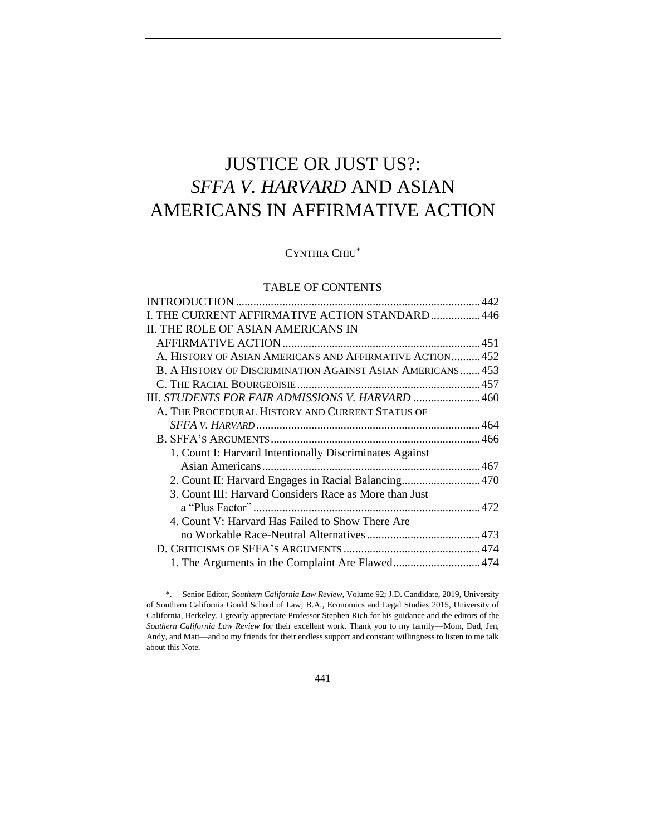# JUSTICE OR JUST US?: *SFFA V. HARVARD* AND ASIAN AMERICANS IN AFFIRMATIVE ACTION

CYNTHIA CHIU\*

## TABLE OF CONTENTS

| I. THE CURRENT AFFIRMATIVE ACTION STANDARD  446            |  |
|------------------------------------------------------------|--|
| II. THE ROLE OF ASIAN AMERICANS IN                         |  |
|                                                            |  |
| A. HISTORY OF ASIAN AMERICANS AND AFFIRMATIVE ACTION 452   |  |
| B. A HISTORY OF DISCRIMINATION AGAINST ASIAN AMERICANS 453 |  |
|                                                            |  |
| III. STUDENTS FOR FAIR ADMISSIONS V. HARVARD 460           |  |
| A. THE PROCEDURAL HISTORY AND CURRENT STATUS OF            |  |
|                                                            |  |
|                                                            |  |
| 1. Count I: Harvard Intentionally Discriminates Against    |  |
|                                                            |  |
| 2. Count II: Harvard Engages in Racial Balancing 470       |  |
| 3. Count III: Harvard Considers Race as More than Just     |  |
|                                                            |  |
| 4. Count V: Harvard Has Failed to Show There Are           |  |
|                                                            |  |
|                                                            |  |
| 1. The Arguments in the Complaint Are Flawed474            |  |
|                                                            |  |

<sup>\*.</sup> Senior Editor, *Southern California Law Review*, Volume 92; J.D. Candidate, 2019, University of Southern California Gould School of Law; B.A., Economics and Legal Studies 2015, University of California, Berkeley. I greatly appreciate Professor Stephen Rich for his guidance and the editors of the *Southern California Law Review* for their excellent work. Thank you to my family—Mom, Dad, Jen, Andy, and Matt—and to my friends for their endless support and constant willingness to listen to me talk about this Note.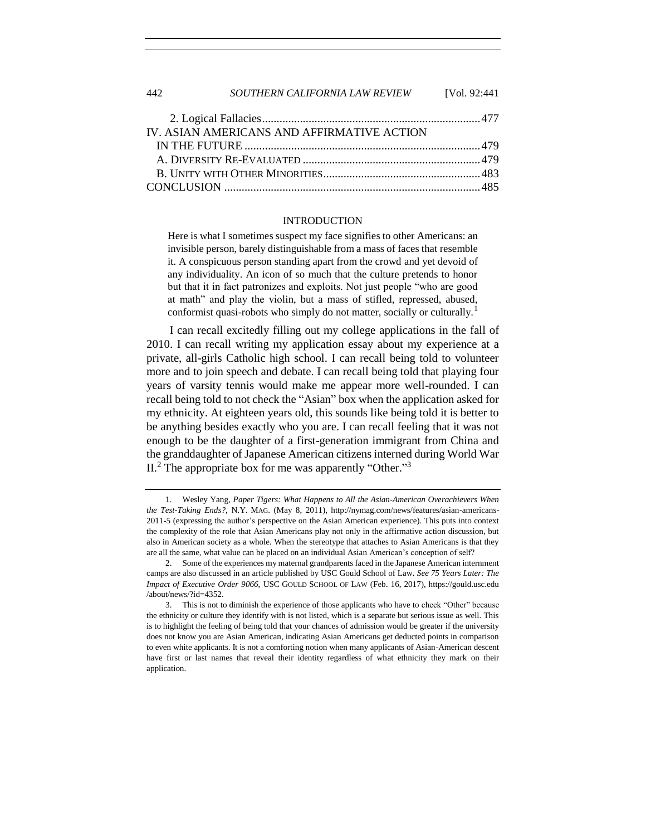442 *SOUTHERN CALIFORNIA LAW REVIEW* [Vol. 92:441

| IV. ASIAN AMERICANS AND AFFIRMATIVE ACTION |  |
|--------------------------------------------|--|
|                                            |  |
|                                            |  |
|                                            |  |
|                                            |  |

#### INTRODUCTION

<span id="page-1-0"></span>Here is what I sometimes suspect my face signifies to other Americans: an invisible person, barely distinguishable from a mass of faces that resemble it. A conspicuous person standing apart from the crowd and yet devoid of any individuality. An icon of so much that the culture pretends to honor but that it in fact patronizes and exploits. Not just people "who are good at math" and play the violin, but a mass of stifled, repressed, abused, conformist quasi-robots who simply do not matter, socially or culturally.<sup>1</sup>

I can recall excitedly filling out my college applications in the fall of 2010. I can recall writing my application essay about my experience at a private, all-girls Catholic high school. I can recall being told to volunteer more and to join speech and debate. I can recall being told that playing four years of varsity tennis would make me appear more well-rounded. I can recall being told to not check the "Asian" box when the application asked for my ethnicity. At eighteen years old, this sounds like being told it is better to be anything besides exactly who you are. I can recall feeling that it was not enough to be the daughter of a first-generation immigrant from China and the granddaughter of Japanese American citizens interned during World War II.<sup>2</sup> The appropriate box for me was apparently "Other."<sup>3</sup>

<sup>1.</sup> Wesley Yang, *Paper Tigers: What Happens to All the Asian-American Overachievers When the Test-Taking Ends?*, N.Y. MAG. (May 8, 2011), http://nymag.com/news/features/asian-americans-2011-5 (expressing the author's perspective on the Asian American experience). This puts into context the complexity of the role that Asian Americans play not only in the affirmative action discussion, but also in American society as a whole. When the stereotype that attaches to Asian Americans is that they are all the same, what value can be placed on an individual Asian American's conception of self?

<sup>2.</sup> Some of the experiences my maternal grandparents faced in the Japanese American internment camps are also discussed in an article published by USC Gould School of Law. *See 75 Years Later: The Impact of Executive Order 9066*, USC GOULD SCHOOL OF LAW (Feb. 16, 2017), https://gould.usc.edu /about/news/?id=4352.

<sup>3.</sup> This is not to diminish the experience of those applicants who have to check "Other" because the ethnicity or culture they identify with is not listed, which is a separate but serious issue as well. This is to highlight the feeling of being told that your chances of admission would be greater if the university does not know you are Asian American, indicating Asian Americans get deducted points in comparison to even white applicants. It is not a comforting notion when many applicants of Asian-American descent have first or last names that reveal their identity regardless of what ethnicity they mark on their application.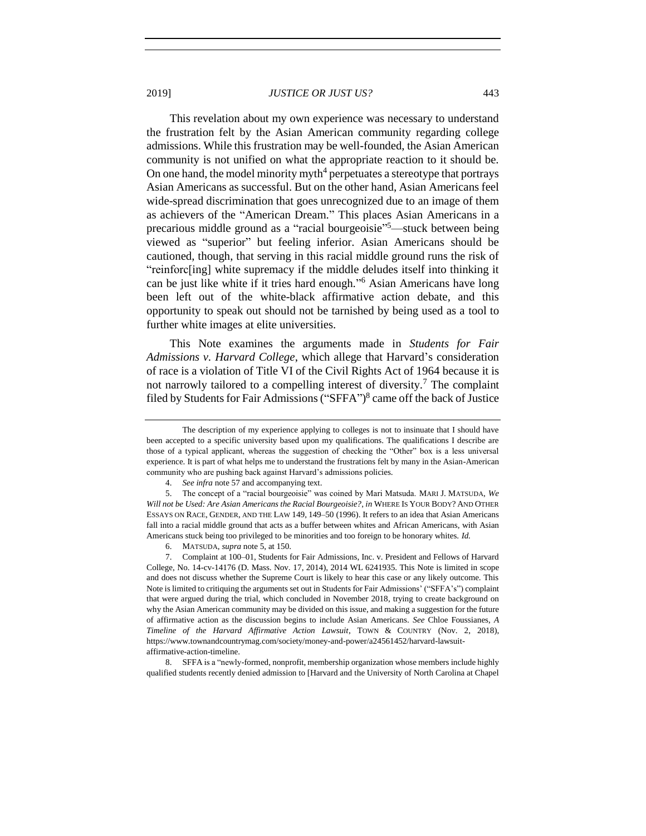This revelation about my own experience was necessary to understand the frustration felt by the Asian American community regarding college

<span id="page-2-0"></span>admissions. While this frustration may be well-founded, the Asian American community is not unified on what the appropriate reaction to it should be. On one hand, the model minority myth<sup>4</sup> perpetuates a stereotype that portrays Asian Americans as successful. But on the other hand, Asian Americans feel wide-spread discrimination that goes unrecognized due to an image of them as achievers of the "American Dream." This places Asian Americans in a precarious middle ground as a "racial bourgeoisie" <sup>5</sup>—stuck between being viewed as "superior" but feeling inferior. Asian Americans should be cautioned, though, that serving in this racial middle ground runs the risk of "reinforc[ing] white supremacy if the middle deludes itself into thinking it can be just like white if it tries hard enough." <sup>6</sup> Asian Americans have long been left out of the white-black affirmative action debate, and this opportunity to speak out should not be tarnished by being used as a tool to further white images at elite universities.

<span id="page-2-1"></span>This Note examines the arguments made in *Students for Fair Admissions v. Harvard College*, which allege that Harvard's consideration of race is a violation of Title VI of the Civil Rights Act of 1964 because it is not narrowly tailored to a compelling interest of diversity.<sup>7</sup> The complaint filed by Students for Fair Admissions ("SFFA") 8 came off the back of Justice

8. SFFA is a "newly-formed, nonprofit, membership organization whose members include highly qualified students recently denied admission to [Harvard and the University of North Carolina at Chapel

<span id="page-2-2"></span>The description of my experience applying to colleges is not to insinuate that I should have been accepted to a specific university based upon my qualifications. The qualifications I describe are those of a typical applicant, whereas the suggestion of checking the "Other" box is a less universal experience. It is part of what helps me to understand the frustrations felt by many in the Asian-American community who are pushing back against Harvard's admissions policies.

<sup>4.</sup> *See infra* not[e 57](#page-12-1) and accompanying text.

<sup>5.</sup> The concept of a "racial bourgeoisie" was coined by Mari Matsuda. MARI J. MATSUDA, *We Will not be Used: Are Asian Americans the Racial Bourgeoisie?*, *in* WHERE IS YOUR BODY? AND OTHER ESSAYS ON RACE, GENDER, AND THE LAW 149, 149–50 (1996). It refers to an idea that Asian Americans fall into a racial middle ground that acts as a buffer between whites and African Americans, with Asian Americans stuck being too privileged to be minorities and too foreign to be honorary whites. *Id.*

<sup>6.</sup> MATSUDA, *supra* not[e 5,](#page-2-0) at 150.

<sup>7.</sup> Complaint at 100–01, Students for Fair Admissions, Inc. v. President and Fellows of Harvard College, No. 14-cv-14176 (D. Mass. Nov. 17, 2014), 2014 WL 6241935. This Note is limited in scope and does not discuss whether the Supreme Court is likely to hear this case or any likely outcome. This Note is limited to critiquing the arguments set out in Students for Fair Admissions' ("SFFA's") complaint that were argued during the trial, which concluded in November 2018, trying to create background on why the Asian American community may be divided on this issue, and making a suggestion for the future of affirmative action as the discussion begins to include Asian Americans. *See* Chloe Foussianes, *A Timeline of the Harvard Affirmative Action Lawsuit*, TOWN & COUNTRY (Nov. 2, 2018), https://www.townandcountrymag.com/society/money-and-power/a24561452/harvard-lawsuitaffirmative-action-timeline.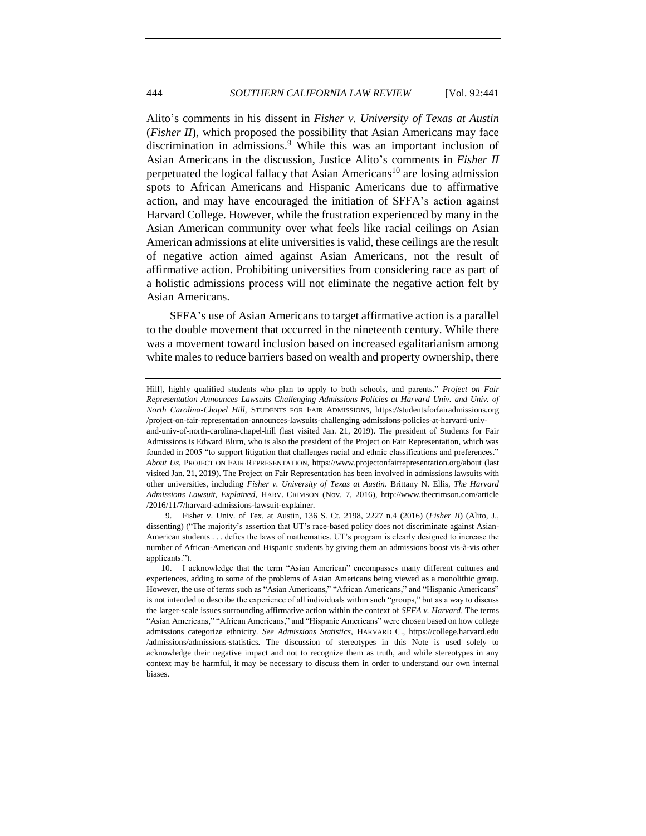Alito's comments in his dissent in *Fisher v. University of Texas at Austin* (*Fisher II*), which proposed the possibility that Asian Americans may face discrimination in admissions.<sup>9</sup> While this was an important inclusion of Asian Americans in the discussion, Justice Alito's comments in *Fisher II*  perpetuated the logical fallacy that Asian Americans<sup>10</sup> are losing admission spots to African Americans and Hispanic Americans due to affirmative action, and may have encouraged the initiation of SFFA's action against Harvard College. However, while the frustration experienced by many in the Asian American community over what feels like racial ceilings on Asian American admissions at elite universities is valid, these ceilings are the result of negative action aimed against Asian Americans, not the result of affirmative action. Prohibiting universities from considering race as part of a holistic admissions process will not eliminate the negative action felt by Asian Americans.

SFFA's use of Asian Americans to target affirmative action is a parallel to the double movement that occurred in the nineteenth century. While there was a movement toward inclusion based on increased egalitarianism among white males to reduce barriers based on wealth and property ownership, there

applicants.").

other universities, including *Fisher v. University of Texas at Austin*. Brittany N. Ellis, *The Harvard* 

Hill], highly qualified students who plan to apply to both schools, and parents." *Project on Fair Representation Announces Lawsuits Challenging Admissions Policies at Harvard Univ. and Univ. of North Carolina-Chapel Hill*, STUDENTS FOR FAIR ADMISSIONS, https://studentsforfairadmissions.org /project-on-fair-representation-announces-lawsuits-challenging-admissions-policies-at-harvard-univand-univ-of-north-carolina-chapel-hill (last visited Jan. 21, 2019). The president of Students for Fair Admissions is Edward Blum, who is also the president of the Project on Fair Representation, which was founded in 2005 "to support litigation that challenges racial and ethnic classifications and preferences." *About Us*, PROJECT ON FAIR REPRESENTATION, https://www.projectonfairrepresentation.org/about (last visited Jan. 21, 2019). The Project on Fair Representation has been involved in admissions lawsuits with

*Admissions Lawsuit, Explained*, HARV. CRIMSON (Nov. 7, 2016), http://www.thecrimson.com/article /2016/11/7/harvard-admissions-lawsuit-explainer. 9. Fisher v. Univ. of Tex. at Austin, 136 S. Ct. 2198, 2227 n.4 (2016) (*Fisher II*) (Alito, J., dissenting) ("The majority's assertion that UT's race-based policy does not discriminate against Asian-American students . . . defies the laws of mathematics. UT's program is clearly designed to increase the number of African-American and Hispanic students by giving them an admissions boost vis-à-vis other

<sup>10.</sup> I acknowledge that the term "Asian American" encompasses many different cultures and experiences, adding to some of the problems of Asian Americans being viewed as a monolithic group. However, the use of terms such as "Asian Americans," "African Americans," and "Hispanic Americans" is not intended to describe the experience of all individuals within such "groups," but as a way to discuss the larger-scale issues surrounding affirmative action within the context of *SFFA v. Harvard*. The terms "Asian Americans," "African Americans," and "Hispanic Americans" were chosen based on how college admissions categorize ethnicity. *See Admissions Statistics*, HARVARD C., https://college.harvard.edu /admissions/admissions-statistics. The discussion of stereotypes in this Note is used solely to acknowledge their negative impact and not to recognize them as truth, and while stereotypes in any context may be harmful, it may be necessary to discuss them in order to understand our own internal biases.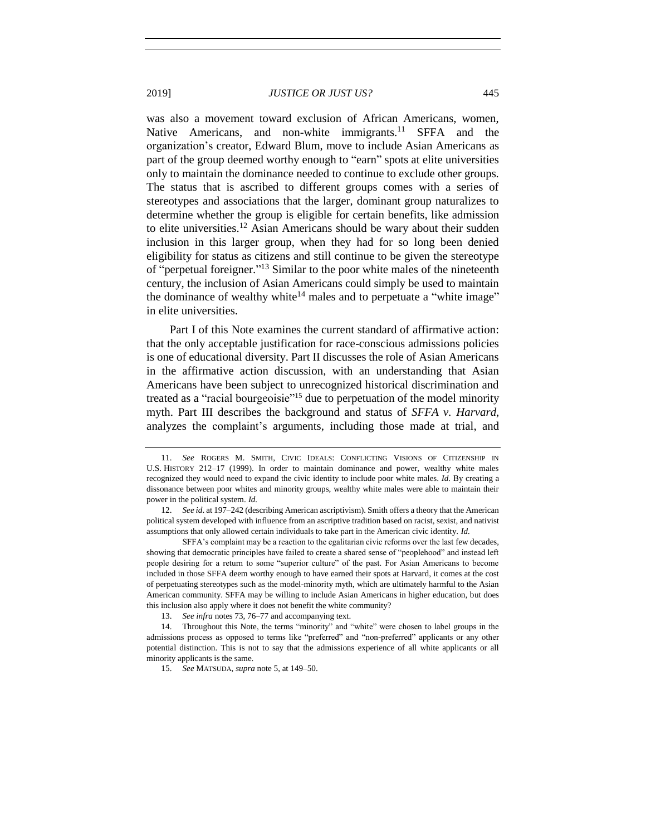was also a movement toward exclusion of African Americans, women, Native Americans, and non-white immigrants.<sup>11</sup> SFFA and the organization's creator, Edward Blum, move to include Asian Americans as part of the group deemed worthy enough to "earn" spots at elite universities only to maintain the dominance needed to continue to exclude other groups. The status that is ascribed to different groups comes with a series of stereotypes and associations that the larger, dominant group naturalizes to determine whether the group is eligible for certain benefits, like admission to elite universities.<sup>12</sup> Asian Americans should be wary about their sudden inclusion in this larger group, when they had for so long been denied eligibility for status as citizens and still continue to be given the stereotype of "perpetual foreigner."<sup>13</sup> Similar to the poor white males of the nineteenth century, the inclusion of Asian Americans could simply be used to maintain the dominance of wealthy white<sup>14</sup> males and to perpetuate a "white image" in elite universities.

Part I of this Note examines the current standard of affirmative action: that the only acceptable justification for race-conscious admissions policies is one of educational diversity. Part II discusses the role of Asian Americans in the affirmative action discussion, with an understanding that Asian Americans have been subject to unrecognized historical discrimination and treated as a "racial bourgeoisie"<sup>15</sup> due to perpetuation of the model minority myth. Part III describes the background and status of *SFFA v. Harvard*, analyzes the complaint's arguments, including those made at trial, and

<sup>11.</sup> *See* ROGERS M. SMITH, CIVIC IDEALS: CONFLICTING VISIONS OF CITIZENSHIP IN U.S. HISTORY 212–17 (1999). In order to maintain dominance and power, wealthy white males recognized they would need to expand the civic identity to include poor white males. *Id.* By creating a dissonance between poor whites and minority groups, wealthy white males were able to maintain their power in the political system. *Id.*

<sup>12.</sup> *See id*. at 197–242 (describing American ascriptivism). Smith offers a theory that the American political system developed with influence from an ascriptive tradition based on racist, sexist, and nativist assumptions that only allowed certain individuals to take part in the American civic identity. *Id.*

SFFA's complaint may be a reaction to the egalitarian civic reforms over the last few decades, showing that democratic principles have failed to create a shared sense of "peoplehood" and instead left people desiring for a return to some "superior culture" of the past. For Asian Americans to become included in those SFFA deem worthy enough to have earned their spots at Harvard, it comes at the cost of perpetuating stereotypes such as the model-minority myth, which are ultimately harmful to the Asian American community. SFFA may be willing to include Asian Americans in higher education, but does this inclusion also apply where it does not benefit the white community?

<sup>13.</sup> *See infra* notes [73,](#page-15-0) [76](#page-16-1)[–77](#page-17-0) and accompanying text.

<sup>14.</sup> Throughout this Note, the terms "minority" and "white" were chosen to label groups in the admissions process as opposed to terms like "preferred" and "non-preferred" applicants or any other potential distinction. This is not to say that the admissions experience of all white applicants or all minority applicants is the same.

<sup>15.</sup> *See* MATSUDA, *supra* not[e 5,](#page-2-0) at 149–50.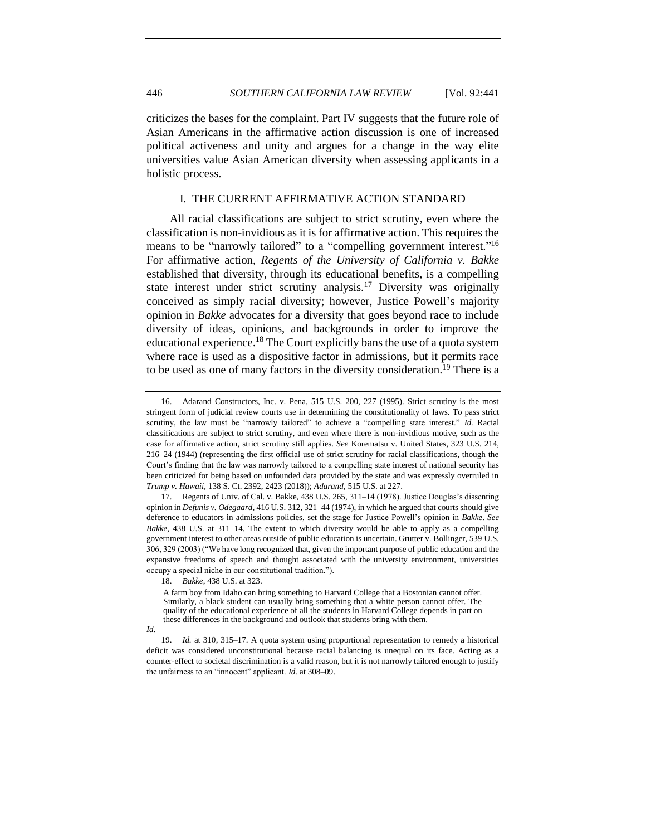criticizes the bases for the complaint. Part IV suggests that the future role of Asian Americans in the affirmative action discussion is one of increased political activeness and unity and argues for a change in the way elite universities value Asian American diversity when assessing applicants in a holistic process.

## I. THE CURRENT AFFIRMATIVE ACTION STANDARD

<span id="page-5-0"></span>All racial classifications are subject to strict scrutiny, even where the classification is non-invidious as it is for affirmative action. This requires the means to be "narrowly tailored" to a "compelling government interest."<sup>16</sup> For affirmative action, *Regents of the University of California v. Bakke* established that diversity, through its educational benefits, is a compelling state interest under strict scrutiny analysis.<sup>17</sup> Diversity was originally conceived as simply racial diversity; however, Justice Powell's majority opinion in *Bakke* advocates for a diversity that goes beyond race to include diversity of ideas, opinions, and backgrounds in order to improve the educational experience.<sup>18</sup> The Court explicitly bans the use of a quota system where race is used as a dispositive factor in admissions, but it permits race to be used as one of many factors in the diversity consideration.<sup>19</sup> There is a

<sup>16.</sup> Adarand Constructors, Inc. v. Pena, 515 U.S. 200, 227 (1995). Strict scrutiny is the most stringent form of judicial review courts use in determining the constitutionality of laws. To pass strict scrutiny, the law must be "narrowly tailored" to achieve a "compelling state interest." *Id.* Racial classifications are subject to strict scrutiny, and even where there is non-invidious motive, such as the case for affirmative action, strict scrutiny still applies. *See* Korematsu v. United States, 323 U.S. 214, 216–24 (1944) (representing the first official use of strict scrutiny for racial classifications, though the Court's finding that the law was narrowly tailored to a compelling state interest of national security has been criticized for being based on unfounded data provided by the state and was expressly overruled in *Trump v. Hawaii*, 138 S. Ct. 2392, 2423 (2018)); *Adarand*, 515 U.S. at 227.

<sup>17.</sup> Regents of Univ. of Cal. v. Bakke, 438 U.S. 265, 311–14 (1978). Justice Douglas's dissenting opinion in *Defunis v. Odegaard*, 416 U.S. 312, 321–44 (1974), in which he argued that courts should give deference to educators in admissions policies, set the stage for Justice Powell's opinion in *Bakke*. *See Bakke*, 438 U.S. at 311–14. The extent to which diversity would be able to apply as a compelling government interest to other areas outside of public education is uncertain. Grutter v. Bollinger, 539 U.S. 306, 329 (2003) ("We have long recognized that, given the important purpose of public education and the expansive freedoms of speech and thought associated with the university environment, universities occupy a special niche in our constitutional tradition.").

<sup>18.</sup> *Bakke*, 438 U.S. at 323.

A farm boy from Idaho can bring something to Harvard College that a Bostonian cannot offer. Similarly, a black student can usually bring something that a white person cannot offer. The quality of the educational experience of all the students in Harvard College depends in part on these differences in the background and outlook that students bring with them.

*Id.*

<sup>19.</sup> *Id.* at 310, 315–17. A quota system using proportional representation to remedy a historical deficit was considered unconstitutional because racial balancing is unequal on its face. Acting as a counter-effect to societal discrimination is a valid reason, but it is not narrowly tailored enough to justify the unfairness to an "innocent" applicant. *Id.* at 308–09.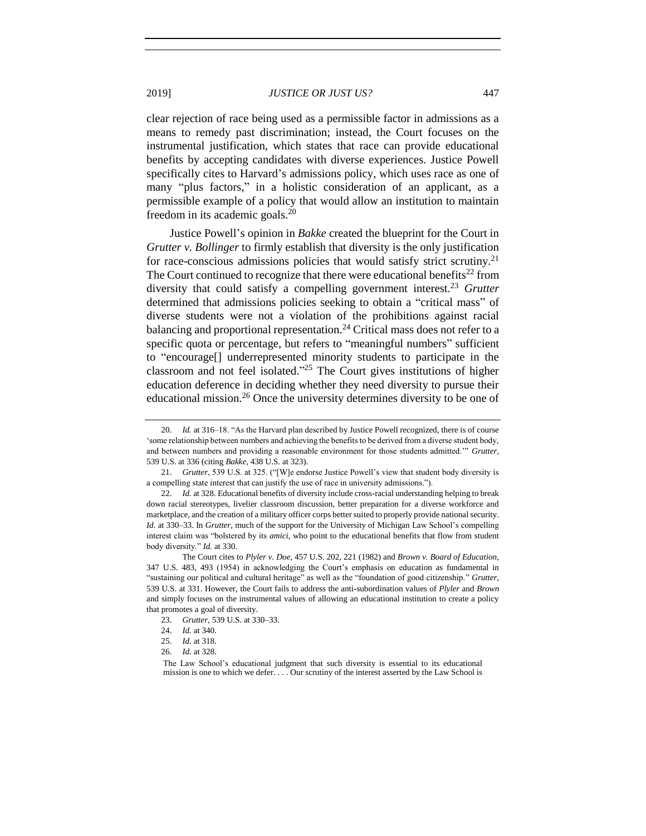clear rejection of race being used as a permissible factor in admissions as a means to remedy past discrimination; instead, the Court focuses on the instrumental justification, which states that race can provide educational benefits by accepting candidates with diverse experiences. Justice Powell specifically cites to Harvard's admissions policy, which uses race as one of many "plus factors," in a holistic consideration of an applicant, as a permissible example of a policy that would allow an institution to maintain freedom in its academic goals.<sup>20</sup>

<span id="page-6-0"></span>Justice Powell's opinion in *Bakke* created the blueprint for the Court in *Grutter v. Bollinger* to firmly establish that diversity is the only justification for race-conscious admissions policies that would satisfy strict scrutiny.<sup>21</sup> The Court continued to recognize that there were educational benefits<sup>22</sup> from diversity that could satisfy a compelling government interest.<sup>23</sup> *Grutter* determined that admissions policies seeking to obtain a "critical mass" of diverse students were not a violation of the prohibitions against racial balancing and proportional representation.<sup>24</sup> Critical mass does not refer to a specific quota or percentage, but refers to "meaningful numbers" sufficient to "encourage[] underrepresented minority students to participate in the classroom and not feel isolated."<sup>25</sup> The Court gives institutions of higher education deference in deciding whether they need diversity to pursue their educational mission.<sup>26</sup> Once the university determines diversity to be one of

<sup>20.</sup> *Id.* at 316–18. "As the Harvard plan described by Justice Powell recognized, there is of course 'some relationship between numbers and achieving the benefits to be derived from a diverse student body, and between numbers and providing a reasonable environment for those students admitted.'" *Grutter*, 539 U.S. at 336 (citing *Bakke*, 438 U.S. at 323).

<sup>21.</sup> *Grutter*, 539 U.S. at 325. ("[W]e endorse Justice Powell's view that student body diversity is a compelling state interest that can justify the use of race in university admissions.").

<sup>22.</sup> *Id.* at 328. Educational benefits of diversity include cross-racial understanding helping to break down racial stereotypes, livelier classroom discussion, better preparation for a diverse workforce and marketplace, and the creation of a military officer corps better suited to properly provide national security. *Id.* at 330–33. In *Grutter*, much of the support for the University of Michigan Law School's compelling interest claim was "bolstered by its *amici*, who point to the educational benefits that flow from student body diversity." *Id.* at 330.

The Court cites to *Plyler v. Doe*, 457 U.S. 202, 221 (1982) and *Brown v. Board of Education*, 347 U.S. 483, 493 (1954) in acknowledging the Court's emphasis on education as fundamental in "sustaining our political and cultural heritage" as well as the "foundation of good citizenship." *Grutter*, 539 U.S. at 331. However, the Court fails to address the anti-subordination values of *Plyler* and *Brown* and simply focuses on the instrumental values of allowing an educational institution to create a policy that promotes a goal of diversity.

<sup>23.</sup> *Grutter*, 539 U.S. at 330–33.

<sup>24.</sup> *Id.* at 340.

<sup>25.</sup> *Id.* at 318.

<sup>26.</sup> *Id.* at 328.

The Law School's educational judgment that such diversity is essential to its educational mission is one to which we defer. . . . Our scrutiny of the interest asserted by the Law School is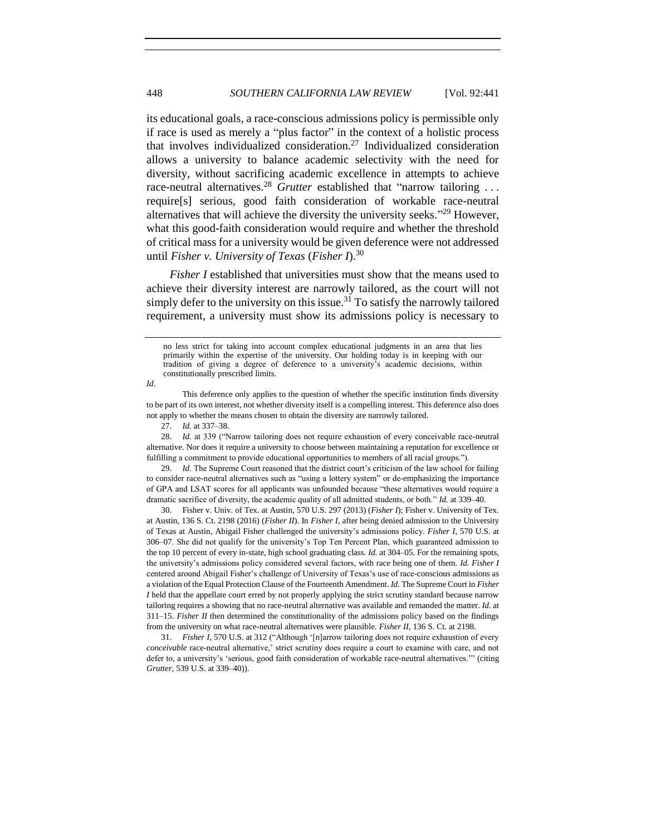its educational goals, a race-conscious admissions policy is permissible only if race is used as merely a "plus factor" in the context of a holistic process that involves individualized consideration.<sup>27</sup> Individualized consideration allows a university to balance academic selectivity with the need for diversity, without sacrificing academic excellence in attempts to achieve race-neutral alternatives.<sup>28</sup> *Grutter* established that "narrow tailoring ... require[s] serious, good faith consideration of workable race-neutral alternatives that will achieve the diversity the university seeks."<sup>29</sup> However, what this good-faith consideration would require and whether the threshold of critical mass for a university would be given deference were not addressed until *Fisher v. University of Texas* (*Fisher I*). 30

<span id="page-7-0"></span>*Fisher I* established that universities must show that the means used to achieve their diversity interest are narrowly tailored, as the court will not simply defer to the university on this issue.<sup>31</sup> To satisfy the narrowly tailored requirement, a university must show its admissions policy is necessary to

*Id.*

28. *Id.* at 339 ("Narrow tailoring does not require exhaustion of every conceivable race-neutral alternative. Nor does it require a university to choose between maintaining a reputation for excellence or fulfilling a commitment to provide educational opportunities to members of all racial groups.").

29. *Id*. The Supreme Court reasoned that the district court's criticism of the law school for failing to consider race-neutral alternatives such as "using a lottery system" or de-emphasizing the importance of GPA and LSAT scores for all applicants was unfounded because "these alternatives would require a dramatic sacrifice of diversity, the academic quality of all admitted students, or both." *Id.* at 339–40.

30. Fisher v. Univ. of Tex. at Austin, 570 U.S. 297 (2013) (*Fisher I*); Fisher v. University of Tex. at Austin, 136 S. Ct. 2198 (2016) (*Fisher II*). In *Fisher I*, after being denied admission to the University of Texas at Austin, Abigail Fisher challenged the university's admissions policy. *Fisher I*, 570 U.S. at 306–07. She did not qualify for the university's Top Ten Percent Plan, which guaranteed admission to the top 10 percent of every in-state, high school graduating class. *Id.* at 304–05. For the remaining spots, the university's admissions policy considered several factors, with race being one of them. *Id. Fisher I* centered around Abigail Fisher's challenge of University of Texas's use of race-conscious admissions as a violation of the Equal Protection Clause of the Fourteenth Amendment. *Id.* The Supreme Court in *Fisher I* held that the appellate court erred by not properly applying the strict scrutiny standard because narrow tailoring requires a showing that no race-neutral alternative was available and remanded the matter. *Id.* at 311–15. *Fisher II* then determined the constitutionality of the admissions policy based on the findings from the university on what race-neutral alternatives were plausible. *Fisher II*, 136 S. Ct. at 2198.

31. *Fisher I*, 570 U.S. at 312 ("Although '[n]arrow tailoring does not require exhaustion of every *conceivable* race-neutral alternative,' strict scrutiny does require a court to examine with care, and not defer to, a university's 'serious, good faith consideration of workable race-neutral alternatives.'" (citing *Grutter*, 539 U.S. at 339–40)).

no less strict for taking into account complex educational judgments in an area that lies primarily within the expertise of the university. Our holding today is in keeping with our tradition of giving a degree of deference to a university's academic decisions, within constitutionally prescribed limits.

This deference only applies to the question of whether the specific institution finds diversity to be part of its own interest, not whether diversity itself is a compelling interest. This deference also does not apply to whether the means chosen to obtain the diversity are narrowly tailored.

<sup>27.</sup> *Id.* at 337–38.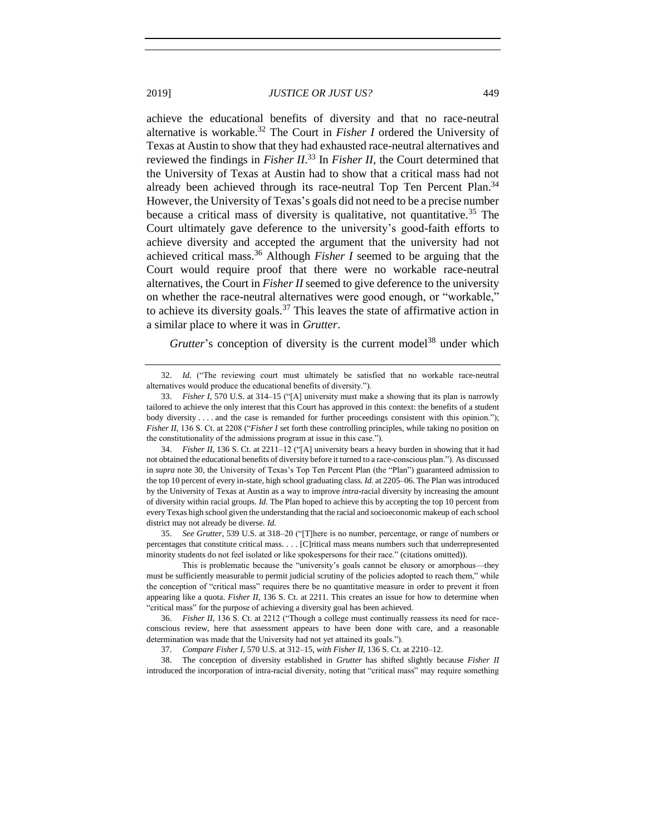achieve the educational benefits of diversity and that no race-neutral alternative is workable.<sup>32</sup> The Court in *Fisher I* ordered the University of Texas at Austin to show that they had exhausted race-neutral alternatives and reviewed the findings in *Fisher II*. <sup>33</sup> In *Fisher II*, the Court determined that the University of Texas at Austin had to show that a critical mass had not already been achieved through its race-neutral Top Ten Percent Plan.<sup>34</sup> However, the University of Texas's goals did not need to be a precise number because a critical mass of diversity is qualitative, not quantitative.<sup>35</sup> The Court ultimately gave deference to the university's good-faith efforts to achieve diversity and accepted the argument that the university had not achieved critical mass. <sup>36</sup> Although *Fisher I* seemed to be arguing that the Court would require proof that there were no workable race-neutral alternatives, the Court in *Fisher II* seemed to give deference to the university on whether the race-neutral alternatives were good enough, or "workable," to achieve its diversity goals.<sup>37</sup> This leaves the state of affirmative action in a similar place to where it was in *Grutter*.

Grutter's conception of diversity is the current model<sup>38</sup> under which

34. *Fisher II*, 136 S. Ct. at 2211–12 ("[A] university bears a heavy burden in showing that it had not obtained the educational benefits of diversity before it turned to a race-conscious plan."). As discussed in *supra* note [30,](#page-7-0) the University of Texas's Top Ten Percent Plan (the "Plan") guaranteed admission to the top 10 percent of every in-state, high school graduating class. *Id.* at 2205–06. The Plan was introduced by the University of Texas at Austin as a way to improve *intra-*racial diversity by increasing the amount of diversity within racial groups. *Id.* The Plan hoped to achieve this by accepting the top 10 percent from every Texas high school given the understanding that the racial and socioeconomic makeup of each school district may not already be diverse. *Id.* 

35. *See Grutter*, 539 U.S. at 318–20 ("[T]here is no number, percentage, or range of numbers or percentages that constitute critical mass. . . . [C]ritical mass means numbers such that underrepresented minority students do not feel isolated or like spokespersons for their race." (citations omitted)).

This is problematic because the "university's goals cannot be elusory or amorphous—they must be sufficiently measurable to permit judicial scrutiny of the policies adopted to reach them," while the conception of "critical mass" requires there be no quantitative measure in order to prevent it from appearing like a quota. *Fisher II*, 136 S. Ct. at 2211. This creates an issue for how to determine when "critical mass" for the purpose of achieving a diversity goal has been achieved.

36. *Fisher II*, 136 S. Ct. at 2212 ("Though a college must continually reassess its need for raceconscious review, here that assessment appears to have been done with care, and a reasonable determination was made that the University had not yet attained its goals.").

37. *Compare Fisher I*, 570 U.S. at 312–15, *with Fisher II*, 136 S. Ct. at 2210–12.

38. The conception of diversity established in *Grutter* has shifted slightly because *Fisher II* introduced the incorporation of intra-racial diversity, noting that "critical mass" may require something

<sup>32.</sup> *Id.* ("The reviewing court must ultimately be satisfied that no workable race-neutral alternatives would produce the educational benefits of diversity.").

<sup>33.</sup> *Fisher I*, 570 U.S. at 314–15 ("[A] university must make a showing that its plan is narrowly tailored to achieve the only interest that this Court has approved in this context: the benefits of a student body diversity . . . . and the case is remanded for further proceedings consistent with this opinion."); *Fisher II*, 136 S. Ct. at 2208 ("*Fisher I* set forth these controlling principles, while taking no position on the constitutionality of the admissions program at issue in this case.").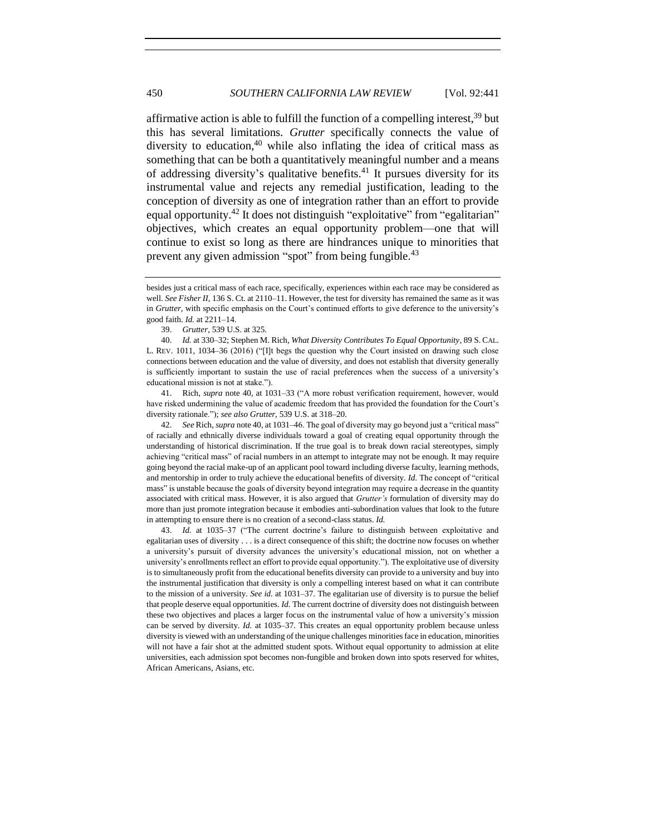<span id="page-9-0"></span>affirmative action is able to fulfill the function of a compelling interest,  $39$  but this has several limitations. *Grutter* specifically connects the value of diversity to education, <sup>40</sup> while also inflating the idea of critical mass as something that can be both a quantitatively meaningful number and a means of addressing diversity's qualitative benefits. $41$  It pursues diversity for its instrumental value and rejects any remedial justification, leading to the conception of diversity as one of integration rather than an effort to provide equal opportunity.<sup>42</sup> It does not distinguish "exploitative" from "egalitarian" objectives, which creates an equal opportunity problem—one that will continue to exist so long as there are hindrances unique to minorities that prevent any given admission "spot" from being fungible.<sup>43</sup>

41. Rich, *supra* note [40,](#page-9-0) at 1031–33 ("A more robust verification requirement, however, would have risked undermining the value of academic freedom that has provided the foundation for the Court's diversity rationale."); *see also Grutter*, 539 U.S. at 318–20.

42. *See* Rich, *supra* note [40,](#page-9-0) at 1031–46. The goal of diversity may go beyond just a "critical mass" of racially and ethnically diverse individuals toward a goal of creating equal opportunity through the understanding of historical discrimination. If the true goal is to break down racial stereotypes, simply achieving "critical mass" of racial numbers in an attempt to integrate may not be enough. It may require going beyond the racial make-up of an applicant pool toward including diverse faculty, learning methods, and mentorship in order to truly achieve the educational benefits of diversity. *Id.* The concept of "critical mass" is unstable because the goals of diversity beyond integration may require a decrease in the quantity associated with critical mass. However, it is also argued that *Grutter's* formulation of diversity may do more than just promote integration because it embodies anti-subordination values that look to the future in attempting to ensure there is no creation of a second-class status. *Id.* 

43. *Id.* at 1035–37 ("The current doctrine's failure to distinguish between exploitative and egalitarian uses of diversity . . . is a direct consequence of this shift; the doctrine now focuses on whether a university's pursuit of diversity advances the university's educational mission, not on whether a university's enrollments reflect an effort to provide equal opportunity."). The exploitative use of diversity is to simultaneously profit from the educational benefits diversity can provide to a university and buy into the instrumental justification that diversity is only a compelling interest based on what it can contribute to the mission of a university. *See id.* at 1031–37. The egalitarian use of diversity is to pursue the belief that people deserve equal opportunities. *Id.* The current doctrine of diversity does not distinguish between these two objectives and places a larger focus on the instrumental value of how a university's mission can be served by diversity. *Id.* at 1035–37. This creates an equal opportunity problem because unless diversity is viewed with an understanding of the unique challenges minorities face in education, minorities will not have a fair shot at the admitted student spots. Without equal opportunity to admission at elite universities, each admission spot becomes non-fungible and broken down into spots reserved for whites, African Americans, Asians, etc.

besides just a critical mass of each race, specifically, experiences within each race may be considered as well. *See Fisher II*, 136 S. Ct. at 2110–11. However, the test for diversity has remained the same as it was in *Grutter*, with specific emphasis on the Court's continued efforts to give deference to the university's good faith. *Id.* at 2211–14.

<sup>39.</sup> *Grutter*, 539 U.S. at 325.

<sup>40.</sup> *Id.* at 330–32; Stephen M. Rich, *What Diversity Contributes To Equal Opportunity*, 89 S. CAL. L. REV. 1011, 1034–36 (2016) ("[I]t begs the question why the Court insisted on drawing such close connections between education and the value of diversity, and does not establish that diversity generally is sufficiently important to sustain the use of racial preferences when the success of a university's educational mission is not at stake.").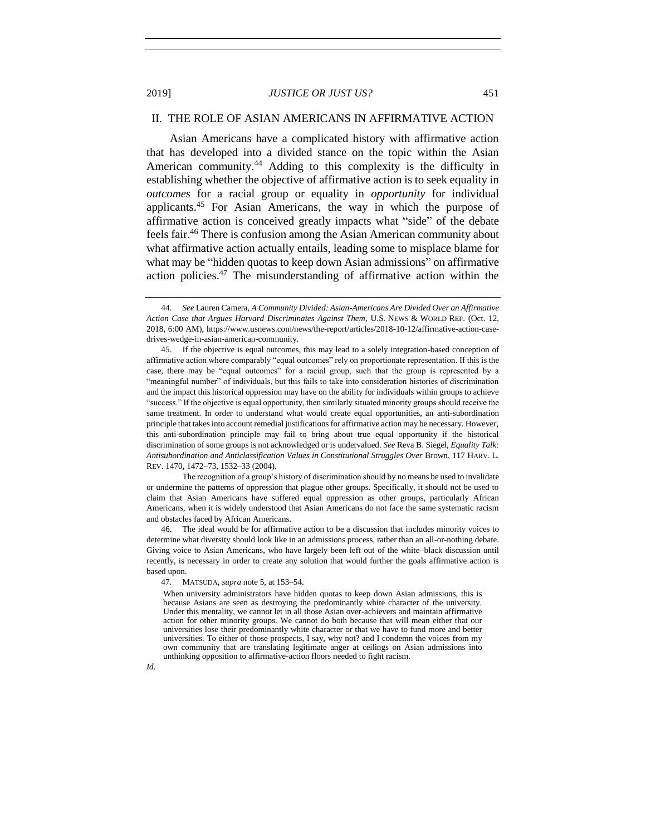#### <span id="page-10-0"></span>II. THE ROLE OF ASIAN AMERICANS IN AFFIRMATIVE ACTION

Asian Americans have a complicated history with affirmative action that has developed into a divided stance on the topic within the Asian American community.<sup>44</sup> Adding to this complexity is the difficulty in establishing whether the objective of affirmative action is to seek equality in *outcomes* for a racial group or equality in *opportunity* for individual applicants.<sup>45</sup> For Asian Americans, the way in which the purpose of affirmative action is conceived greatly impacts what "side" of the debate feels fair.<sup>46</sup> There is confusion among the Asian American community about what affirmative action actually entails, leading some to misplace blame for what may be "hidden quotas to keep down Asian admissions" on affirmative action policies.<sup>47</sup> The misunderstanding of affirmative action within the

The recognition of a group's history of discrimination should by no means be used to invalidate or undermine the patterns of oppression that plague other groups. Specifically, it should not be used to claim that Asian Americans have suffered equal oppression as other groups, particularly African Americans, when it is widely understood that Asian Americans do not face the same systematic racism and obstacles faced by African Americans.

The ideal would be for affirmative action to be a discussion that includes minority voices to determine what diversity should look like in an admissions process, rather than an all-or-nothing debate. Giving voice to Asian Americans, who have largely been left out of the white–black discussion until recently, is necessary in order to create any solution that would further the goals affirmative action is based upon.

47. MATSUDA, *supra* not[e 5,](#page-2-0) at 153–54.

When university administrators have hidden quotas to keep down Asian admissions, this is because Asians are seen as destroying the predominantly white character of the university. Under this mentality, we cannot let in all those Asian over-achievers and maintain affirmative action for other minority groups. We cannot do both because that will mean either that our universities lose their predominantly white character or that we have to fund more and better universities. To either of those prospects, I say, why not? and I condemn the voices from my own community that are translating legitimate anger at ceilings on Asian admissions into unthinking opposition to affirmative-action floors needed to fight racism.

*Id.*

<sup>44.</sup> *See* Lauren Camera, *A Community Divided: Asian-Americans Are Divided Over an Affirmative Action Case that Argues Harvard Discriminates Against Them*, U.S. NEWS & WORLD REP. (Oct. 12, 2018, 6:00 AM), https://www.usnews.com/news/the-report/articles/2018-10-12/affirmative-action-casedrives-wedge-in-asian-american-community.

<sup>45.</sup> If the objective is equal outcomes, this may lead to a solely integration-based conception of affirmative action where comparably "equal outcomes" rely on proportionate representation. If this is the case, there may be "equal outcomes" for a racial group, such that the group is represented by a "meaningful number" of individuals, but this fails to take into consideration histories of discrimination and the impact this historical oppression may have on the ability for individuals within groups to achieve "success." If the objective is equal opportunity, then similarly situated minority groups should receive the same treatment. In order to understand what would create equal opportunities, an anti-subordination principle that takes into account remedial justifications for affirmative action may be necessary. However, this anti-subordination principle may fail to bring about true equal opportunity if the historical discrimination of some groups is not acknowledged or is undervalued. *See* Reva B. Siegel, *Equality Talk: Antisubordination and Anticlassification Values in Constitutional Struggles Over* Brown, 117 HARV. L. REV. 1470, 1472–73, 1532–33 (2004).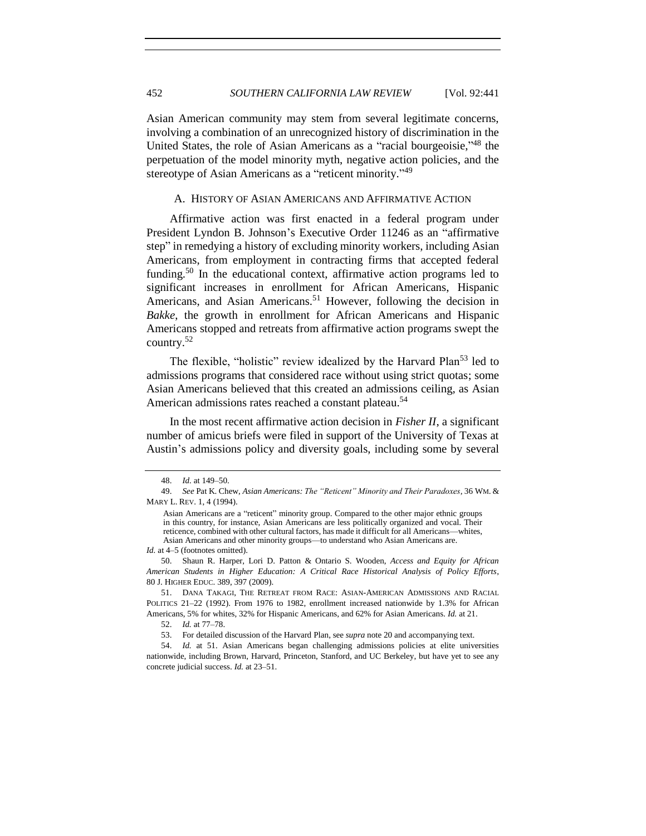Asian American community may stem from several legitimate concerns, involving a combination of an unrecognized history of discrimination in the United States, the role of Asian Americans as a "racial bourgeoisie,"<sup>48</sup> the perpetuation of the model minority myth, negative action policies, and the stereotype of Asian Americans as a "reticent minority."<sup>49</sup>

#### <span id="page-11-1"></span><span id="page-11-0"></span>A. HISTORY OF ASIAN AMERICANS AND AFFIRMATIVE ACTION

Affirmative action was first enacted in a federal program under President Lyndon B. Johnson's Executive Order 11246 as an "affirmative step" in remedying a history of excluding minority workers, including Asian Americans, from employment in contracting firms that accepted federal funding.<sup>50</sup> In the educational context, affirmative action programs led to significant increases in enrollment for African Americans, Hispanic Americans, and Asian Americans.<sup>51</sup> However, following the decision in *Bakke*, the growth in enrollment for African Americans and Hispanic Americans stopped and retreats from affirmative action programs swept the country.<sup>52</sup>

The flexible, "holistic" review idealized by the Harvard Plan<sup>53</sup> led to admissions programs that considered race without using strict quotas; some Asian Americans believed that this created an admissions ceiling, as Asian American admissions rates reached a constant plateau.<sup>54</sup>

In the most recent affirmative action decision in *Fisher II*, a significant number of amicus briefs were filed in support of the University of Texas at Austin's admissions policy and diversity goals, including some by several

*Id.* at 4–5 (footnotes omitted).

50. Shaun R. Harper, Lori D. Patton & Ontario S. Wooden, *Access and Equity for African American Students in Higher Education: A Critical Race Historical Analysis of Policy Efforts*, 80 J. HIGHER EDUC. 389, 397 (2009).

<sup>48.</sup> *Id.* at 149–50.

<sup>49.</sup> *See* Pat K. Chew, *Asian Americans: The "Reticent" Minority and Their Paradoxes*, 36 WM. & MARY L. REV. 1, 4 (1994).

Asian Americans are a "reticent" minority group. Compared to the other major ethnic groups in this country, for instance, Asian Americans are less politically organized and vocal. Their reticence, combined with other cultural factors, has made it difficult for all Americans—whites, Asian Americans and other minority groups—to understand who Asian Americans are.

<sup>51.</sup> DANA TAKAGI, THE RETREAT FROM RACE: ASIAN-AMERICAN ADMISSIONS AND RACIAL POLITICS 21–22 (1992). From 1976 to 1982, enrollment increased nationwide by 1.3% for African Americans, 5% for whites, 32% for Hispanic Americans, and 62% for Asian Americans. *Id.* at 21.

<sup>52.</sup> *Id.* at 77–78.

<sup>53.</sup> For detailed discussion of the Harvard Plan, see *supra* note [20](#page-6-0) and accompanying text.

<sup>54.</sup> *Id.* at 51. Asian Americans began challenging admissions policies at elite universities nationwide, including Brown, Harvard, Princeton, Stanford, and UC Berkeley, but have yet to see any concrete judicial success. *Id.* at 23–51.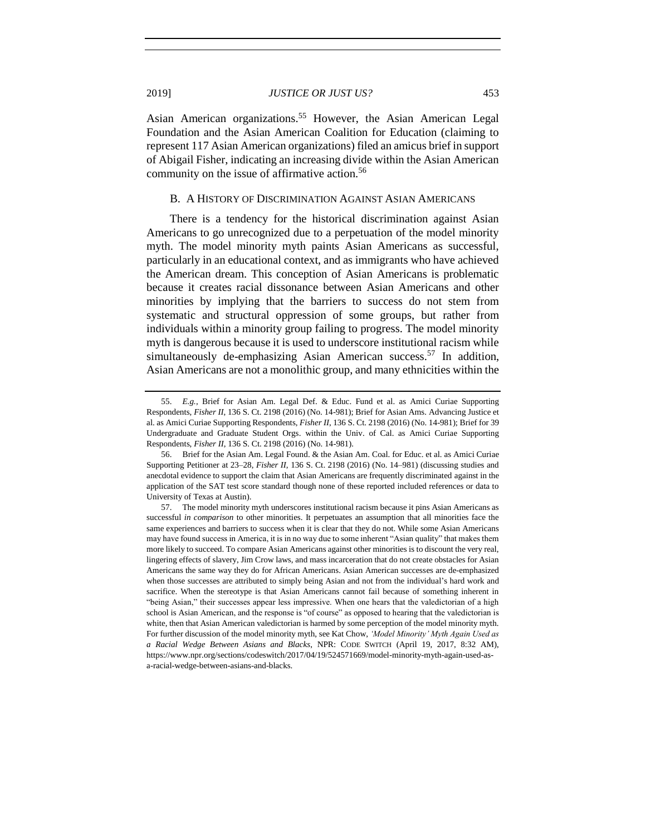Asian American organizations.<sup>55</sup> However, the Asian American Legal Foundation and the Asian American Coalition for Education (claiming to represent 117 Asian American organizations) filed an amicus brief in support of Abigail Fisher, indicating an increasing divide within the Asian American community on the issue of affirmative action.<sup>56</sup>

#### <span id="page-12-0"></span>B. A HISTORY OF DISCRIMINATION AGAINST ASIAN AMERICANS

There is a tendency for the historical discrimination against Asian Americans to go unrecognized due to a perpetuation of the model minority myth. The model minority myth paints Asian Americans as successful, particularly in an educational context, and as immigrants who have achieved the American dream. This conception of Asian Americans is problematic because it creates racial dissonance between Asian Americans and other minorities by implying that the barriers to success do not stem from systematic and structural oppression of some groups, but rather from individuals within a minority group failing to progress. The model minority myth is dangerous because it is used to underscore institutional racism while simultaneously de-emphasizing Asian American success.<sup>57</sup> In addition, Asian Americans are not a monolithic group, and many ethnicities within the

<span id="page-12-1"></span><sup>55.</sup> *E.g.*, Brief for Asian Am. Legal Def. & Educ. Fund et al. as Amici Curiae Supporting Respondents, *Fisher II*, 136 S. Ct. 2198 (2016) (No. 14-981); Brief for Asian Ams. Advancing Justice et al. as Amici Curiae Supporting Respondents, *Fisher II*, 136 S. Ct. 2198 (2016) (No. 14-981); Brief for 39 Undergraduate and Graduate Student Orgs. within the Univ. of Cal. as Amici Curiae Supporting Respondents, *Fisher II*, 136 S. Ct. 2198 (2016) (No. 14-981).

<sup>56.</sup> Brief for the Asian Am. Legal Found. & the Asian Am. Coal. for Educ. et al. as Amici Curiae Supporting Petitioner at 23–28, *Fisher II*, 136 S. Ct. 2198 (2016) (No. 14–981) (discussing studies and anecdotal evidence to support the claim that Asian Americans are frequently discriminated against in the application of the SAT test score standard though none of these reported included references or data to University of Texas at Austin).

<sup>57.</sup> The model minority myth underscores institutional racism because it pins Asian Americans as successful *in comparison* to other minorities. It perpetuates an assumption that all minorities face the same experiences and barriers to success when it is clear that they do not. While some Asian Americans may have found success in America, it is in no way due to some inherent "Asian quality" that makes them more likely to succeed. To compare Asian Americans against other minorities is to discount the very real, lingering effects of slavery, Jim Crow laws, and mass incarceration that do not create obstacles for Asian Americans the same way they do for African Americans. Asian American successes are de-emphasized when those successes are attributed to simply being Asian and not from the individual's hard work and sacrifice. When the stereotype is that Asian Americans cannot fail because of something inherent in "being Asian," their successes appear less impressive. When one hears that the valedictorian of a high school is Asian American, and the response is "of course" as opposed to hearing that the valedictorian is white, then that Asian American valedictorian is harmed by some perception of the model minority myth. For further discussion of the model minority myth, see Kat Chow, *'Model Minority' Myth Again Used as a Racial Wedge Between Asians and Blacks*, NPR: CODE SWITCH (April 19, 2017, 8:32 AM), https://www.npr.org/sections/codeswitch/2017/04/19/524571669/model-minority-myth-again-used-asa-racial-wedge-between-asians-and-blacks.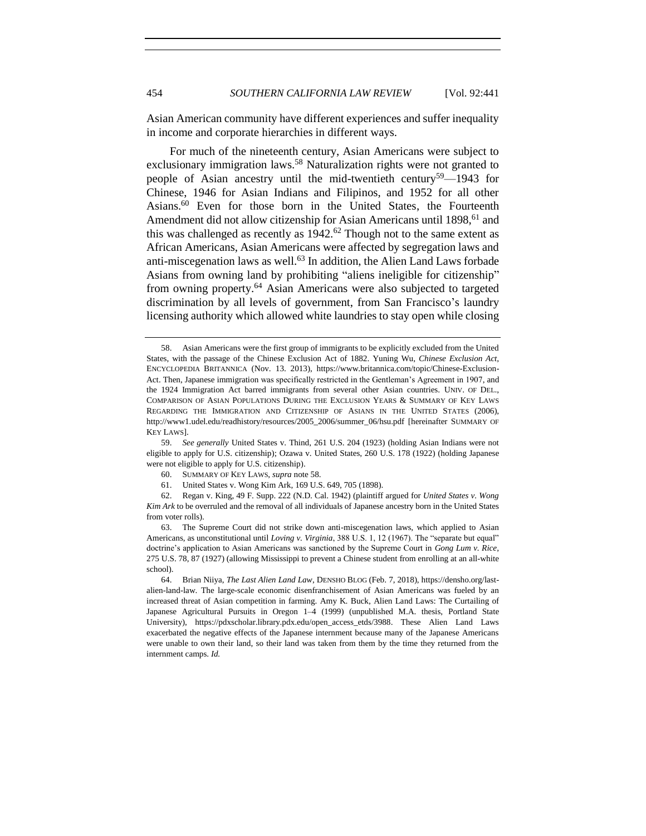Asian American community have different experiences and suffer inequality in income and corporate hierarchies in different ways.

<span id="page-13-0"></span>For much of the nineteenth century, Asian Americans were subject to exclusionary immigration laws.<sup>58</sup> Naturalization rights were not granted to people of Asian ancestry until the mid-twentieth century<sup>59</sup>—1943 for Chinese, 1946 for Asian Indians and Filipinos, and 1952 for all other Asians.<sup>60</sup> Even for those born in the United States, the Fourteenth Amendment did not allow citizenship for Asian Americans until 1898,<sup>61</sup> and this was challenged as recently as  $1942<sup>62</sup>$  Though not to the same extent as African Americans, Asian Americans were affected by segregation laws and anti-miscegenation laws as well.<sup>63</sup> In addition, the Alien Land Laws forbade Asians from owning land by prohibiting "aliens ineligible for citizenship" from owning property.<sup>64</sup> Asian Americans were also subjected to targeted discrimination by all levels of government, from San Francisco's laundry licensing authority which allowed white laundries to stay open while closing

<sup>58.</sup> Asian Americans were the first group of immigrants to be explicitly excluded from the United States, with the passage of the Chinese Exclusion Act of 1882. Yuning Wu, *Chinese Exclusion Act*, ENCYCLOPEDIA BRITANNICA (Nov. 13. 2013), https://www.britannica.com/topic/Chinese-Exclusion-Act. Then, Japanese immigration was specifically restricted in the Gentleman's Agreement in 1907, and the 1924 Immigration Act barred immigrants from several other Asian countries. UNIV. OF DEL., COMPARISON OF ASIAN POPULATIONS DURING THE EXCLUSION YEARS & SUMMARY OF KEY LAWS REGARDING THE IMMIGRATION AND CITIZENSHIP OF ASIANS IN THE UNITED STATES (2006), http://www1.udel.edu/readhistory/resources/2005\_2006/summer\_06/hsu.pdf [hereinafter SUMMARY OF KEY LAWS].

<sup>59.</sup> *See generally* United States v. Thind, 261 U.S. 204 (1923) (holding Asian Indians were not eligible to apply for U.S. citizenship); Ozawa v. United States, 260 U.S. 178 (1922) (holding Japanese were not eligible to apply for U.S. citizenship).

<sup>60.</sup> SUMMARY OF KEY LAWS, *supra* not[e 58.](#page-13-0)

<sup>61.</sup> United States v. Wong Kim Ark, 169 U.S. 649, 705 (1898).

<sup>62.</sup> Regan v. King, 49 F. Supp. 222 (N.D. Cal. 1942) (plaintiff argued for *United States v. Wong Kim Ark* to be overruled and the removal of all individuals of Japanese ancestry born in the United States from voter rolls).

<sup>63.</sup> The Supreme Court did not strike down anti-miscegenation laws, which applied to Asian Americans, as unconstitutional until *Loving v. Virginia*, 388 U.S. 1, 12 (1967). The "separate but equal" doctrine's application to Asian Americans was sanctioned by the Supreme Court in *Gong Lum v. Rice*, 275 U.S. 78, 87 (1927) (allowing Mississippi to prevent a Chinese student from enrolling at an all-white school).

<sup>64.</sup> Brian Niiya, *The Last Alien Land Law*, DENSHO BLOG (Feb. 7, 2018), https://densho.org/lastalien-land-law. The large-scale economic disenfranchisement of Asian Americans was fueled by an increased threat of Asian competition in farming. Amy K. Buck, Alien Land Laws: The Curtailing of Japanese Agricultural Pursuits in Oregon 1–4 (1999) (unpublished M.A. thesis, Portland State University), https://pdxscholar.library.pdx.edu/open\_access\_etds/3988. These Alien Land Laws exacerbated the negative effects of the Japanese internment because many of the Japanese Americans were unable to own their land, so their land was taken from them by the time they returned from the internment camps. *Id.*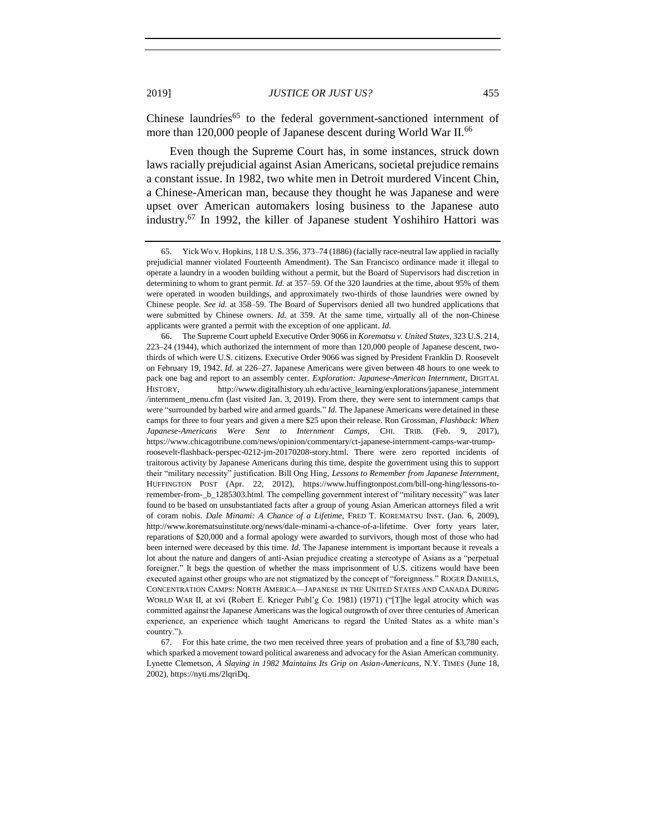<span id="page-14-1"></span>Chinese laundries<sup>65</sup> to the federal government-sanctioned internment of more than 120,000 people of Japanese descent during World War II.<sup>66</sup>

Even though the Supreme Court has, in some instances, struck down laws racially prejudicial against Asian Americans, societal prejudice remains a constant issue. In 1982, two white men in Detroit murdered Vincent Chin, a Chinese-American man, because they thought he was Japanese and were upset over American automakers losing business to the Japanese auto industry.<sup>67</sup> In 1992, the killer of Japanese student Yoshihiro Hattori was

67. For this hate crime, the two men received three years of probation and a fine of \$3,780 each, which sparked a movement toward political awareness and advocacy for the Asian American community. Lynette Clemetson, *A Slaying in 1982 Maintains Its Grip on Asian-Americans*, N.Y. TIMES (June 18, 2002), https://nyti.ms/2lqriDq.

<span id="page-14-0"></span><sup>65.</sup> Yick Wo v. Hopkins, 118 U.S. 356, 373–74 (1886) (facially race-neutral law applied in racially prejudicial manner violated Fourteenth Amendment). The San Francisco ordinance made it illegal to operate a laundry in a wooden building without a permit, but the Board of Supervisors had discretion in determining to whom to grant permit. *Id.* at 357–59. Of the 320 laundries at the time, about 95% of them were operated in wooden buildings, and approximately two-thirds of those laundries were owned by Chinese people. *See id.* at 358–59. The Board of Supervisors denied all two hundred applications that were submitted by Chinese owners. *Id.* at 359. At the same time, virtually all of the non-Chinese applicants were granted a permit with the exception of one applicant. *Id.*

<sup>66.</sup> The Supreme Court upheld Executive Order 9066 in *Korematsu v. United States*, 323 U.S. 214, 223–24 (1944), which authorized the internment of more than 120,000 people of Japanese descent, twothirds of which were U.S. citizens. Executive Order 9066 was signed by President Franklin D. Roosevelt on February 19, 1942. *Id.* at 226–27. Japanese Americans were given between 48 hours to one week to pack one bag and report to an assembly center. *Exploration: Japanese-American Internment*, DIGITAL HISTORY, http://www.digitalhistory.uh.edu/active\_learning/explorations/japanese\_internment /internment\_menu.cfm (last visited Jan. 3, 2019). From there, they were sent to internment camps that were "surrounded by barbed wire and armed guards." *Id.* The Japanese Americans were detained in these camps for three to four years and given a mere \$25 upon their release. Ron Grossman, *Flashback: When Japanese-Americans Were Sent to Internment Camps*, CHI. TRIB. (Feb. 9, 2017), https://www.chicagotribune.com/news/opinion/commentary/ct-japanese-internment-camps-war-trumproosevelt-flashback-perspec-0212-jm-20170208-story.html. There were zero reported incidents of traitorous activity by Japanese Americans during this time, despite the government using this to support their "military necessity" justification. Bill Ong Hing, *Lessons to Remember from Japanese Internment*, HUFFINGTON POST (Apr. 22, 2012), https://www.huffingtonpost.com/bill-ong-hing/lessons-toremember-from-\_b\_1285303.html. The compelling government interest of "military necessity" was later found to be based on unsubstantiated facts after a group of young Asian American attorneys filed a writ of coram nobis. *Dale Minami: A Chance of a Lifetime*, FRED T. KOREMATSU INST. (Jan. 6, 2009), http://www.korematsuinstitute.org/news/dale-minami-a-chance-of-a-lifetime. Over forty years later, reparations of \$20,000 and a formal apology were awarded to survivors, though most of those who had been interned were deceased by this time. *Id.* The Japanese internment is important because it reveals a lot about the nature and dangers of anti-Asian prejudice creating a stereotype of Asians as a "perpetual foreigner." It begs the question of whether the mass imprisonment of U.S. citizens would have been executed against other groups who are not stigmatized by the concept of "foreignness." ROGER DANIELS, CONCENTRATION CAMPS: NORTH AMERICA—JAPANESE IN THE UNITED STATES AND CANADA DURING WORLD WAR II, at xvi (Robert E. Krieger Publ'g Co. 1981) (1971) ("[T]he legal atrocity which was committed against the Japanese Americans was the logical outgrowth of over three centuries of American experience, an experience which taught Americans to regard the United States as a white man's country.").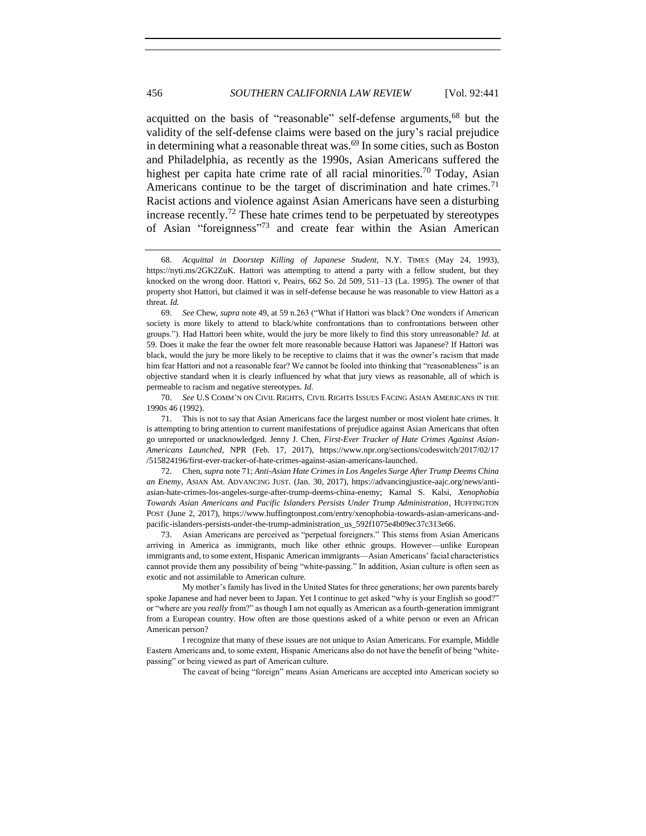<span id="page-15-2"></span><span id="page-15-1"></span>acquitted on the basis of "reasonable" self-defense arguments,<sup>68</sup> but the validity of the self-defense claims were based on the jury's racial prejudice in determining what a reasonable threat was. <sup>69</sup> In some cities, such as Boston and Philadelphia, as recently as the 1990s, Asian Americans suffered the highest per capita hate crime rate of all racial minorities.<sup>70</sup> Today, Asian Americans continue to be the target of discrimination and hate crimes.<sup>71</sup> Racist actions and violence against Asian Americans have seen a disturbing increase recently.<sup>72</sup> These hate crimes tend to be perpetuated by stereotypes of Asian "foreignness"<sup>73</sup> and create fear within the Asian American

70. *See* U.S COMM'N ON CIVIL RIGHTS, CIVIL RIGHTS ISSUES FACING ASIAN AMERICANS IN THE 1990S 46 (1992).

73. Asian Americans are perceived as "perpetual foreigners." This stems from Asian Americans arriving in America as immigrants, much like other ethnic groups. However—unlike European immigrants and, to some extent, Hispanic American immigrants—Asian Americans' facial characteristics cannot provide them any possibility of being "white-passing." In addition, Asian culture is often seen as exotic and not assimilable to American culture.

My mother's family has lived in the United States for three generations; her own parents barely spoke Japanese and had never been to Japan. Yet I continue to get asked "why is your English so good?" or "where are you *really* from?" as though I am not equally as American as a fourth-generation immigrant from a European country. How often are those questions asked of a white person or even an African American person?

I recognize that many of these issues are not unique to Asian Americans. For example, Middle Eastern Americans and, to some extent, Hispanic Americans also do not have the benefit of being "whitepassing" or being viewed as part of American culture.

The caveat of being "foreign" means Asian Americans are accepted into American society so

<span id="page-15-0"></span><sup>68.</sup> *Acquittal in Doorstep Killing of Japanese Student*, N.Y. TIMES (May 24, 1993), https://nyti.ms/2GK2ZuK. Hattori was attempting to attend a party with a fellow student, but they knocked on the wrong door. Hattori v, Peairs, 662 So. 2d 509, 511–13 (La. 1995). The owner of that property shot Hattori, but claimed it was in self-defense because he was reasonable to view Hattori as a threat. *Id.*

<sup>69.</sup> *See* Chew, *supra* not[e 49,](#page-11-1) at 59 n.263 ("What if Hattori was black? One wonders if American society is more likely to attend to black/white confrontations than to confrontations between other groups."). Had Hattori been white, would the jury be more likely to find this story unreasonable? *Id.* at 59. Does it make the fear the owner felt more reasonable because Hattori was Japanese? If Hattori was black, would the jury be more likely to be receptive to claims that it was the owner's racism that made him fear Hattori and not a reasonable fear? We cannot be fooled into thinking that "reasonableness" is an objective standard when it is clearly influenced by what that jury views as reasonable, all of which is permeable to racism and negative stereotypes. *Id.*

<sup>71.</sup> This is not to say that Asian Americans face the largest number or most violent hate crimes. It is attempting to bring attention to current manifestations of prejudice against Asian Americans that often go unreported or unacknowledged. Jenny J. Chen, *First-Ever Tracker of Hate Crimes Against Asian-Americans Launched*, NPR (Feb. 17, 2017), https://www.npr.org/sections/codeswitch/2017/02/17 /515824196/first-ever-tracker-of-hate-crimes-against-asian-americans-launched.

<sup>72.</sup> Chen, *supra* not[e 71;](#page-15-1) *Anti-Asian Hate Crimes in Los Angeles Surge After Trump Deems China an Enemy*, ASIAN AM. ADVANCING JUST. (Jan. 30, 2017), https://advancingjustice-aajc.org/news/antiasian-hate-crimes-los-angeles-surge-after-trump-deems-china-enemy; Kamal S. Kalsi, *Xenophobia Towards Asian Americans and Pacific Islanders Persists Under Trump Administration*, HUFFINGTON POST (June 2, 2017), https://www.huffingtonpost.com/entry/xenophobia-towards-asian-americans-andpacific-islanders-persists-under-the-trump-administration\_us\_592f1075e4b09ec37c313e66.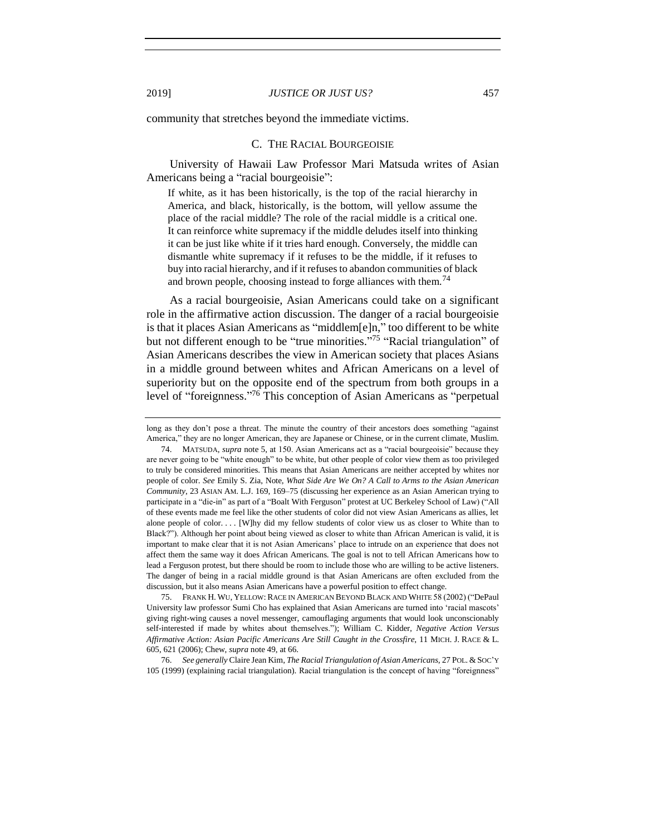<span id="page-16-0"></span>community that stretches beyond the immediate victims.

#### C. THE RACIAL BOURGEOISIE

University of Hawaii Law Professor Mari Matsuda writes of Asian Americans being a "racial bourgeoisie":

If white, as it has been historically, is the top of the racial hierarchy in America, and black, historically, is the bottom, will yellow assume the place of the racial middle? The role of the racial middle is a critical one. It can reinforce white supremacy if the middle deludes itself into thinking it can be just like white if it tries hard enough. Conversely, the middle can dismantle white supremacy if it refuses to be the middle, if it refuses to buy into racial hierarchy, and if it refuses to abandon communities of black and brown people, choosing instead to forge alliances with them.<sup>74</sup>

<span id="page-16-2"></span>As a racial bourgeoisie, Asian Americans could take on a significant role in the affirmative action discussion. The danger of a racial bourgeoisie is that it places Asian Americans as "middlem[e]n," too different to be white but not different enough to be "true minorities."<sup>75</sup> "Racial triangulation" of Asian Americans describes the view in American society that places Asians in a middle ground between whites and African Americans on a level of superiority but on the opposite end of the spectrum from both groups in a level of "foreignness." <sup>76</sup> This conception of Asian Americans as "perpetual

<span id="page-16-1"></span>long as they don't pose a threat. The minute the country of their ancestors does something "against America," they are no longer American, they are Japanese or Chinese, or in the current climate, Muslim.

74. MATSUDA, *supra* not[e 5,](#page-2-0) at 150. Asian Americans act as a "racial bourgeoisie" because they are never going to be "white enough" to be white, but other people of color view them as too privileged to truly be considered minorities. This means that Asian Americans are neither accepted by whites nor people of color. *See* Emily S. Zia, Note, *What Side Are We On? A Call to Arms to the Asian American Community*, 23 ASIAN AM. L.J. 169, 169–75 (discussing her experience as an Asian American trying to participate in a "die-in" as part of a "Boalt With Ferguson" protest at UC Berkeley School of Law) ("All of these events made me feel like the other students of color did not view Asian Americans as allies, let alone people of color. . . . [W]hy did my fellow students of color view us as closer to White than to Black?"). Although her point about being viewed as closer to white than African American is valid, it is important to make clear that it is not Asian Americans' place to intrude on an experience that does not affect them the same way it does African Americans. The goal is not to tell African Americans how to lead a Ferguson protest, but there should be room to include those who are willing to be active listeners. The danger of being in a racial middle ground is that Asian Americans are often excluded from the discussion, but it also means Asian Americans have a powerful position to effect change.

75. FRANK H. WU, YELLOW:RACE IN AMERICAN BEYOND BLACK AND WHITE 58 (2002) ("DePaul University law professor Sumi Cho has explained that Asian Americans are turned into 'racial mascots' giving right-wing causes a novel messenger, camouflaging arguments that would look unconscionably self-interested if made by whites about themselves."); William C. Kidder, *Negative Action Versus Affirmative Action: Asian Pacific Americans Are Still Caught in the Crossfire*, 11 MICH. J. RACE & L. 605, 621 (2006); Chew, *supra* not[e 49,](#page-11-1) at 66.

76. *See generally* Claire Jean Kim, *The Racial Triangulation of Asian Americans*, 27 POL. &SOC'Y 105 (1999) (explaining racial triangulation). Racial triangulation is the concept of having "foreignness"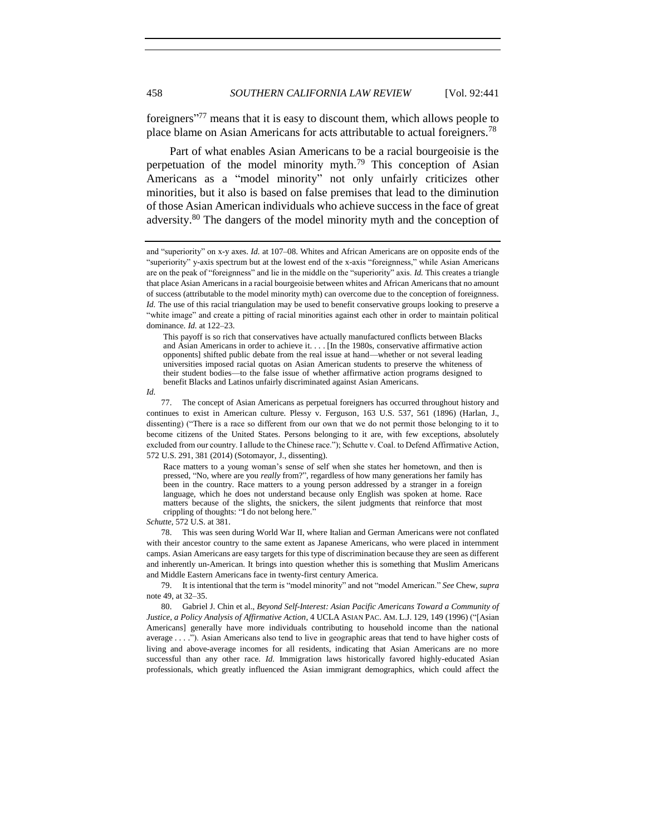<span id="page-17-0"></span>foreigners"<sup>77</sup> means that it is easy to discount them, which allows people to place blame on Asian Americans for acts attributable to actual foreigners.<sup>78</sup>

Part of what enables Asian Americans to be a racial bourgeoisie is the perpetuation of the model minority myth.<sup>79</sup> This conception of Asian Americans as a "model minority" not only unfairly criticizes other minorities, but it also is based on false premises that lead to the diminution of those Asian American individuals who achieve success in the face of great adversity.<sup>80</sup> The dangers of the model minority myth and the conception of

*Id.*

Race matters to a young woman's sense of self when she states her hometown, and then is pressed, "No, where are you *really* from?", regardless of how many generations her family has been in the country. Race matters to a young person addressed by a stranger in a foreign language, which he does not understand because only English was spoken at home. Race matters because of the slights, the snickers, the silent judgments that reinforce that most crippling of thoughts: "I do not belong here."

*Schutte*, 572 U.S. at 381.

78. This was seen during World War II, where Italian and German Americans were not conflated with their ancestor country to the same extent as Japanese Americans, who were placed in internment camps. Asian Americans are easy targets for this type of discrimination because they are seen as different and inherently un-American. It brings into question whether this is something that Muslim Americans and Middle Eastern Americans face in twenty-first century America.

79. It is intentional that the term is "model minority" and not "model American." *See* Chew, *supra*  not[e 49,](#page-11-1) at 32–35.

80. Gabriel J. Chin et al., *Beyond Self-Interest: Asian Pacific Americans Toward a Community of Justice, a Policy Analysis of Affirmative Action*, 4 UCLA ASIAN PAC. AM. L.J. 129, 149 (1996) ("[Asian Americans] generally have more individuals contributing to household income than the national average . . . ."). Asian Americans also tend to live in geographic areas that tend to have higher costs of living and above-average incomes for all residents, indicating that Asian Americans are no more successful than any other race. *Id.* Immigration laws historically favored highly-educated Asian professionals, which greatly influenced the Asian immigrant demographics, which could affect the

<span id="page-17-1"></span>and "superiority" on x-y axes. *Id.* at 107–08. Whites and African Americans are on opposite ends of the "superiority" y-axis spectrum but at the lowest end of the x-axis "foreignness," while Asian Americans are on the peak of "foreignness" and lie in the middle on the "superiority" axis. *Id.* This creates a triangle that place Asian Americans in a racial bourgeoisie between whites and African Americans that no amount of success (attributable to the model minority myth) can overcome due to the conception of foreignness. *Id.* The use of this racial triangulation may be used to benefit conservative groups looking to preserve a "white image" and create a pitting of racial minorities against each other in order to maintain political dominance. *Id.* at 122–23.

This payoff is so rich that conservatives have actually manufactured conflicts between Blacks and Asian Americans in order to achieve it. . . . [In the 1980s, conservative affirmative action opponents] shifted public debate from the real issue at hand—whether or not several leading universities imposed racial quotas on Asian American students to preserve the whiteness of their student bodies—to the false issue of whether affirmative action programs designed to benefit Blacks and Latinos unfairly discriminated against Asian Americans.

<sup>77.</sup> The concept of Asian Americans as perpetual foreigners has occurred throughout history and continues to exist in American culture. Plessy v. Ferguson, 163 U.S. 537, 561 (1896) (Harlan, J., dissenting) ("There is a race so different from our own that we do not permit those belonging to it to become citizens of the United States. Persons belonging to it are, with few exceptions, absolutely excluded from our country. I allude to the Chinese race."); Schutte v. Coal. to Defend Affirmative Action, 572 U.S. 291, 381 (2014) (Sotomayor, J., dissenting).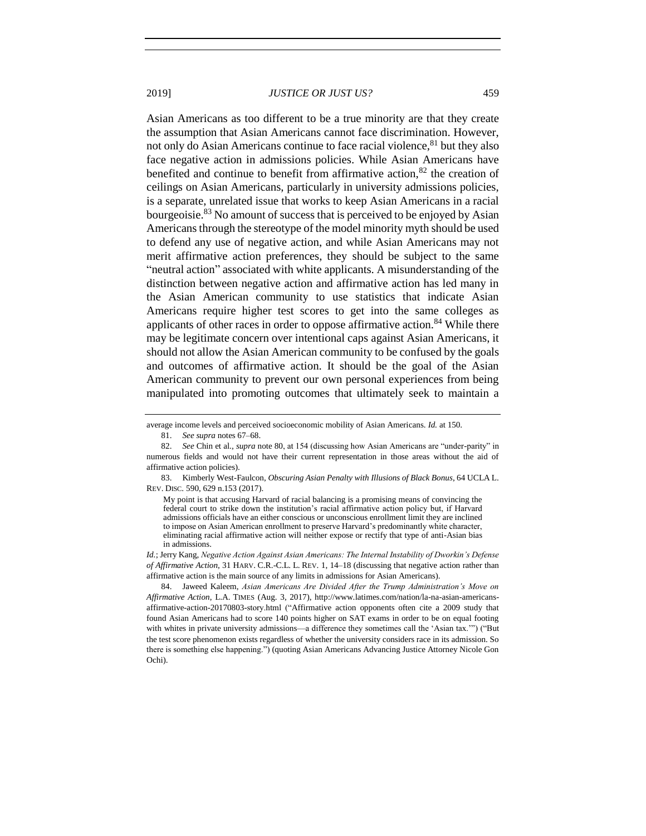<span id="page-18-0"></span>Asian Americans as too different to be a true minority are that they create the assumption that Asian Americans cannot face discrimination. However, not only do Asian Americans continue to face racial violence,  $81$  but they also face negative action in admissions policies. While Asian Americans have benefited and continue to benefit from affirmative action,  $82$  the creation of ceilings on Asian Americans, particularly in university admissions policies, is a separate, unrelated issue that works to keep Asian Americans in a racial bourgeoisie.<sup>83</sup> No amount of success that is perceived to be enjoyed by Asian Americans through the stereotype of the model minority myth should be used to defend any use of negative action, and while Asian Americans may not merit affirmative action preferences, they should be subject to the same "neutral action" associated with white applicants. A misunderstanding of the distinction between negative action and affirmative action has led many in the Asian American community to use statistics that indicate Asian Americans require higher test scores to get into the same colleges as applicants of other races in order to oppose affirmative action.<sup>84</sup> While there may be legitimate concern over intentional caps against Asian Americans, it should not allow the Asian American community to be confused by the goals and outcomes of affirmative action. It should be the goal of the Asian American community to prevent our own personal experiences from being manipulated into promoting outcomes that ultimately seek to maintain a

average income levels and perceived socioeconomic mobility of Asian Americans. *Id.* at 150.

83. Kimberly West-Faulcon, *Obscuring Asian Penalty with Illusions of Black Bonus*, 64 UCLA L. REV. DISC. 590, 629 n.153 (2017).

My point is that accusing Harvard of racial balancing is a promising means of convincing the federal court to strike down the institution's racial affirmative action policy but, if Harvard admissions officials have an either conscious or unconscious enrollment limit they are inclined to impose on Asian American enrollment to preserve Harvard's predominantly white character, eliminating racial affirmative action will neither expose or rectify that type of anti-Asian bias in admissions.

*Id.*; Jerry Kang, *Negative Action Against Asian Americans: The Internal Instability of Dworkin's Defense of Affirmative Action*, 31 HARV. C.R.-C.L. L. REV. 1, 14–18 (discussing that negative action rather than affirmative action is the main source of any limits in admissions for Asian Americans).

84. Jaweed Kaleem, *Asian Americans Are Divided After the Trump Administration's Move on Affirmative Action*, L.A. TIMES (Aug. 3, 2017), http://www.latimes.com/nation/la-na-asian-americansaffirmative-action-20170803-story.html ("Affirmative action opponents often cite a 2009 study that found Asian Americans had to score 140 points higher on SAT exams in order to be on equal footing with whites in private university admissions—a difference they sometimes call the 'Asian tax.'") ("But the test score phenomenon exists regardless of whether the university considers race in its admission. So there is something else happening.") (quoting Asian Americans Advancing Justice Attorney Nicole Gon Ochi).

<sup>81.</sup> *See supra* notes [67](#page-14-0)[–68.](#page-15-2)

<sup>82.</sup> *See* Chin et al., *supra* not[e 80,](#page-17-1) at 154 (discussing how Asian Americans are "under-parity" in numerous fields and would not have their current representation in those areas without the aid of affirmative action policies).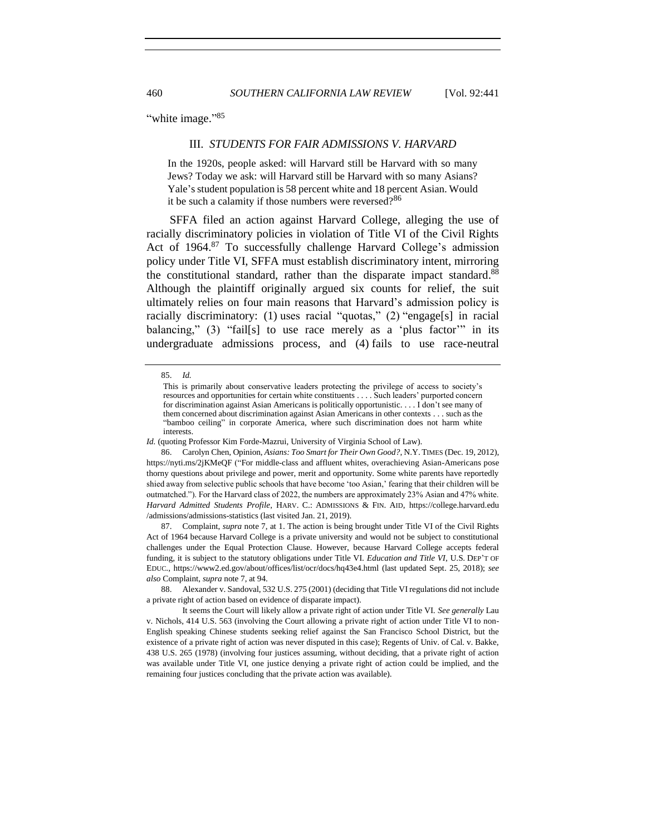<span id="page-19-0"></span>"white image."<sup>85</sup>

#### III. *STUDENTS FOR FAIR ADMISSIONS V. HARVARD*

In the 1920s, people asked: will Harvard still be Harvard with so many Jews? Today we ask: will Harvard still be Harvard with so many Asians? Yale's student population is 58 percent white and 18 percent Asian. Would it be such a calamity if those numbers were reversed?<sup>86</sup>

SFFA filed an action against Harvard College, alleging the use of racially discriminatory policies in violation of Title VI of the Civil Rights Act of 1964.<sup>87</sup> To successfully challenge Harvard College's admission policy under Title VI, SFFA must establish discriminatory intent, mirroring the constitutional standard, rather than the disparate impact standard.<sup>88</sup> Although the plaintiff originally argued six counts for relief, the suit ultimately relies on four main reasons that Harvard's admission policy is racially discriminatory: (1) uses racial "quotas," (2) "engage[s] in racial balancing,"  $(3)$  "fail[s] to use race merely as a 'plus factor'" in its undergraduate admissions process, and (4) fails to use race-neutral

*Id.* (quoting Professor Kim Forde-Mazrui, University of Virginia School of Law).

87. Complaint, *supra* not[e 7,](#page-2-1) at 1. The action is being brought under Title VI of the Civil Rights Act of 1964 because Harvard College is a private university and would not be subject to constitutional challenges under the Equal Protection Clause. However, because Harvard College accepts federal funding, it is subject to the statutory obligations under Title VI. *Education and Title VI*, U.S. DEP'T OF EDUC., https://www2.ed.gov/about/offices/list/ocr/docs/hq43e4.html (last updated Sept. 25, 2018); *see also* Complaint, *supra* not[e 7,](#page-2-1) at 94.

88. Alexander v. Sandoval, 532 U.S. 275 (2001) (deciding that Title VI regulations did not include a private right of action based on evidence of disparate impact).

<sup>85.</sup> *Id.* 

This is primarily about conservative leaders protecting the privilege of access to society's resources and opportunities for certain white constituents . . . . Such leaders' purported concern for discrimination against Asian Americans is politically opportunistic. . . . I don't see many of them concerned about discrimination against Asian Americans in other contexts . . . such as the "bamboo ceiling" in corporate America, where such discrimination does not harm white interests.

<sup>86.</sup> Carolyn Chen, Opinion, *Asians: Too Smart for Their Own Good?*, N.Y. TIMES (Dec. 19, 2012), https://nyti.ms/2jKMeQF ("For middle-class and affluent whites, overachieving Asian-Americans pose thorny questions about privilege and power, merit and opportunity. Some white parents have reportedly shied away from selective public schools that have become 'too Asian,' fearing that their children will be outmatched."). For the Harvard class of 2022, the numbers are approximately 23% Asian and 47% white. *Harvard Admitted Students Profile*, HARV. C.: ADMISSIONS & FIN. AID, https://college.harvard.edu /admissions/admissions-statistics (last visited Jan. 21, 2019).

It seems the Court will likely allow a private right of action under Title VI. *See generally* Lau v. Nichols, 414 U.S. 563 (involving the Court allowing a private right of action under Title VI to non-English speaking Chinese students seeking relief against the San Francisco School District, but the existence of a private right of action was never disputed in this case); Regents of Univ. of Cal. v. Bakke, 438 U.S. 265 (1978) (involving four justices assuming, without deciding, that a private right of action was available under Title VI, one justice denying a private right of action could be implied, and the remaining four justices concluding that the private action was available).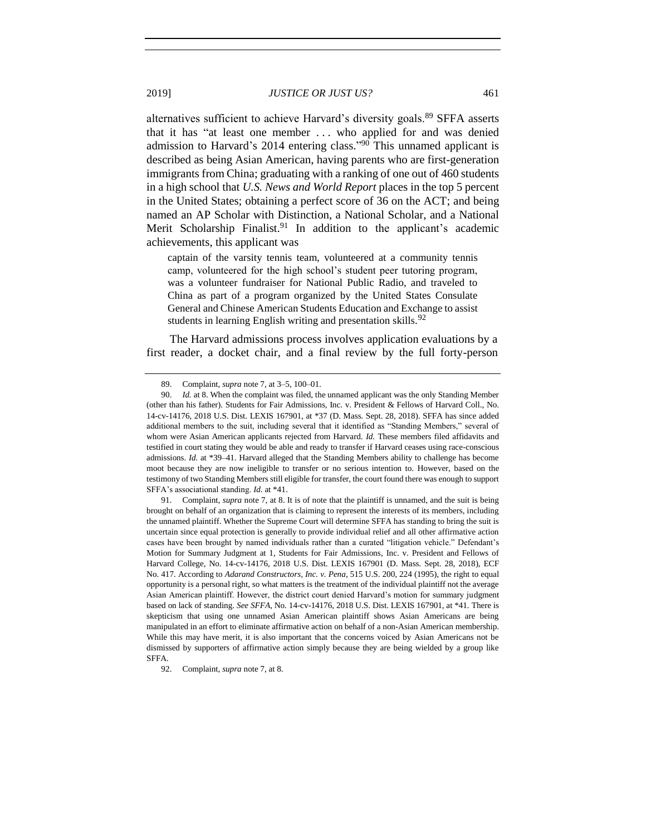alternatives sufficient to achieve Harvard's diversity goals.<sup>89</sup> SFFA asserts that it has "at least one member . . . who applied for and was denied admission to Harvard's 2014 entering class."<sup>90</sup> This unnamed applicant is described as being Asian American, having parents who are first-generation immigrants from China; graduating with a ranking of one out of 460 students in a high school that *U.S. News and World Report* places in the top 5 percent in the United States; obtaining a perfect score of 36 on the ACT; and being named an AP Scholar with Distinction, a National Scholar, and a National Merit Scholarship Finalist.<sup>91</sup> In addition to the applicant's academic achievements, this applicant was

captain of the varsity tennis team, volunteered at a community tennis camp, volunteered for the high school's student peer tutoring program, was a volunteer fundraiser for National Public Radio, and traveled to China as part of a program organized by the United States Consulate General and Chinese American Students Education and Exchange to assist students in learning English writing and presentation skills. $92$ 

The Harvard admissions process involves application evaluations by a first reader, a docket chair, and a final review by the full forty-person

<sup>89.</sup> Complaint, *supra* not[e 7,](#page-2-1) at 3–5, 100–01.

<sup>90.</sup> *Id.* at 8. When the complaint was filed, the unnamed applicant was the only Standing Member (other than his father). Students for Fair Admissions, Inc. v. President & Fellows of Harvard Coll., No. 14-cv-14176, 2018 U.S. Dist. LEXIS 167901, at \*37 (D. Mass. Sept. 28, 2018). SFFA has since added additional members to the suit, including several that it identified as "Standing Members," several of whom were Asian American applicants rejected from Harvard. *Id.* These members filed affidavits and testified in court stating they would be able and ready to transfer if Harvard ceases using race-conscious admissions. *Id.* at \*39–41. Harvard alleged that the Standing Members ability to challenge has become moot because they are now ineligible to transfer or no serious intention to. However, based on the testimony of two Standing Members still eligible for transfer, the court found there was enough to support SFFA's associational standing. *Id.* at \*41.

<sup>91.</sup> Complaint, *supra* not[e 7,](#page-2-1) at 8. It is of note that the plaintiff is unnamed, and the suit is being brought on behalf of an organization that is claiming to represent the interests of its members, including the unnamed plaintiff. Whether the Supreme Court will determine SFFA has standing to bring the suit is uncertain since equal protection is generally to provide individual relief and all other affirmative action cases have been brought by named individuals rather than a curated "litigation vehicle." Defendant's Motion for Summary Judgment at 1, Students for Fair Admissions, Inc. v. President and Fellows of Harvard College, No. 14-cv-14176, 2018 U.S. Dist. LEXIS 167901 (D. Mass. Sept. 28, 2018), ECF No. 417. According to *Adarand Constructors, Inc. v. Pena*, 515 U.S. 200, 224 (1995), the right to equal opportunity is a personal right, so what matters is the treatment of the individual plaintiff not the average Asian American plaintiff. However, the district court denied Harvard's motion for summary judgment based on lack of standing. *See SFFA*, No. 14-cv-14176, 2018 U.S. Dist. LEXIS 167901, at \*41. There is skepticism that using one unnamed Asian American plaintiff shows Asian Americans are being manipulated in an effort to eliminate affirmative action on behalf of a non-Asian American membership. While this may have merit, it is also important that the concerns voiced by Asian Americans not be dismissed by supporters of affirmative action simply because they are being wielded by a group like SFFA.

<sup>92.</sup> Complaint, *supra* not[e 7,](#page-2-1) at 8.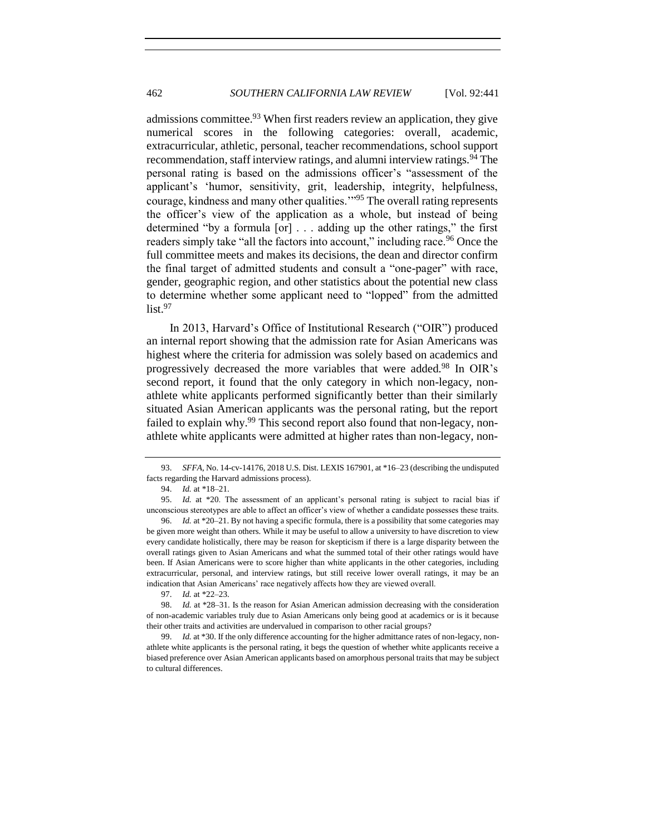admissions committee.<sup>93</sup> When first readers review an application, they give numerical scores in the following categories: overall, academic, extracurricular, athletic, personal, teacher recommendations, school support recommendation, staff interview ratings, and alumni interview ratings.<sup>94</sup> The personal rating is based on the admissions officer's "assessment of the applicant's 'humor, sensitivity, grit, leadership, integrity, helpfulness, courage, kindness and many other qualities.'"<sup>95</sup> The overall rating represents the officer's view of the application as a whole, but instead of being determined "by a formula [or] . . . adding up the other ratings," the first readers simply take "all the factors into account," including race.<sup>96</sup> Once the full committee meets and makes its decisions, the dean and director confirm the final target of admitted students and consult a "one-pager" with race, gender, geographic region, and other statistics about the potential new class to determine whether some applicant need to "lopped" from the admitted  $list.<sup>97</sup>$ 

In 2013, Harvard's Office of Institutional Research ("OIR") produced an internal report showing that the admission rate for Asian Americans was highest where the criteria for admission was solely based on academics and progressively decreased the more variables that were added.<sup>98</sup> In OIR's second report, it found that the only category in which non-legacy, nonathlete white applicants performed significantly better than their similarly situated Asian American applicants was the personal rating, but the report failed to explain why.<sup>99</sup> This second report also found that non-legacy, nonathlete white applicants were admitted at higher rates than non-legacy, non-

95. *Id.* at \*20. The assessment of an applicant's personal rating is subject to racial bias if unconscious stereotypes are able to affect an officer's view of whether a candidate possesses these traits.

96. *Id.* at \*20–21. By not having a specific formula, there is a possibility that some categories may be given more weight than others. While it may be useful to allow a university to have discretion to view every candidate holistically, there may be reason for skepticism if there is a large disparity between the overall ratings given to Asian Americans and what the summed total of their other ratings would have been. If Asian Americans were to score higher than white applicants in the other categories, including extracurricular, personal, and interview ratings, but still receive lower overall ratings, it may be an indication that Asian Americans' race negatively affects how they are viewed overall.

97. *Id.* at \*22–23.

98. *Id.* at \*28–31. Is the reason for Asian American admission decreasing with the consideration of non-academic variables truly due to Asian Americans only being good at academics or is it because their other traits and activities are undervalued in comparison to other racial groups?

99. *Id.* at \*30. If the only difference accounting for the higher admittance rates of non-legacy, nonathlete white applicants is the personal rating, it begs the question of whether white applicants receive a biased preference over Asian American applicants based on amorphous personal traits that may be subject to cultural differences.

<sup>93.</sup> *SFFA*, No. 14-cv-14176, 2018 U.S. Dist. LEXIS 167901, at \*16–23 (describing the undisputed facts regarding the Harvard admissions process).

<sup>94.</sup> *Id.* at \*18–21.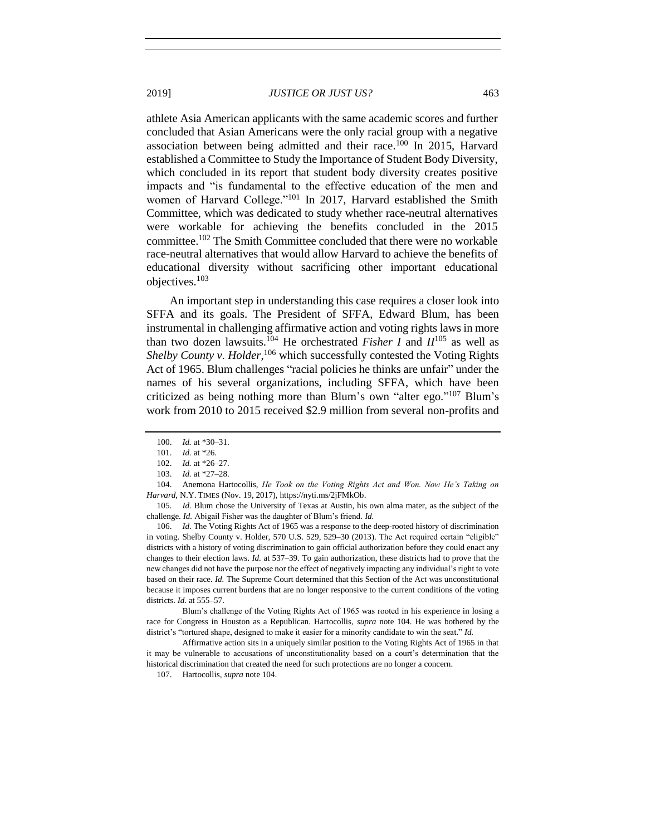athlete Asia American applicants with the same academic scores and further concluded that Asian Americans were the only racial group with a negative association between being admitted and their race.<sup>100</sup> In 2015, Harvard established a Committee to Study the Importance of Student Body Diversity, which concluded in its report that student body diversity creates positive impacts and "is fundamental to the effective education of the men and women of Harvard College."<sup>101</sup> In 2017, Harvard established the Smith Committee, which was dedicated to study whether race-neutral alternatives were workable for achieving the benefits concluded in the 2015 committee.<sup>102</sup> The Smith Committee concluded that there were no workable race-neutral alternatives that would allow Harvard to achieve the benefits of educational diversity without sacrificing other important educational objectives.<sup>103</sup>

<span id="page-22-1"></span><span id="page-22-0"></span>An important step in understanding this case requires a closer look into SFFA and its goals. The President of SFFA, Edward Blum, has been instrumental in challenging affirmative action and voting rights laws in more than two dozen lawsuits.<sup>104</sup> He orchestrated *Fisher I* and  $II^{105}$  as well as Shelby County v. Holder,<sup>106</sup> which successfully contested the Voting Rights Act of 1965. Blum challenges "racial policies he thinks are unfair" under the names of his several organizations, including SFFA, which have been criticized as being nothing more than Blum's own "alter ego." <sup>107</sup> Blum's work from 2010 to 2015 received \$2.9 million from several non-profits and

Blum's challenge of the Voting Rights Act of 1965 was rooted in his experience in losing a race for Congress in Houston as a Republican. Hartocollis, *supra* note [104.](#page-22-0) He was bothered by the district's "tortured shape, designed to make it easier for a minority candidate to win the seat." *Id.*

<sup>100.</sup> *Id.* at \*30–31.

<sup>101.</sup> *Id.* at \*26.

<sup>102.</sup> *Id.* at \*26–27.

<sup>103.</sup> *Id.* at \*27–28.

<sup>104.</sup> Anemona Hartocollis, *He Took on the Voting Rights Act and Won. Now He's Taking on Harvard*, N.Y. TIMES (Nov. 19, 2017), https://nyti.ms/2jFMkOb.

<sup>105.</sup> *Id.* Blum chose the University of Texas at Austin, his own alma mater, as the subject of the challenge. *Id.* Abigail Fisher was the daughter of Blum's friend. *Id.*

<sup>106.</sup> *Id.* The Voting Rights Act of 1965 was a response to the deep-rooted history of discrimination in voting. Shelby County v. Holder, 570 U.S. 529, 529–30 (2013). The Act required certain "eligible" districts with a history of voting discrimination to gain official authorization before they could enact any changes to their election laws. *Id.* at 537–39. To gain authorization, these districts had to prove that the new changes did not have the purpose nor the effect of negatively impacting any individual's right to vote based on their race. *Id.* The Supreme Court determined that this Section of the Act was unconstitutional because it imposes current burdens that are no longer responsive to the current conditions of the voting districts. *Id.* at 555–57.

Affirmative action sits in a uniquely similar position to the Voting Rights Act of 1965 in that it may be vulnerable to accusations of unconstitutionality based on a court's determination that the historical discrimination that created the need for such protections are no longer a concern.

<sup>107.</sup> Hartocollis, *supra* not[e 104.](#page-22-0)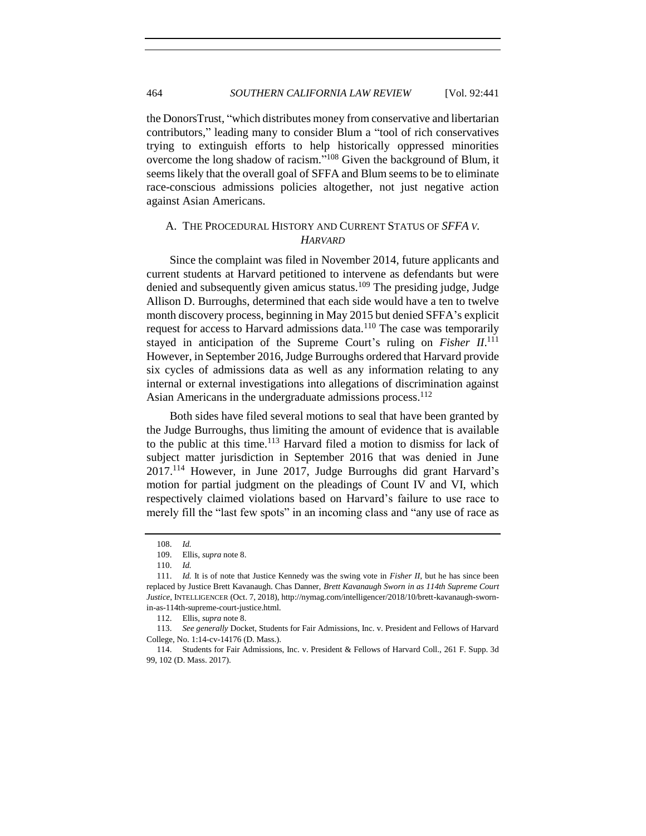the DonorsTrust, "which distributes money from conservative and libertarian contributors," leading many to consider Blum a "tool of rich conservatives trying to extinguish efforts to help historically oppressed minorities overcome the long shadow of racism."<sup>108</sup> Given the background of Blum, it seems likely that the overall goal of SFFA and Blum seems to be to eliminate race-conscious admissions policies altogether, not just negative action against Asian Americans.

## <span id="page-23-0"></span>A. THE PROCEDURAL HISTORY AND CURRENT STATUS OF *SFFA V. HARVARD*

Since the complaint was filed in November 2014, future applicants and current students at Harvard petitioned to intervene as defendants but were denied and subsequently given amicus status.<sup>109</sup> The presiding judge, Judge Allison D. Burroughs, determined that each side would have a ten to twelve month discovery process, beginning in May 2015 but denied SFFA's explicit request for access to Harvard admissions data.<sup>110</sup> The case was temporarily stayed in anticipation of the Supreme Court's ruling on *Fisher II*.<sup>111</sup> However, in September 2016, Judge Burroughs ordered that Harvard provide six cycles of admissions data as well as any information relating to any internal or external investigations into allegations of discrimination against Asian Americans in the undergraduate admissions process.<sup>112</sup>

Both sides have filed several motions to seal that have been granted by the Judge Burroughs, thus limiting the amount of evidence that is available to the public at this time.<sup>113</sup> Harvard filed a motion to dismiss for lack of subject matter jurisdiction in September 2016 that was denied in June 2017.<sup>114</sup> However, in June 2017, Judge Burroughs did grant Harvard's motion for partial judgment on the pleadings of Count IV and VI, which respectively claimed violations based on Harvard's failure to use race to merely fill the "last few spots" in an incoming class and "any use of race as

<sup>108.</sup> *Id.* 

<sup>109.</sup> Ellis, *supra* not[e 8.](#page-2-2)

<sup>110.</sup> *Id.*

<sup>111.</sup> *Id.* It is of note that Justice Kennedy was the swing vote in *Fisher II*, but he has since been replaced by Justice Brett Kavanaugh. Chas Danner, *Brett Kavanaugh Sworn in as 114th Supreme Court Justice*, INTELLIGENCER (Oct. 7, 2018), http://nymag.com/intelligencer/2018/10/brett-kavanaugh-swornin-as-114th-supreme-court-justice.html.

<sup>112.</sup> Ellis, *supra* not[e 8.](#page-2-2)

<sup>113.</sup> *See generally* Docket, Students for Fair Admissions, Inc. v. President and Fellows of Harvard College, No. 1:14-cv-14176 (D. Mass.).

<sup>114.</sup> Students for Fair Admissions, Inc. v. President & Fellows of Harvard Coll., 261 F. Supp. 3d 99, 102 (D. Mass. 2017).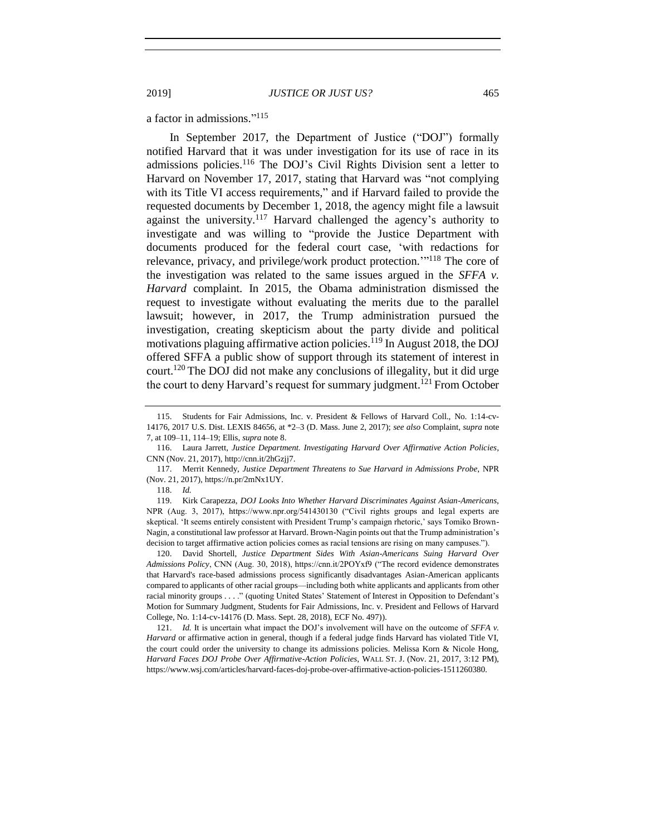a factor in admissions." 115

In September 2017, the Department of Justice ("DOJ") formally notified Harvard that it was under investigation for its use of race in its admissions policies.<sup>116</sup> The DOJ's Civil Rights Division sent a letter to Harvard on November 17, 2017, stating that Harvard was "not complying with its Title VI access requirements," and if Harvard failed to provide the requested documents by December 1, 2018, the agency might file a lawsuit against the university. $117$  Harvard challenged the agency's authority to investigate and was willing to "provide the Justice Department with documents produced for the federal court case, 'with redactions for relevance, privacy, and privilege/work product protection."<sup>118</sup> The core of the investigation was related to the same issues argued in the *SFFA v. Harvard* complaint. In 2015, the Obama administration dismissed the request to investigate without evaluating the merits due to the parallel lawsuit; however, in 2017, the Trump administration pursued the investigation, creating skepticism about the party divide and political motivations plaguing affirmative action policies.<sup>119</sup> In August 2018, the DOJ offered SFFA a public show of support through its statement of interest in court.<sup>120</sup> The DOJ did not make any conclusions of illegality, but it did urge the court to deny Harvard's request for summary judgment.<sup>121</sup> From October

<sup>115.</sup> Students for Fair Admissions, Inc. v. President & Fellows of Harvard Coll., No. 1:14-cv-14176, 2017 U.S. Dist. LEXIS 84656, at \*2–3 (D. Mass. June 2, 2017); *see also* Complaint, *supra* note [7,](#page-2-1) at 109–11, 114–19; Ellis, *supra* not[e 8.](#page-2-2)

<sup>116.</sup> Laura Jarrett, *Justice Department. Investigating Harvard Over Affirmative Action Policies*, CNN (Nov. 21, 2017), http://cnn.it/2hGzjj7.

<sup>117.</sup> Merrit Kennedy, *Justice Department Threatens to Sue Harvard in Admissions Probe*, NPR (Nov. 21, 2017), https://n.pr/2mNx1UY.

<sup>118.</sup> *Id.* 

<sup>119.</sup> Kirk Carapezza, *DOJ Looks Into Whether Harvard Discriminates Against Asian-Americans*, NPR (Aug. 3, 2017), https://www.npr.org/541430130 ("Civil rights groups and legal experts are skeptical. 'It seems entirely consistent with President Trump's campaign rhetoric,' says Tomiko Brown-Nagin, a constitutional law professor at Harvard. Brown-Nagin points out that the Trump administration's decision to target affirmative action policies comes as racial tensions are rising on many campuses.").

<sup>120.</sup> David Shortell, *Justice Department Sides With Asian-Americans Suing Harvard Over Admissions Policy*, CNN (Aug. 30, 2018), https://cnn.it/2POYxf9 ("The record evidence demonstrates that Harvard's race-based admissions process significantly disadvantages Asian-American applicants compared to applicants of other racial groups—including both white applicants and applicants from other racial minority groups . . . ." (quoting United States' Statement of Interest in Opposition to Defendant's Motion for Summary Judgment, Students for Fair Admissions, Inc. v. President and Fellows of Harvard College, No. 1:14-cv-14176 (D. Mass. Sept. 28, 2018), ECF No. 497)).

<sup>121.</sup> *Id.* It is uncertain what impact the DOJ's involvement will have on the outcome of *SFFA v. Harvard* or affirmative action in general, though if a federal judge finds Harvard has violated Title VI, the court could order the university to change its admissions policies. Melissa Korn & Nicole Hong, *Harvard Faces DOJ Probe Over Affirmative-Action Policies*, WALL ST. J. (Nov. 21, 2017, 3:12 PM), https://www.wsj.com/articles/harvard-faces-doj-probe-over-affirmative-action-policies-1511260380.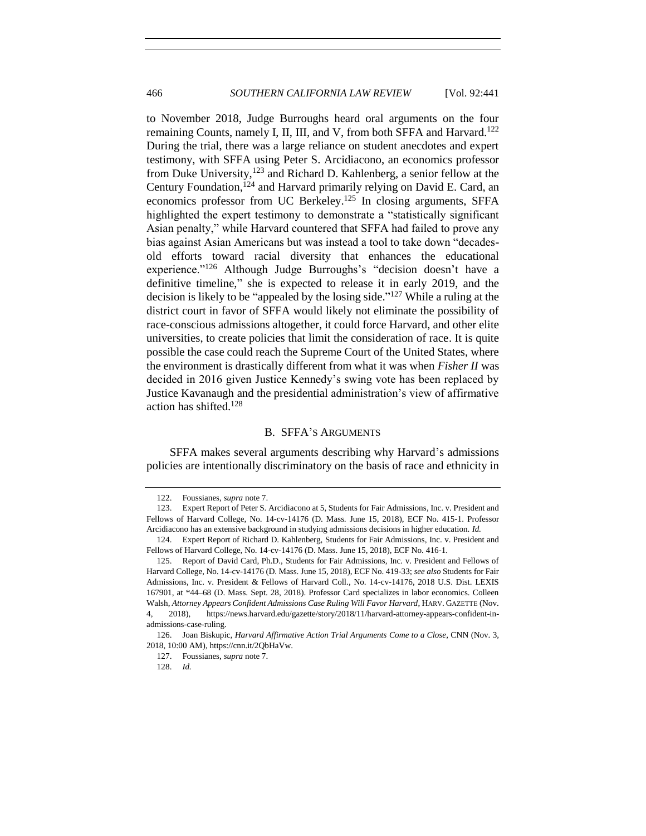<span id="page-25-1"></span>to November 2018, Judge Burroughs heard oral arguments on the four remaining Counts, namely I, II, III, and V, from both SFFA and Harvard.<sup>122</sup> During the trial, there was a large reliance on student anecdotes and expert testimony, with SFFA using Peter S. Arcidiacono, an economics professor from Duke University, $123$  and Richard D. Kahlenberg, a senior fellow at the Century Foundation,<sup>124</sup> and Harvard primarily relying on David E. Card, an economics professor from UC Berkeley.<sup>125</sup> In closing arguments, SFFA highlighted the expert testimony to demonstrate a "statistically significant Asian penalty," while Harvard countered that SFFA had failed to prove any bias against Asian Americans but was instead a tool to take down "decadesold efforts toward racial diversity that enhances the educational experience."<sup>126</sup> Although Judge Burroughs's "decision doesn't have a definitive timeline," she is expected to release it in early 2019, and the decision is likely to be "appealed by the losing side." <sup>127</sup> While a ruling at the district court in favor of SFFA would likely not eliminate the possibility of race-conscious admissions altogether, it could force Harvard, and other elite universities, to create policies that limit the consideration of race. It is quite possible the case could reach the Supreme Court of the United States, where the environment is drastically different from what it was when *Fisher II* was decided in 2016 given Justice Kennedy's swing vote has been replaced by Justice Kavanaugh and the presidential administration's view of affirmative action has shifted.<sup>128</sup>

#### B. SFFA'S ARGUMENTS

<span id="page-25-0"></span>SFFA makes several arguments describing why Harvard's admissions policies are intentionally discriminatory on the basis of race and ethnicity in

<sup>122.</sup> Foussianes, *supra* not[e 7.](#page-2-1)

<sup>123.</sup> Expert Report of Peter S. Arcidiacono at 5, Students for Fair Admissions, Inc. v. President and Fellows of Harvard College, No. 14-cv-14176 (D. Mass. June 15, 2018), ECF No. 415-1. Professor Arcidiacono has an extensive background in studying admissions decisions in higher education. *Id.* 

<sup>124.</sup> Expert Report of Richard D. Kahlenberg, Students for Fair Admissions, Inc. v. President and Fellows of Harvard College, No. 14-cv-14176 (D. Mass. June 15, 2018), ECF No. 416-1.

<sup>125.</sup> Report of David Card, Ph.D., Students for Fair Admissions, Inc. v. President and Fellows of Harvard College, No. 14-cv-14176 (D. Mass. June 15, 2018), ECF No. 419-33; *see also* Students for Fair Admissions, Inc. v. President & Fellows of Harvard Coll., No. 14-cv-14176, 2018 U.S. Dist. LEXIS 167901, at \*44–68 (D. Mass. Sept. 28, 2018). Professor Card specializes in labor economics. Colleen Walsh, *Attorney Appears Confident Admissions Case Ruling Will Favor Harvard*, HARV. GAZETTE (Nov. 4, 2018), https://news.harvard.edu/gazette/story/2018/11/harvard-attorney-appears-confident-inadmissions-case-ruling.

<sup>126.</sup> Joan Biskupic, *Harvard Affirmative Action Trial Arguments Come to a Close*, CNN (Nov. 3, 2018, 10:00 AM), https://cnn.it/2QbHaVw.

<sup>127.</sup> Foussianes, *supra* not[e 7.](#page-2-1)

<sup>128.</sup> *Id.*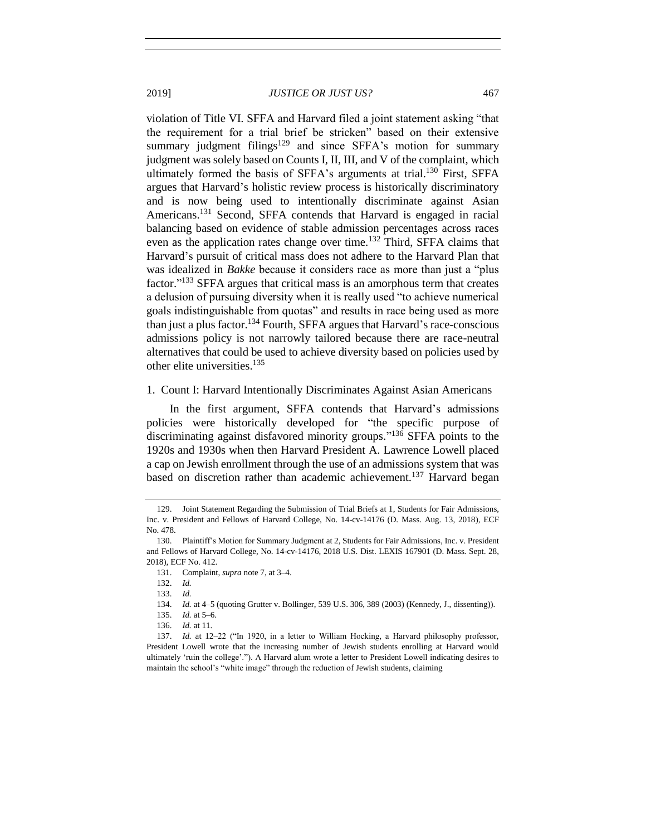violation of Title VI. SFFA and Harvard filed a joint statement asking "that the requirement for a trial brief be stricken" based on their extensive summary judgment filings<sup>129</sup> and since SFFA's motion for summary judgment was solely based on Counts I, II, III, and V of the complaint, which ultimately formed the basis of SFFA's arguments at trial.<sup>130</sup> First, SFFA argues that Harvard's holistic review process is historically discriminatory and is now being used to intentionally discriminate against Asian Americans.<sup>131</sup> Second, SFFA contends that Harvard is engaged in racial balancing based on evidence of stable admission percentages across races even as the application rates change over time.<sup>132</sup> Third, SFFA claims that Harvard's pursuit of critical mass does not adhere to the Harvard Plan that was idealized in *Bakke* because it considers race as more than just a "plus factor."<sup>133</sup> SFFA argues that critical mass is an amorphous term that creates a delusion of pursuing diversity when it is really used "to achieve numerical goals indistinguishable from quotas" and results in race being used as more than just a plus factor.<sup>134</sup> Fourth, SFFA argues that Harvard's race-conscious admissions policy is not narrowly tailored because there are race-neutral alternatives that could be used to achieve diversity based on policies used by other elite universities.<sup>135</sup>

#### <span id="page-26-0"></span>1. Count I: Harvard Intentionally Discriminates Against Asian Americans

In the first argument, SFFA contends that Harvard's admissions policies were historically developed for "the specific purpose of discriminating against disfavored minority groups." <sup>136</sup> SFFA points to the 1920s and 1930s when then Harvard President A. Lawrence Lowell placed a cap on Jewish enrollment through the use of an admissions system that was based on discretion rather than academic achievement.<sup>137</sup> Harvard began

<sup>129.</sup> Joint Statement Regarding the Submission of Trial Briefs at 1, Students for Fair Admissions, Inc. v. President and Fellows of Harvard College, No. 14-cv-14176 (D. Mass. Aug. 13, 2018), ECF No. 478.

<sup>130.</sup> Plaintiff's Motion for Summary Judgment at 2, Students for Fair Admissions, Inc. v. President and Fellows of Harvard College, No. 14-cv-14176, 2018 U.S. Dist. LEXIS 167901 (D. Mass. Sept. 28, 2018), ECF No. 412.

<sup>131.</sup> Complaint, *supra* not[e 7,](#page-2-1) at 3–4.

<sup>132.</sup> *Id.*

<sup>133.</sup> *Id.*

<sup>134.</sup> *Id.* at 4–5 (quoting Grutter v. Bollinger, 539 U.S. 306, 389 (2003) (Kennedy, J., dissenting)).

<sup>135.</sup> *Id.* at 5–6.

<sup>136.</sup> *Id.* at 11.

<sup>137.</sup> *Id.* at 12–22 ("In 1920, in a letter to William Hocking, a Harvard philosophy professor, President Lowell wrote that the increasing number of Jewish students enrolling at Harvard would ultimately 'ruin the college'."). A Harvard alum wrote a letter to President Lowell indicating desires to maintain the school's "white image" through the reduction of Jewish students, claiming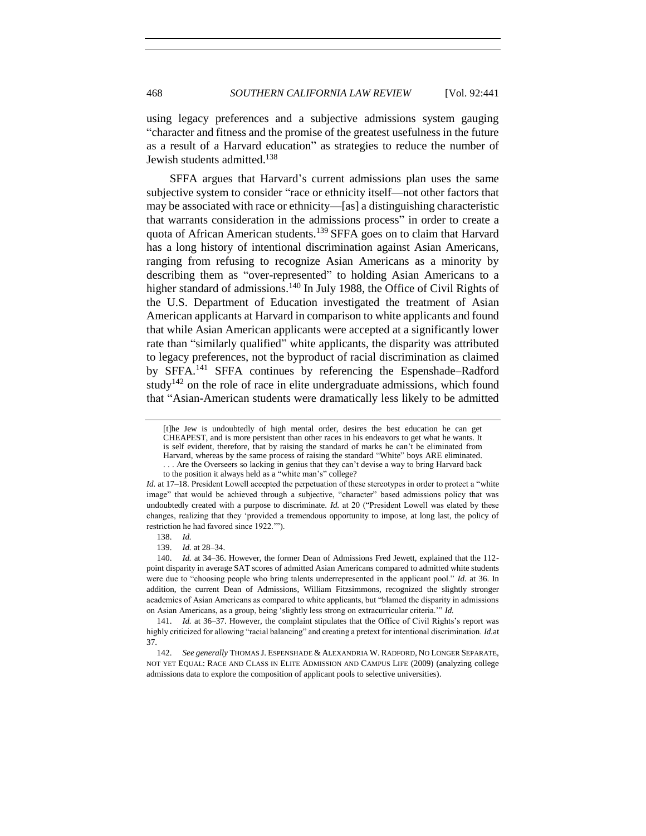using legacy preferences and a subjective admissions system gauging "character and fitness and the promise of the greatest usefulness in the future as a result of a Harvard education" as strategies to reduce the number of Jewish students admitted. 138

SFFA argues that Harvard's current admissions plan uses the same subjective system to consider "race or ethnicity itself—not other factors that may be associated with race or ethnicity—[as] a distinguishing characteristic that warrants consideration in the admissions process" in order to create a quota of African American students.<sup>139</sup> SFFA goes on to claim that Harvard has a long history of intentional discrimination against Asian Americans, ranging from refusing to recognize Asian Americans as a minority by describing them as "over-represented" to holding Asian Americans to a higher standard of admissions.<sup>140</sup> In July 1988, the Office of Civil Rights of the U.S. Department of Education investigated the treatment of Asian American applicants at Harvard in comparison to white applicants and found that while Asian American applicants were accepted at a significantly lower rate than "similarly qualified" white applicants, the disparity was attributed to legacy preferences, not the byproduct of racial discrimination as claimed by SFFA.<sup>141</sup> SFFA continues by referencing the Espenshade–Radford study<sup>142</sup> on the role of race in elite undergraduate admissions, which found that "Asian-American students were dramatically less likely to be admitted

<span id="page-27-0"></span><sup>[</sup>t]he Jew is undoubtedly of high mental order, desires the best education he can get CHEAPEST, and is more persistent than other races in his endeavors to get what he wants. It is self evident, therefore, that by raising the standard of marks he can't be eliminated from Harvard, whereas by the same process of raising the standard "White" boys ARE eliminated. . . . Are the Overseers so lacking in genius that they can't devise a way to bring Harvard back

to the position it always held as a "white man's" college?

*Id.* at 17–18. President Lowell accepted the perpetuation of these stereotypes in order to protect a "white image" that would be achieved through a subjective, "character" based admissions policy that was undoubtedly created with a purpose to discriminate. *Id.* at 20 ("President Lowell was elated by these changes, realizing that they 'provided a tremendous opportunity to impose, at long last, the policy of restriction he had favored since 1922.'").

<sup>138.</sup> *Id.*

<sup>139.</sup> *Id.* at 28–34.

<sup>140.</sup> *Id.* at 34–36. However, the former Dean of Admissions Fred Jewett, explained that the 112 point disparity in average SAT scores of admitted Asian Americans compared to admitted white students were due to "choosing people who bring talents underrepresented in the applicant pool." *Id.* at 36. In addition, the current Dean of Admissions, William Fitzsimmons, recognized the slightly stronger academics of Asian Americans as compared to white applicants, but "blamed the disparity in admissions on Asian Americans, as a group, being 'slightly less strong on extracurricular criteria.'" *Id.*

<sup>141.</sup> *Id.* at 36–37. However, the complaint stipulates that the Office of Civil Rights's report was highly criticized for allowing "racial balancing" and creating a pretext for intentional discrimination. *Id.*at 37.

<sup>142.</sup> *See generally* THOMAS J. ESPENSHADE & ALEXANDRIA W. RADFORD, NO LONGER SEPARATE, NOT YET EQUAL: RACE AND CLASS IN ELITE ADMISSION AND CAMPUS LIFE (2009) (analyzing college admissions data to explore the composition of applicant pools to selective universities).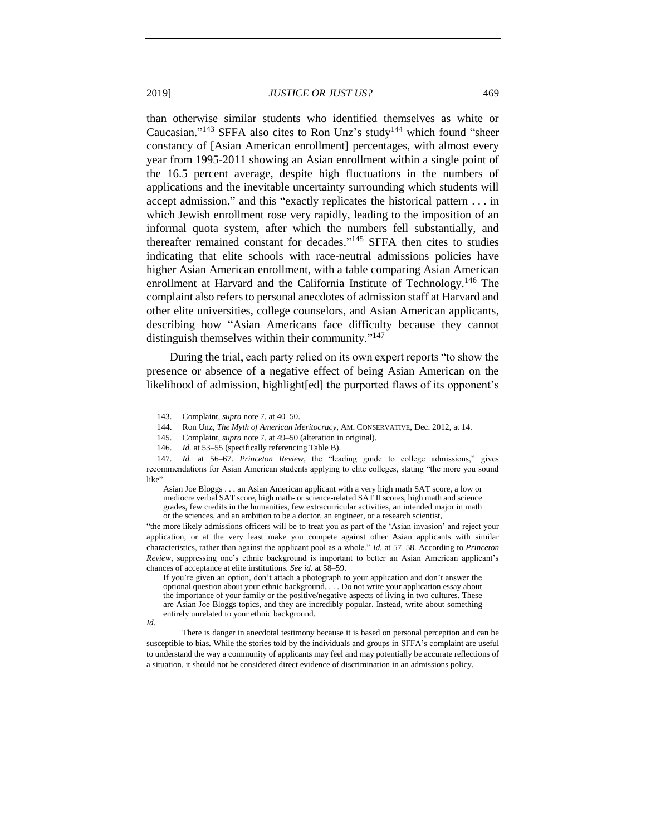than otherwise similar students who identified themselves as white or Caucasian."<sup>143</sup> SFFA also cites to Ron Unz's study<sup>144</sup> which found "sheer constancy of [Asian American enrollment] percentages, with almost every year from 1995-2011 showing an Asian enrollment within a single point of the 16.5 percent average, despite high fluctuations in the numbers of applications and the inevitable uncertainty surrounding which students will accept admission," and this "exactly replicates the historical pattern . . . in which Jewish enrollment rose very rapidly, leading to the imposition of an informal quota system, after which the numbers fell substantially, and thereafter remained constant for decades." <sup>145</sup> SFFA then cites to studies indicating that elite schools with race-neutral admissions policies have higher Asian American enrollment, with a table comparing Asian American enrollment at Harvard and the California Institute of Technology.<sup>146</sup> The complaint also refers to personal anecdotes of admission staff at Harvard and other elite universities, college counselors, and Asian American applicants, describing how "Asian Americans face difficulty because they cannot distinguish themselves within their community."<sup>147</sup>

During the trial, each party relied on its own expert reports "to show the presence or absence of a negative effect of being Asian American on the likelihood of admission, highlight[ed] the purported flaws of its opponent's

"the more likely admissions officers will be to treat you as part of the 'Asian invasion' and reject your application, or at the very least make you compete against other Asian applicants with similar characteristics, rather than against the applicant pool as a whole." *Id.* at 57–58. According to *Princeton Review*, suppressing one's ethnic background is important to better an Asian American applicant's chances of acceptance at elite institutions. *See id.* at 58–59.

There is danger in anecdotal testimony because it is based on personal perception and can be susceptible to bias. While the stories told by the individuals and groups in SFFA's complaint are useful to understand the way a community of applicants may feel and may potentially be accurate reflections of a situation, it should not be considered direct evidence of discrimination in an admissions policy.

<sup>143.</sup> Complaint, *supra* not[e 7,](#page-2-1) at 40–50.

<sup>144.</sup> Ron Unz, *The Myth of American Meritocracy*, AM. CONSERVATIVE, Dec. 2012, at 14.

<sup>145.</sup> Complaint, *supra* note 7, at 49–50 (alteration in original).

<sup>146.</sup> *Id.* at 53–55 (specifically referencing Table B).

<sup>147.</sup> *Id.* at 56–67. *Princeton Review*, the "leading guide to college admissions," gives recommendations for Asian American students applying to elite colleges, stating "the more you sound like'

Asian Joe Bloggs . . . an Asian American applicant with a very high math SAT score, a low or mediocre verbal SAT score, high math- or science-related SAT II scores, high math and science grades, few credits in the humanities, few extracurricular activities, an intended major in math or the sciences, and an ambition to be a doctor, an engineer, or a research scientist,

If you're given an option, don't attach a photograph to your application and don't answer the optional question about your ethnic background. . . . Do not write your application essay about the importance of your family or the positive/negative aspects of living in two cultures. These are Asian Joe Bloggs topics, and they are incredibly popular. Instead, write about something entirely unrelated to your ethnic background.

*Id.*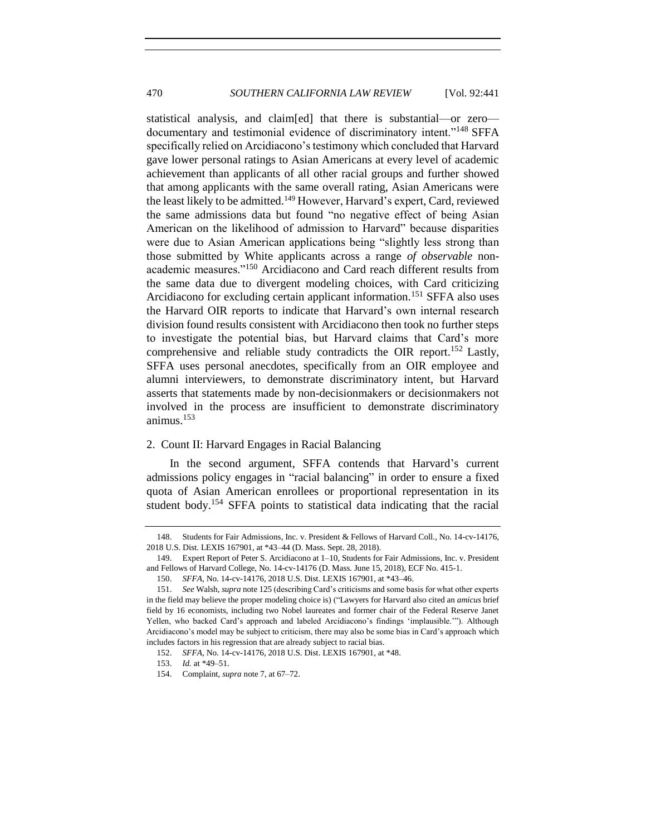statistical analysis, and claim[ed] that there is substantial—or zero documentary and testimonial evidence of discriminatory intent."<sup>148</sup> SFFA specifically relied on Arcidiacono's testimony which concluded that Harvard gave lower personal ratings to Asian Americans at every level of academic achievement than applicants of all other racial groups and further showed that among applicants with the same overall rating, Asian Americans were the least likely to be admitted.<sup>149</sup> However, Harvard's expert, Card, reviewed the same admissions data but found "no negative effect of being Asian American on the likelihood of admission to Harvard" because disparities were due to Asian American applications being "slightly less strong than those submitted by White applicants across a range *of observable* nonacademic measures."<sup>150</sup> Arcidiacono and Card reach different results from the same data due to divergent modeling choices, with Card criticizing Arcidiacono for excluding certain applicant information.<sup>151</sup> SFFA also uses the Harvard OIR reports to indicate that Harvard's own internal research division found results consistent with Arcidiacono then took no further steps to investigate the potential bias, but Harvard claims that Card's more comprehensive and reliable study contradicts the OIR report.<sup>152</sup> Lastly, SFFA uses personal anecdotes, specifically from an OIR employee and alumni interviewers, to demonstrate discriminatory intent, but Harvard asserts that statements made by non-decisionmakers or decisionmakers not involved in the process are insufficient to demonstrate discriminatory animus.<sup>153</sup>

#### <span id="page-29-0"></span>2. Count II: Harvard Engages in Racial Balancing

In the second argument, SFFA contends that Harvard's current admissions policy engages in "racial balancing" in order to ensure a fixed quota of Asian American enrollees or proportional representation in its student body.<sup>154</sup> SFFA points to statistical data indicating that the racial

<sup>148.</sup> Students for Fair Admissions, Inc. v. President & Fellows of Harvard Coll., No. 14-cv-14176, 2018 U.S. Dist. LEXIS 167901, at \*43–44 (D. Mass. Sept. 28, 2018).

<sup>149.</sup> Expert Report of Peter S. Arcidiacono at 1–10, Students for Fair Admissions, Inc. v. President and Fellows of Harvard College, No. 14-cv-14176 (D. Mass. June 15, 2018), ECF No. 415-1.

<sup>150.</sup> *SFFA*, No. 14-cv-14176, 2018 U.S. Dist. LEXIS 167901, at \*43–46.

<sup>151.</sup> *See* Walsh, *supra* not[e 125](#page-25-1) (describing Card's criticisms and some basis for what other experts in the field may believe the proper modeling choice is) ("Lawyers for Harvard also cited an *amicus* brief field by 16 economists, including two Nobel laureates and former chair of the Federal Reserve Janet Yellen, who backed Card's approach and labeled Arcidiacono's findings 'implausible.'"). Although Arcidiacono's model may be subject to criticism, there may also be some bias in Card's approach which includes factors in his regression that are already subject to racial bias.

<sup>152.</sup> *SFFA*, No. 14-cv-14176, 2018 U.S. Dist. LEXIS 167901, at \*48.

<sup>153.</sup> *Id.* at \*49–51.

<sup>154.</sup> Complaint, *supra* not[e 7,](#page-2-1) at 67–72.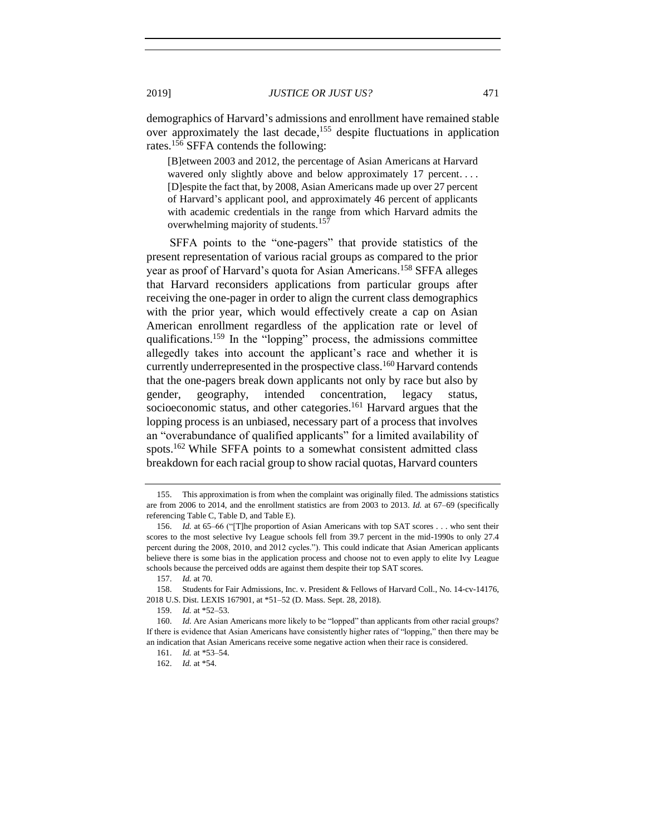demographics of Harvard's admissions and enrollment have remained stable over approximately the last decade,<sup>155</sup> despite fluctuations in application rates.<sup>156</sup> SFFA contends the following:

[B]etween 2003 and 2012, the percentage of Asian Americans at Harvard wavered only slightly above and below approximately 17 percent.... [D]espite the fact that, by 2008, Asian Americans made up over 27 percent of Harvard's applicant pool, and approximately 46 percent of applicants with academic credentials in the range from which Harvard admits the overwhelming majority of students.<sup>157</sup>

SFFA points to the "one-pagers" that provide statistics of the present representation of various racial groups as compared to the prior year as proof of Harvard's quota for Asian Americans.<sup>158</sup> SFFA alleges that Harvard reconsiders applications from particular groups after receiving the one-pager in order to align the current class demographics with the prior year, which would effectively create a cap on Asian American enrollment regardless of the application rate or level of qualifications.<sup>159</sup> In the "lopping" process, the admissions committee allegedly takes into account the applicant's race and whether it is currently underrepresented in the prospective class.<sup>160</sup> Harvard contends that the one-pagers break down applicants not only by race but also by gender, geography, intended concentration, legacy status, socioeconomic status, and other categories.<sup>161</sup> Harvard argues that the lopping process is an unbiased, necessary part of a process that involves an "overabundance of qualified applicants" for a limited availability of spots.<sup>162</sup> While SFFA points to a somewhat consistent admitted class breakdown for each racial group to show racial quotas, Harvard counters

<sup>155.</sup> This approximation is from when the complaint was originally filed. The admissions statistics are from 2006 to 2014, and the enrollment statistics are from 2003 to 2013. *Id.* at 67–69 (specifically referencing Table C, Table D, and Table E).

<sup>156.</sup> *Id.* at 65–66 ("[T]he proportion of Asian Americans with top SAT scores . . . who sent their scores to the most selective Ivy League schools fell from 39.7 percent in the mid-1990s to only 27.4 percent during the 2008, 2010, and 2012 cycles."). This could indicate that Asian American applicants believe there is some bias in the application process and choose not to even apply to elite Ivy League schools because the perceived odds are against them despite their top SAT scores.

<sup>157.</sup> *Id.* at 70.

<sup>158.</sup> Students for Fair Admissions, Inc. v. President & Fellows of Harvard Coll., No. 14-cv-14176, 2018 U.S. Dist. LEXIS 167901, at \*51–52 (D. Mass. Sept. 28, 2018).

<sup>159.</sup> *Id.* at \*52–53.

<sup>160.</sup> *Id.* Are Asian Americans more likely to be "lopped" than applicants from other racial groups? If there is evidence that Asian Americans have consistently higher rates of "lopping," then there may be an indication that Asian Americans receive some negative action when their race is considered.

<sup>161.</sup> *Id.* at \*53–54.

<sup>162.</sup> *Id.* at \*54.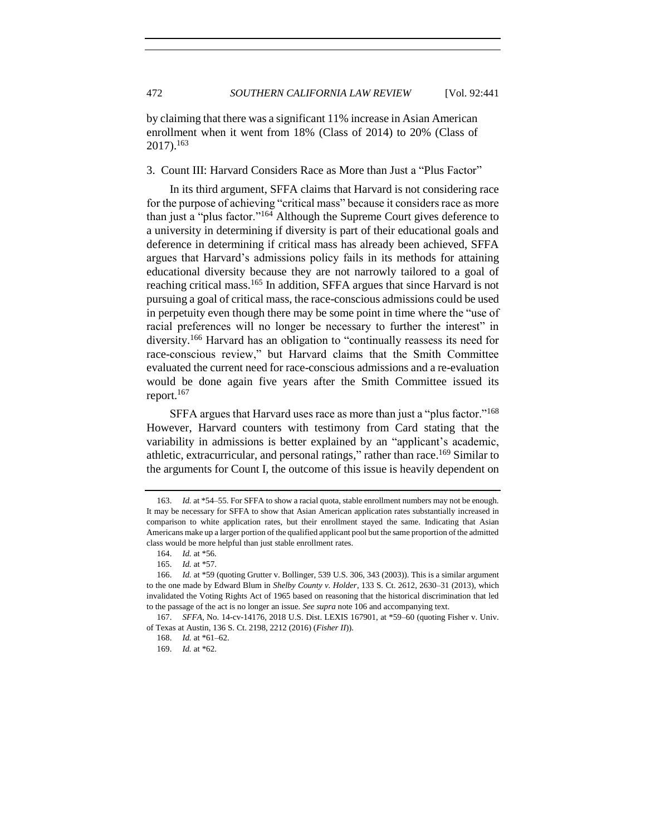by claiming that there was a significant 11% increase in Asian American enrollment when it went from 18% (Class of 2014) to 20% (Class of 2017). 163

<span id="page-31-0"></span>3. Count III: Harvard Considers Race as More than Just a "Plus Factor"

In its third argument, SFFA claims that Harvard is not considering race for the purpose of achieving "critical mass" because it considers race as more than just a "plus factor."<sup>164</sup> Although the Supreme Court gives deference to a university in determining if diversity is part of their educational goals and deference in determining if critical mass has already been achieved, SFFA argues that Harvard's admissions policy fails in its methods for attaining educational diversity because they are not narrowly tailored to a goal of reaching critical mass.<sup>165</sup> In addition, SFFA argues that since Harvard is not pursuing a goal of critical mass, the race-conscious admissions could be used in perpetuity even though there may be some point in time where the "use of racial preferences will no longer be necessary to further the interest" in diversity.<sup>166</sup> Harvard has an obligation to "continually reassess its need for race-conscious review," but Harvard claims that the Smith Committee evaluated the current need for race-conscious admissions and a re-evaluation would be done again five years after the Smith Committee issued its report. 167

SFFA argues that Harvard uses race as more than just a "plus factor."<sup>168</sup> However, Harvard counters with testimony from Card stating that the variability in admissions is better explained by an "applicant's academic, athletic, extracurricular, and personal ratings," rather than race.<sup>169</sup> Similar to the arguments for Count I, the outcome of this issue is heavily dependent on

<sup>163.</sup> *Id.* at \*54–55. For SFFA to show a racial quota, stable enrollment numbers may not be enough. It may be necessary for SFFA to show that Asian American application rates substantially increased in comparison to white application rates, but their enrollment stayed the same. Indicating that Asian Americans make up a larger portion of the qualified applicant pool but the same proportion of the admitted class would be more helpful than just stable enrollment rates.

<sup>164.</sup> *Id.* at \*56.

<sup>165.</sup> *Id.* at \*57.

<sup>166.</sup> *Id.* at \*59 (quoting Grutter v. Bollinger, 539 U.S. 306, 343 (2003)). This is a similar argument to the one made by Edward Blum in *Shelby County v. Holder*, 133 S. Ct. 2612, 2630–31 (2013), which invalidated the Voting Rights Act of 1965 based on reasoning that the historical discrimination that led to the passage of the act is no longer an issue. *See supra* not[e 106](#page-22-1) and accompanying text.

<sup>167.</sup> *SFFA*, No. 14-cv-14176, 2018 U.S. Dist. LEXIS 167901, at \*59–60 (quoting Fisher v. Univ. of Texas at Austin, 136 S. Ct. 2198, 2212 (2016) (*Fisher II*)).

<sup>168.</sup> *Id.* at \*61–62.

<sup>169.</sup> *Id.* at \*62.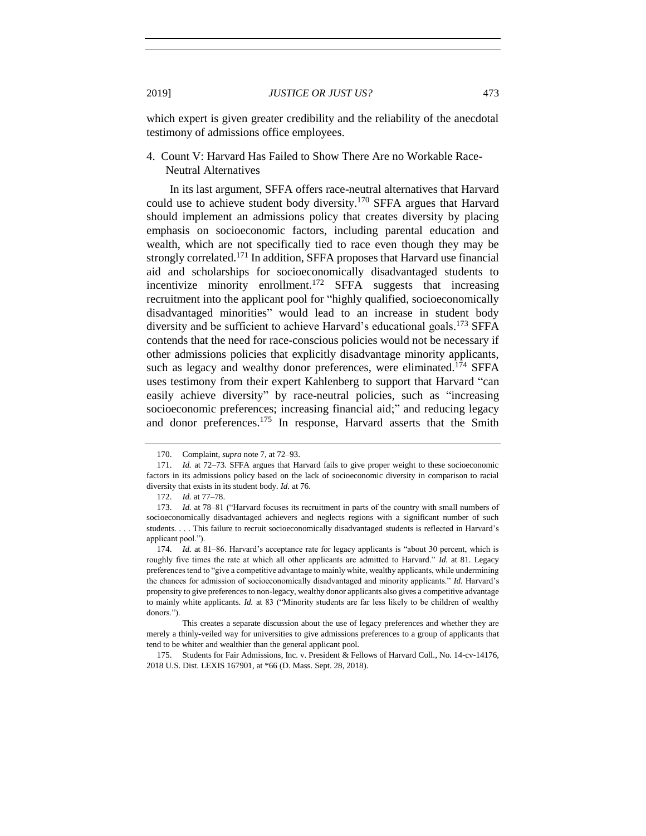which expert is given greater credibility and the reliability of the anecdotal testimony of admissions office employees.

## <span id="page-32-0"></span>4. Count V: Harvard Has Failed to Show There Are no Workable Race-Neutral Alternatives

In its last argument, SFFA offers race-neutral alternatives that Harvard could use to achieve student body diversity.<sup>170</sup> SFFA argues that Harvard should implement an admissions policy that creates diversity by placing emphasis on socioeconomic factors, including parental education and wealth, which are not specifically tied to race even though they may be strongly correlated.<sup>171</sup> In addition, SFFA proposes that Harvard use financial aid and scholarships for socioeconomically disadvantaged students to incentivize minority enrollment.<sup>172</sup> SFFA suggests that increasing recruitment into the applicant pool for "highly qualified, socioeconomically disadvantaged minorities" would lead to an increase in student body diversity and be sufficient to achieve Harvard's educational goals.<sup>173</sup> SFFA contends that the need for race-conscious policies would not be necessary if other admissions policies that explicitly disadvantage minority applicants, such as legacy and wealthy donor preferences, were eliminated.<sup>174</sup> SFFA uses testimony from their expert Kahlenberg to support that Harvard "can easily achieve diversity" by race-neutral policies, such as "increasing socioeconomic preferences; increasing financial aid;" and reducing legacy and donor preferences.<sup>175</sup> In response, Harvard asserts that the Smith

<sup>170.</sup> Complaint, *supra* not[e 7,](#page-2-1) at 72–93.

<sup>171.</sup> *Id.* at 72–73. SFFA argues that Harvard fails to give proper weight to these socioeconomic factors in its admissions policy based on the lack of socioeconomic diversity in comparison to racial diversity that exists in its student body. *Id.* at 76.

<sup>172.</sup> *Id.* at 77–78.

<sup>173.</sup> *Id.* at 78–81 ("Harvard focuses its recruitment in parts of the country with small numbers of socioeconomically disadvantaged achievers and neglects regions with a significant number of such students. . . . This failure to recruit socioeconomically disadvantaged students is reflected in Harvard's applicant pool.").

<sup>174.</sup> *Id.* at 81–86. Harvard's acceptance rate for legacy applicants is "about 30 percent, which is roughly five times the rate at which all other applicants are admitted to Harvard." *Id.* at 81. Legacy preferences tend to "give a competitive advantage to mainly white, wealthy applicants, while undermining the chances for admission of socioeconomically disadvantaged and minority applicants." *Id.* Harvard's propensity to give preferences to non-legacy, wealthy donor applicants also gives a competitive advantage to mainly white applicants. *Id.* at 83 ("Minority students are far less likely to be children of wealthy donors.").

This creates a separate discussion about the use of legacy preferences and whether they are merely a thinly-veiled way for universities to give admissions preferences to a group of applicants that tend to be whiter and wealthier than the general applicant pool.

<sup>175.</sup> Students for Fair Admissions, Inc. v. President & Fellows of Harvard Coll., No. 14-cv-14176, 2018 U.S. Dist. LEXIS 167901, at \*66 (D. Mass. Sept. 28, 2018).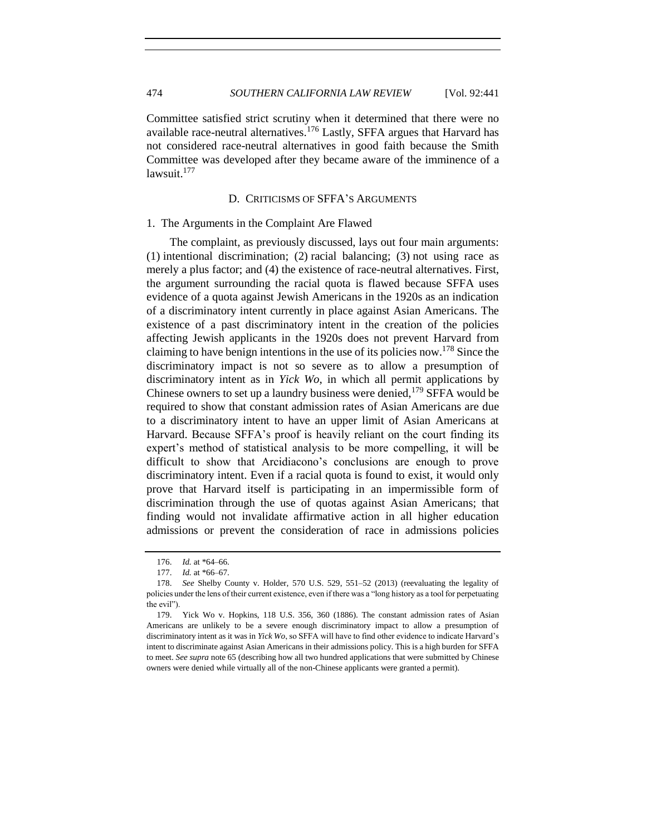Committee satisfied strict scrutiny when it determined that there were no available race-neutral alternatives.<sup>176</sup> Lastly, SFFA argues that Harvard has not considered race-neutral alternatives in good faith because the Smith Committee was developed after they became aware of the imminence of a lawsuit.<sup>177</sup>

### D. CRITICISMS OF SFFA'S ARGUMENTS

#### <span id="page-33-1"></span><span id="page-33-0"></span>1. The Arguments in the Complaint Are Flawed

The complaint, as previously discussed, lays out four main arguments: (1) intentional discrimination; (2) racial balancing; (3) not using race as merely a plus factor; and (4) the existence of race-neutral alternatives. First, the argument surrounding the racial quota is flawed because SFFA uses evidence of a quota against Jewish Americans in the 1920s as an indication of a discriminatory intent currently in place against Asian Americans. The existence of a past discriminatory intent in the creation of the policies affecting Jewish applicants in the 1920s does not prevent Harvard from claiming to have benign intentions in the use of its policies now.<sup>178</sup> Since the discriminatory impact is not so severe as to allow a presumption of discriminatory intent as in *Yick Wo*, in which all permit applications by Chinese owners to set up a laundry business were denied,  $179$  SFFA would be required to show that constant admission rates of Asian Americans are due to a discriminatory intent to have an upper limit of Asian Americans at Harvard. Because SFFA's proof is heavily reliant on the court finding its expert's method of statistical analysis to be more compelling, it will be difficult to show that Arcidiacono's conclusions are enough to prove discriminatory intent. Even if a racial quota is found to exist, it would only prove that Harvard itself is participating in an impermissible form of discrimination through the use of quotas against Asian Americans; that finding would not invalidate affirmative action in all higher education admissions or prevent the consideration of race in admissions policies

<sup>176.</sup> *Id.* at \*64–66.

<sup>177.</sup> *Id.* at \*66–67.

<sup>178.</sup> *See* Shelby County v. Holder, 570 U.S. 529, 551–52 (2013) (reevaluating the legality of policies under the lens of their current existence, even if there was a "long history as a tool for perpetuating the evil").

<sup>179.</sup> Yick Wo v. Hopkins, 118 U.S. 356, 360 (1886). The constant admission rates of Asian Americans are unlikely to be a severe enough discriminatory impact to allow a presumption of discriminatory intent as it was in *Yick Wo*, so SFFA will have to find other evidence to indicate Harvard's intent to discriminate against Asian Americans in their admissions policy. This is a high burden for SFFA to meet. *See supra* not[e 65](#page-14-1) (describing how all two hundred applications that were submitted by Chinese owners were denied while virtually all of the non-Chinese applicants were granted a permit).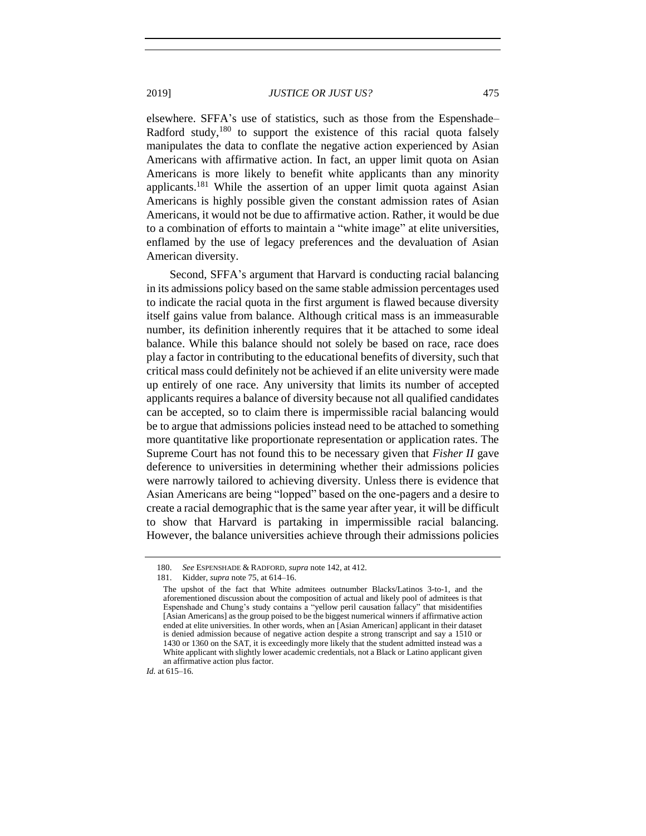elsewhere. SFFA's use of statistics, such as those from the Espenshade– Radford study,  $180$  to support the existence of this racial quota falsely manipulates the data to conflate the negative action experienced by Asian Americans with affirmative action. In fact, an upper limit quota on Asian Americans is more likely to benefit white applicants than any minority applicants.<sup>181</sup> While the assertion of an upper limit quota against Asian Americans is highly possible given the constant admission rates of Asian Americans, it would not be due to affirmative action. Rather, it would be due to a combination of efforts to maintain a "white image" at elite universities, enflamed by the use of legacy preferences and the devaluation of Asian American diversity.

Second, SFFA's argument that Harvard is conducting racial balancing in its admissions policy based on the same stable admission percentages used to indicate the racial quota in the first argument is flawed because diversity itself gains value from balance. Although critical mass is an immeasurable number, its definition inherently requires that it be attached to some ideal balance. While this balance should not solely be based on race, race does play a factor in contributing to the educational benefits of diversity, such that critical mass could definitely not be achieved if an elite university were made up entirely of one race. Any university that limits its number of accepted applicants requires a balance of diversity because not all qualified candidates can be accepted, so to claim there is impermissible racial balancing would be to argue that admissions policies instead need to be attached to something more quantitative like proportionate representation or application rates. The Supreme Court has not found this to be necessary given that *Fisher II* gave deference to universities in determining whether their admissions policies were narrowly tailored to achieving diversity. Unless there is evidence that Asian Americans are being "lopped" based on the one-pagers and a desire to create a racial demographic that is the same year after year, it will be difficult to show that Harvard is partaking in impermissible racial balancing. However, the balance universities achieve through their admissions policies

*Id.* at 615–16.

<sup>180.</sup> *See* ESPENSHADE & RADFORD, *supra* note [142,](#page-27-0) at 412.

<sup>181.</sup> Kidder, *supra* not[e 75,](#page-16-2) at 614–16.

The upshot of the fact that White admitees outnumber Blacks/Latinos 3-to-1, and the aforementioned discussion about the composition of actual and likely pool of admitees is that Espenshade and Chung's study contains a "yellow peril causation fallacy" that misidentifies [Asian Americans] as the group poised to be the biggest numerical winners if affirmative action ended at elite universities. In other words, when an [Asian American] applicant in their dataset is denied admission because of negative action despite a strong transcript and say a 1510 or 1430 or 1360 on the SAT, it is exceedingly more likely that the student admitted instead was a White applicant with slightly lower academic credentials, not a Black or Latino applicant given an affirmative action plus factor.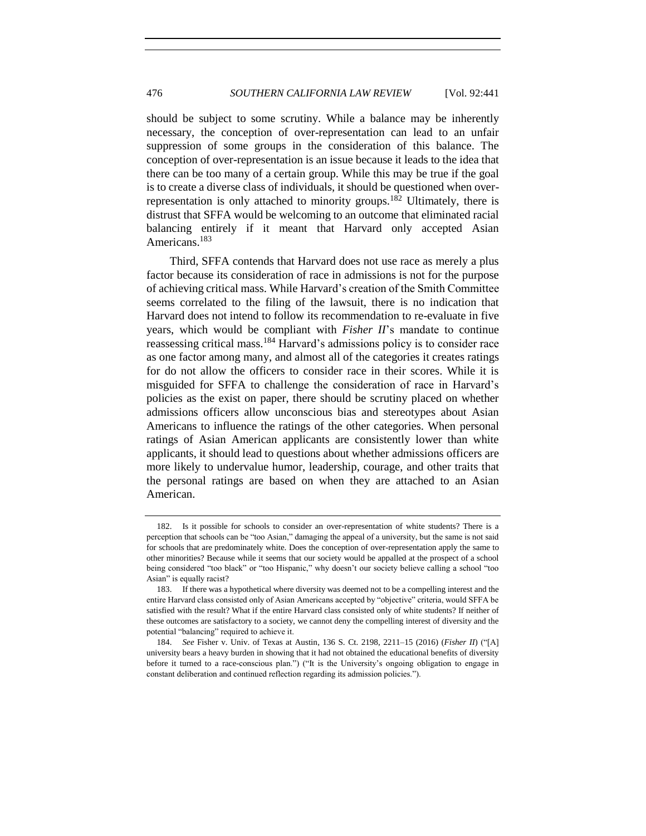should be subject to some scrutiny. While a balance may be inherently necessary, the conception of over-representation can lead to an unfair suppression of some groups in the consideration of this balance. The conception of over-representation is an issue because it leads to the idea that there can be too many of a certain group. While this may be true if the goal is to create a diverse class of individuals, it should be questioned when overrepresentation is only attached to minority groups.<sup>182</sup> Ultimately, there is distrust that SFFA would be welcoming to an outcome that eliminated racial balancing entirely if it meant that Harvard only accepted Asian Americans.<sup>183</sup>

Third, SFFA contends that Harvard does not use race as merely a plus factor because its consideration of race in admissions is not for the purpose of achieving critical mass. While Harvard's creation of the Smith Committee seems correlated to the filing of the lawsuit, there is no indication that Harvard does not intend to follow its recommendation to re-evaluate in five years, which would be compliant with *Fisher II*'s mandate to continue reassessing critical mass.<sup>184</sup> Harvard's admissions policy is to consider race as one factor among many, and almost all of the categories it creates ratings for do not allow the officers to consider race in their scores. While it is misguided for SFFA to challenge the consideration of race in Harvard's policies as the exist on paper, there should be scrutiny placed on whether admissions officers allow unconscious bias and stereotypes about Asian Americans to influence the ratings of the other categories. When personal ratings of Asian American applicants are consistently lower than white applicants, it should lead to questions about whether admissions officers are more likely to undervalue humor, leadership, courage, and other traits that the personal ratings are based on when they are attached to an Asian American.

<sup>182.</sup> Is it possible for schools to consider an over-representation of white students? There is a perception that schools can be "too Asian," damaging the appeal of a university, but the same is not said for schools that are predominately white. Does the conception of over-representation apply the same to other minorities? Because while it seems that our society would be appalled at the prospect of a school being considered "too black" or "too Hispanic," why doesn't our society believe calling a school "too Asian" is equally racist?

<sup>183.</sup> If there was a hypothetical where diversity was deemed not to be a compelling interest and the entire Harvard class consisted only of Asian Americans accepted by "objective" criteria, would SFFA be satisfied with the result? What if the entire Harvard class consisted only of white students? If neither of these outcomes are satisfactory to a society, we cannot deny the compelling interest of diversity and the potential "balancing" required to achieve it.

<sup>184.</sup> *See* Fisher v. Univ. of Texas at Austin, 136 S. Ct. 2198, 2211–15 (2016) (*Fisher II*) ("[A] university bears a heavy burden in showing that it had not obtained the educational benefits of diversity before it turned to a race-conscious plan.") ("It is the University's ongoing obligation to engage in constant deliberation and continued reflection regarding its admission policies.").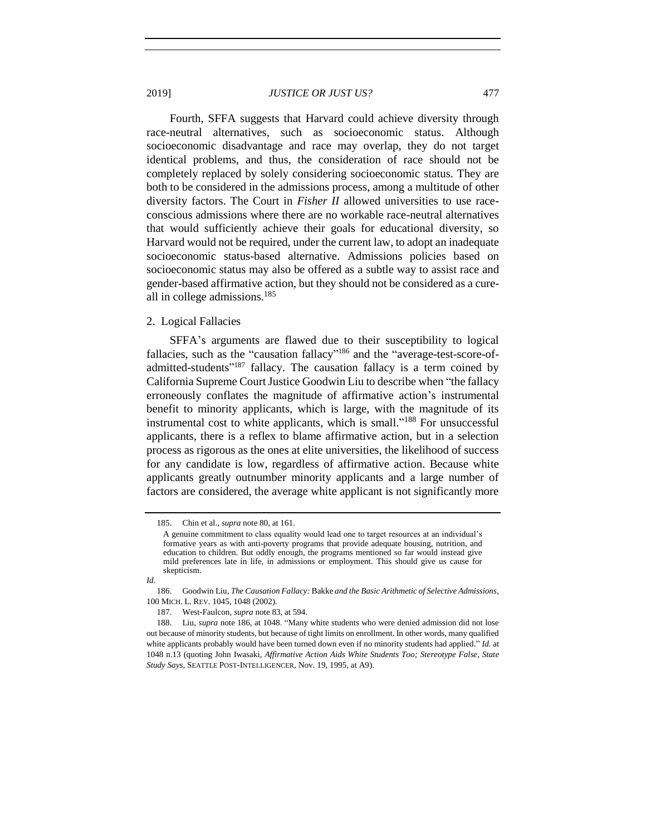Fourth, SFFA suggests that Harvard could achieve diversity through race-neutral alternatives, such as socioeconomic status. Although socioeconomic disadvantage and race may overlap, they do not target identical problems, and thus, the consideration of race should not be completely replaced by solely considering socioeconomic status. They are both to be considered in the admissions process, among a multitude of other diversity factors. The Court in *Fisher II* allowed universities to use raceconscious admissions where there are no workable race-neutral alternatives that would sufficiently achieve their goals for educational diversity, so Harvard would not be required, under the current law, to adopt an inadequate socioeconomic status-based alternative. Admissions policies based on socioeconomic status may also be offered as a subtle way to assist race and gender-based affirmative action, but they should not be considered as a cureall in college admissions. 185

#### <span id="page-36-0"></span>2. Logical Fallacies

<span id="page-36-1"></span>SFFA's arguments are flawed due to their susceptibility to logical fallacies, such as the "causation fallacy"<sup>186</sup> and the "average-test-score-ofadmitted-students"<sup>187</sup> fallacy. The causation fallacy is a term coined by California Supreme Court Justice Goodwin Liu to describe when "the fallacy erroneously conflates the magnitude of affirmative action's instrumental benefit to minority applicants, which is large, with the magnitude of its instrumental cost to white applicants, which is small."<sup>188</sup> For unsuccessful applicants, there is a reflex to blame affirmative action, but in a selection process as rigorous as the ones at elite universities, the likelihood of success for any candidate is low, regardless of affirmative action. Because white applicants greatly outnumber minority applicants and a large number of factors are considered, the average white applicant is not significantly more

<sup>185.</sup> Chin et al., *supra* not[e 80,](#page-17-1) at 161.

A genuine commitment to class equality would lead one to target resources at an individual's formative years as with anti-poverty programs that provide adequate housing, nutrition, and education to children. But oddly enough, the programs mentioned so far would instead give mild preferences late in life, in admissions or employment. This should give us cause for skepticism.

*Id.*

<sup>186.</sup> Goodwin Liu, *The Causation Fallacy:* Bakke *and the Basic Arithmetic of Selective Admissions*, 100 MICH. L. REV. 1045, 1048 (2002).

<sup>187.</sup> West-Faulcon, *supra* note [83,](#page-18-0) at 594.

<sup>188.</sup> Liu, *supra* note [186,](#page-36-1) at 1048. "Many white students who were denied admission did not lose out because of minority students, but because of tight limits on enrollment. In other words, many qualified white applicants probably would have been turned down even if no minority students had applied." *Id.* at 1048 n.13 (quoting John Iwasaki, *Affirmative Action Aids White Students Too; Stereotype False, State Study Says*, SEATTLE POST-INTELLIGENCER, Nov. 19, 1995, at A9).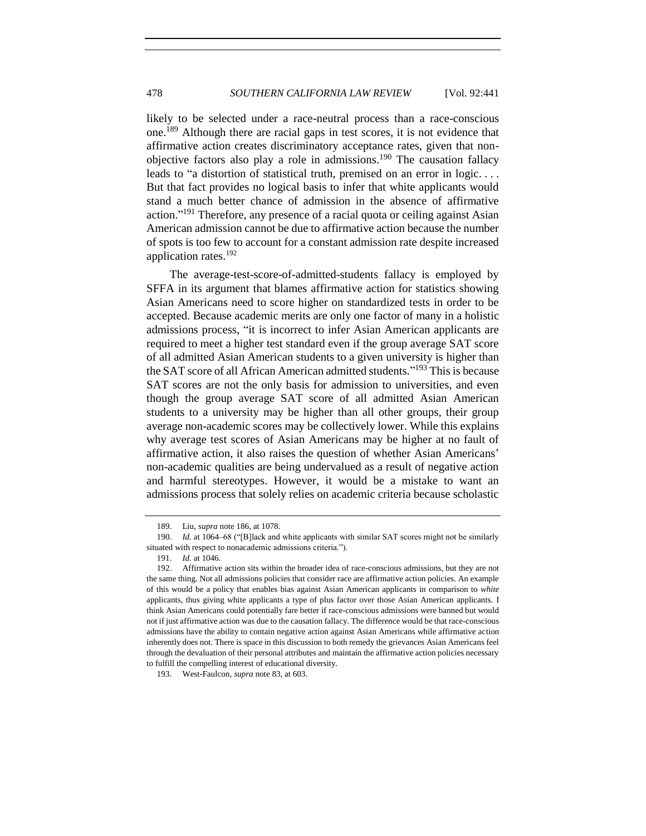likely to be selected under a race-neutral process than a race-conscious one.<sup>189</sup> Although there are racial gaps in test scores, it is not evidence that affirmative action creates discriminatory acceptance rates, given that nonobjective factors also play a role in admissions.<sup>190</sup> The causation fallacy leads to "a distortion of statistical truth, premised on an error in logic. . . . But that fact provides no logical basis to infer that white applicants would stand a much better chance of admission in the absence of affirmative action."<sup>191</sup> Therefore, any presence of a racial quota or ceiling against Asian American admission cannot be due to affirmative action because the number of spots is too few to account for a constant admission rate despite increased application rates.<sup>192</sup>

The average-test-score-of-admitted-students fallacy is employed by SFFA in its argument that blames affirmative action for statistics showing Asian Americans need to score higher on standardized tests in order to be accepted. Because academic merits are only one factor of many in a holistic admissions process, "it is incorrect to infer Asian American applicants are required to meet a higher test standard even if the group average SAT score of all admitted Asian American students to a given university is higher than the SAT score of all African American admitted students." <sup>193</sup> This is because SAT scores are not the only basis for admission to universities, and even though the group average SAT score of all admitted Asian American students to a university may be higher than all other groups, their group average non-academic scores may be collectively lower. While this explains why average test scores of Asian Americans may be higher at no fault of affirmative action, it also raises the question of whether Asian Americans' non-academic qualities are being undervalued as a result of negative action and harmful stereotypes. However, it would be a mistake to want an admissions process that solely relies on academic criteria because scholastic

<sup>189.</sup> Liu, *supra* not[e 186,](#page-36-1) at 1078.

<sup>190.</sup> *Id.* at 1064–68 ("[B]lack and white applicants with similar SAT scores might not be similarly situated with respect to nonacademic admissions criteria.").

<sup>191.</sup> *Id.* at 1046.

<sup>192.</sup> Affirmative action sits within the broader idea of race-conscious admissions, but they are not the same thing. Not all admissions policies that consider race are affirmative action policies. An example of this would be a policy that enables bias against Asian American applicants in comparison to *white*  applicants, thus giving white applicants a type of plus factor over those Asian American applicants. I think Asian Americans could potentially fare better if race-conscious admissions were banned but would not if just affirmative action was due to the causation fallacy. The difference would be that race-conscious admissions have the ability to contain negative action against Asian Americans while affirmative action inherently does not. There is space in this discussion to both remedy the grievances Asian Americans feel through the devaluation of their personal attributes and maintain the affirmative action policies necessary to fulfill the compelling interest of educational diversity.

<sup>193.</sup> West-Faulcon, *supra* note [83,](#page-18-0) at 603.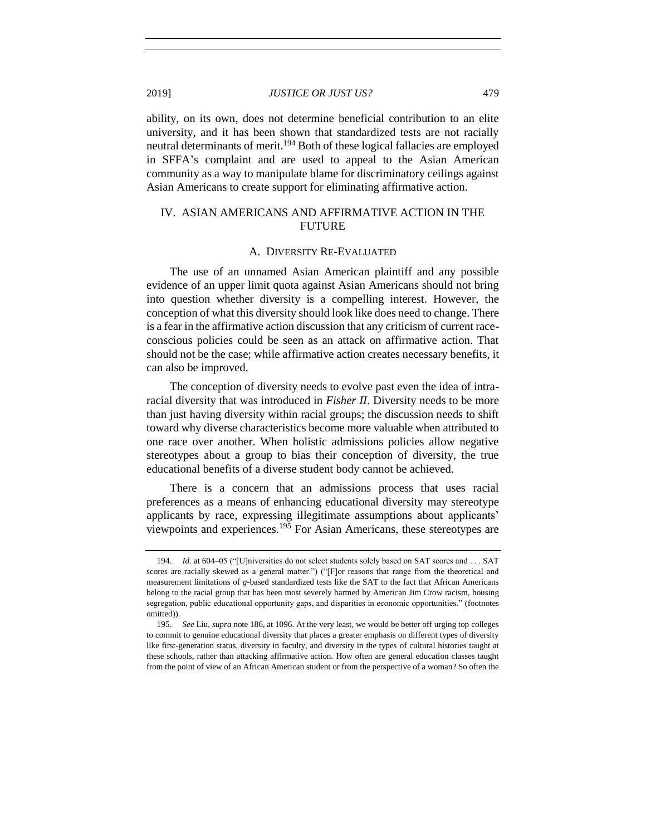ability, on its own, does not determine beneficial contribution to an elite university, and it has been shown that standardized tests are not racially neutral determinants of merit.<sup>194</sup> Both of these logical fallacies are employed in SFFA's complaint and are used to appeal to the Asian American community as a way to manipulate blame for discriminatory ceilings against Asian Americans to create support for eliminating affirmative action.

## <span id="page-38-0"></span>IV. ASIAN AMERICANS AND AFFIRMATIVE ACTION IN THE FUTURE

### A. DIVERSITY RE-EVALUATED

<span id="page-38-1"></span>The use of an unnamed Asian American plaintiff and any possible evidence of an upper limit quota against Asian Americans should not bring into question whether diversity is a compelling interest. However, the conception of what this diversity should look like does need to change. There is a fear in the affirmative action discussion that any criticism of current raceconscious policies could be seen as an attack on affirmative action. That should not be the case; while affirmative action creates necessary benefits, it can also be improved.

The conception of diversity needs to evolve past even the idea of intraracial diversity that was introduced in *Fisher II*. Diversity needs to be more than just having diversity within racial groups; the discussion needs to shift toward why diverse characteristics become more valuable when attributed to one race over another. When holistic admissions policies allow negative stereotypes about a group to bias their conception of diversity, the true educational benefits of a diverse student body cannot be achieved.

There is a concern that an admissions process that uses racial preferences as a means of enhancing educational diversity may stereotype applicants by race, expressing illegitimate assumptions about applicants' viewpoints and experiences.<sup>195</sup> For Asian Americans, these stereotypes are

<sup>194.</sup> *Id.* at 604–05 ("[U]niversities do not select students solely based on SAT scores and . . . SAT scores are racially skewed as a general matter.") ("[F]or reasons that range from the theoretical and measurement limitations of *g*-based standardized tests like the SAT to the fact that African Americans belong to the racial group that has been most severely harmed by American Jim Crow racism, housing segregation, public educational opportunity gaps, and disparities in economic opportunities." (footnotes omitted)).

<sup>195.</sup> *See* Liu, *supra* not[e 186,](#page-36-1) at 1096. At the very least, we would be better off urging top colleges to commit to genuine educational diversity that places a greater emphasis on different types of diversity like first-generation status, diversity in faculty, and diversity in the types of cultural histories taught at these schools, rather than attacking affirmative action. How often are general education classes taught from the point of view of an African American student or from the perspective of a woman? So often the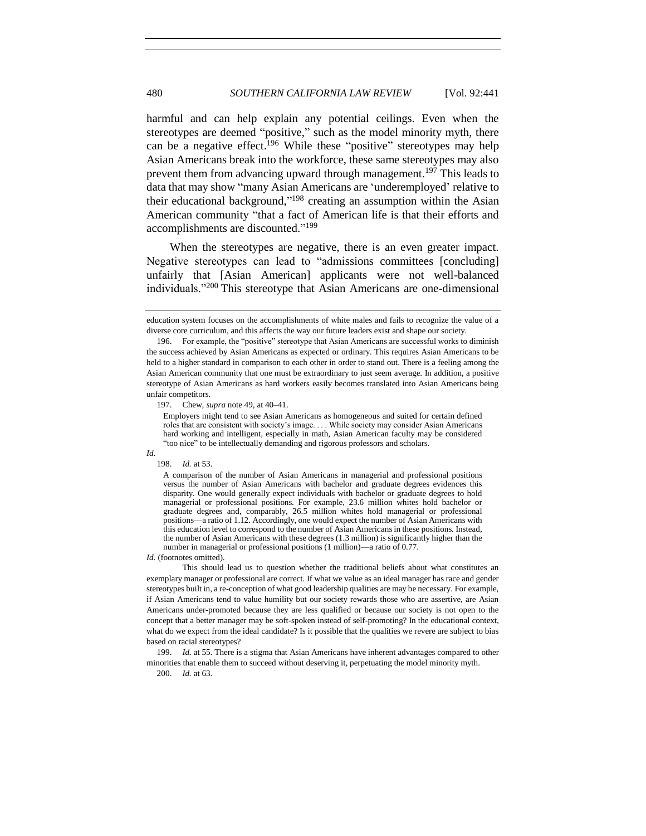harmful and can help explain any potential ceilings. Even when the stereotypes are deemed "positive," such as the model minority myth, there can be a negative effect.<sup>196</sup> While these "positive" stereotypes may help Asian Americans break into the workforce, these same stereotypes may also prevent them from advancing upward through management.<sup>197</sup> This leads to data that may show "many Asian Americans are 'underemployed' relative to their educational background,"<sup>198</sup> creating an assumption within the Asian American community "that a fact of American life is that their efforts and accomplishments are discounted."<sup>199</sup>

When the stereotypes are negative, there is an even greater impact. Negative stereotypes can lead to "admissions committees [concluding] unfairly that [Asian American] applicants were not well-balanced individuals."<sup>200</sup> This stereotype that Asian Americans are one-dimensional

197. Chew, *supra* not[e 49,](#page-11-1) at 40–41.

*Id.*

*Id.* (footnotes omitted).

This should lead us to question whether the traditional beliefs about what constitutes an exemplary manager or professional are correct. If what we value as an ideal manager has race and gender stereotypes built in, a re-conception of what good leadership qualities are may be necessary. For example, if Asian Americans tend to value humility but our society rewards those who are assertive, are Asian Americans under-promoted because they are less qualified or because our society is not open to the concept that a better manager may be soft-spoken instead of self-promoting? In the educational context, what do we expect from the ideal candidate? Is it possible that the qualities we revere are subject to bias based on racial stereotypes?

199. *Id.* at 55. There is a stigma that Asian Americans have inherent advantages compared to other minorities that enable them to succeed without deserving it, perpetuating the model minority myth.

200. *Id.* at 63.

education system focuses on the accomplishments of white males and fails to recognize the value of a diverse core curriculum, and this affects the way our future leaders exist and shape our society.

<sup>196.</sup> For example, the "positive" stereotype that Asian Americans are successful works to diminish the success achieved by Asian Americans as expected or ordinary. This requires Asian Americans to be held to a higher standard in comparison to each other in order to stand out. There is a feeling among the Asian American community that one must be extraordinary to just seem average. In addition, a positive stereotype of Asian Americans as hard workers easily becomes translated into Asian Americans being unfair competitors.

Employers might tend to see Asian Americans as homogeneous and suited for certain defined roles that are consistent with society's image. . . . While society may consider Asian Americans hard working and intelligent, especially in math, Asian American faculty may be considered "too nice" to be intellectually demanding and rigorous professors and scholars.

<sup>198.</sup> *Id.* at 53.

A comparison of the number of Asian Americans in managerial and professional positions versus the number of Asian Americans with bachelor and graduate degrees evidences this disparity. One would generally expect individuals with bachelor or graduate degrees to hold managerial or professional positions. For example, 23.6 million whites hold bachelor or graduate degrees and, comparably, 26.5 million whites hold managerial or professional positions—a ratio of 1.12. Accordingly, one would expect the number of Asian Americans with this education level to correspond to the number of Asian Americans in these positions. Instead, the number of Asian Americans with these degrees (1.3 million) is significantly higher than the number in managerial or professional positions (1 million)—a ratio of 0.77.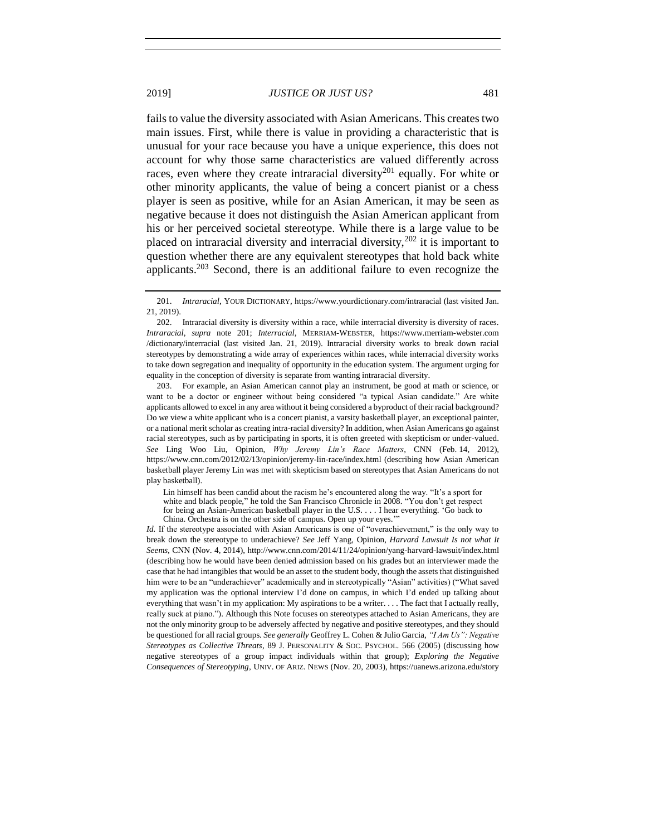<span id="page-40-0"></span>fails to value the diversity associated with Asian Americans. This creates two main issues. First, while there is value in providing a characteristic that is unusual for your race because you have a unique experience, this does not account for why those same characteristics are valued differently across races, even where they create intraracial diversity<sup>201</sup> equally. For white or other minority applicants, the value of being a concert pianist or a chess player is seen as positive, while for an Asian American, it may be seen as negative because it does not distinguish the Asian American applicant from his or her perceived societal stereotype. While there is a large value to be placed on intraracial diversity and interracial diversity,<sup>202</sup> it is important to question whether there are any equivalent stereotypes that hold back white applicants.<sup>203</sup> Second, there is an additional failure to even recognize the

203. For example, an Asian American cannot play an instrument, be good at math or science, or want to be a doctor or engineer without being considered "a typical Asian candidate." Are white applicants allowed to excel in any area without it being considered a byproduct of their racial background? Do we view a white applicant who is a concert pianist, a varsity basketball player, an exceptional painter, or a national merit scholar as creating intra-racial diversity? In addition, when Asian Americans go against racial stereotypes, such as by participating in sports, it is often greeted with skepticism or under-valued. *See* Ling Woo Liu, Opinion, *Why Jeremy Lin's Race Matters*, CNN (Feb. 14, 2012), https://www.cnn.com/2012/02/13/opinion/jeremy-lin-race/index.html (describing how Asian American basketball player Jeremy Lin was met with skepticism based on stereotypes that Asian Americans do not play basketball).

Lin himself has been candid about the racism he's encountered along the way. "It's a sport for white and black people," he told the San Francisco Chronicle in 2008. "You don't get respect for being an Asian-American basketball player in the U.S. . . . I hear everything. 'Go back to

*Id.* If the stereotype associated with Asian Americans is one of "overachievement," is the only way to break down the stereotype to underachieve? *See* Jeff Yang, Opinion, *Harvard Lawsuit Is not what It Seems*, CNN (Nov. 4, 2014), http://www.cnn.com/2014/11/24/opinion/yang-harvard-lawsuit/index.html (describing how he would have been denied admission based on his grades but an interviewer made the case that he had intangibles that would be an asset to the student body, though the assets that distinguished him were to be an "underachiever" academically and in stereotypically "Asian" activities) ("What saved my application was the optional interview I'd done on campus, in which I'd ended up talking about everything that wasn't in my application: My aspirations to be a writer. . . . The fact that I actually really, really suck at piano."). Although this Note focuses on stereotypes attached to Asian Americans, they are not the only minority group to be adversely affected by negative and positive stereotypes, and they should be questioned for all racial groups. *See generally* Geoffrey L. Cohen & Julio Garcia, *"I Am Us": Negative Stereotypes as Collective Threats*, 89 J. PERSONALITY & SOC. PSYCHOL. 566 (2005) (discussing how negative stereotypes of a group impact individuals within that group); *Exploring the Negative Consequences of Stereotyping*, UNIV. OF ARIZ. NEWS (Nov. 20, 2003), https://uanews.arizona.edu/story

<sup>201.</sup> *Intraracial*, YOUR DICTIONARY, https://www.yourdictionary.com/intraracial (last visited Jan. 21, 2019).

<sup>202.</sup> Intraracial diversity is diversity within a race, while interracial diversity is diversity of races. *Intraracial*, *supra* note [201;](#page-40-0) *Interracial*, MERRIAM-WEBSTER, https://www.merriam-webster.com /dictionary/interracial (last visited Jan. 21, 2019). Intraracial diversity works to break down racial stereotypes by demonstrating a wide array of experiences within races, while interracial diversity works to take down segregation and inequality of opportunity in the education system. The argument urging for equality in the conception of diversity is separate from wanting intraracial diversity.

China. Orchestra is on the other side of campus. Open up your eyes.'"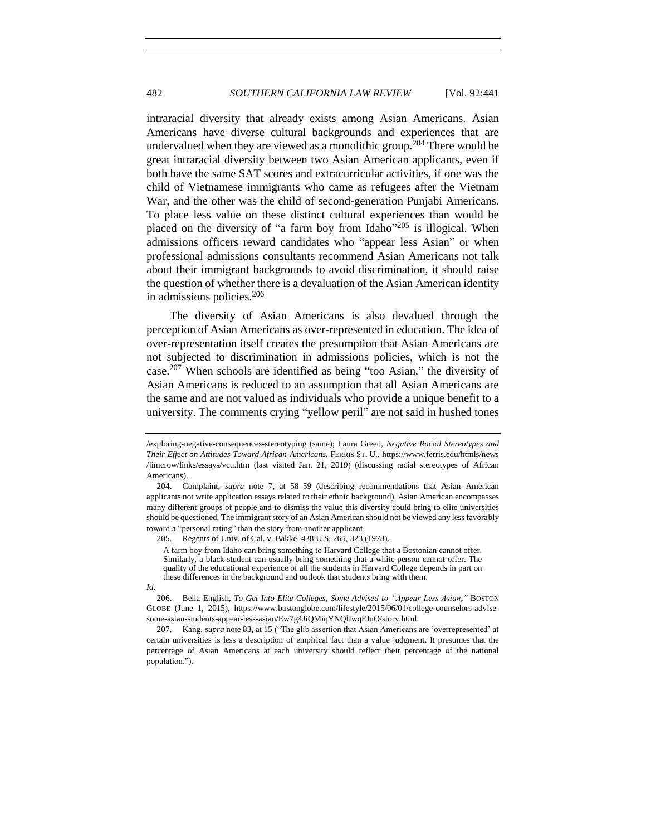intraracial diversity that already exists among Asian Americans. Asian Americans have diverse cultural backgrounds and experiences that are undervalued when they are viewed as a monolithic group.<sup>204</sup> There would be great intraracial diversity between two Asian American applicants, even if both have the same SAT scores and extracurricular activities, if one was the child of Vietnamese immigrants who came as refugees after the Vietnam War, and the other was the child of second-generation Punjabi Americans. To place less value on these distinct cultural experiences than would be placed on the diversity of "a farm boy from Idaho"<sup>205</sup> is illogical. When admissions officers reward candidates who "appear less Asian" or when professional admissions consultants recommend Asian Americans not talk about their immigrant backgrounds to avoid discrimination, it should raise the question of whether there is a devaluation of the Asian American identity in admissions policies.<sup>206</sup>

The diversity of Asian Americans is also devalued through the perception of Asian Americans as over-represented in education. The idea of over-representation itself creates the presumption that Asian Americans are not subjected to discrimination in admissions policies, which is not the case.<sup>207</sup> When schools are identified as being "too Asian," the diversity of Asian Americans is reduced to an assumption that all Asian Americans are the same and are not valued as individuals who provide a unique benefit to a university. The comments crying "yellow peril" are not said in hushed tones

<sup>/</sup>exploring-negative-consequences-stereotyping (same); Laura Green, *Negative Racial Stereotypes and Their Effect on Attitudes Toward African-Americans*, FERRIS ST. U., https://www.ferris.edu/htmls/news /jimcrow/links/essays/vcu.htm (last visited Jan. 21, 2019) (discussing racial stereotypes of African Americans).

<sup>204.</sup> Complaint, *supra* note [7,](#page-2-1) at 58–59 (describing recommendations that Asian American applicants not write application essays related to their ethnic background). Asian American encompasses many different groups of people and to dismiss the value this diversity could bring to elite universities should be questioned. The immigrant story of an Asian American should not be viewed any less favorably toward a "personal rating" than the story from another applicant.

<sup>205.</sup> Regents of Univ. of Cal. v. Bakke, 438 U.S. 265, 323 (1978).

A farm boy from Idaho can bring something to Harvard College that a Bostonian cannot offer. Similarly, a black student can usually bring something that a white person cannot offer. The quality of the educational experience of all the students in Harvard College depends in part on these differences in the background and outlook that students bring with them.

*Id.*

<sup>206.</sup> Bella English, *To Get Into Elite Colleges, Some Advised to "Appear Less Asian*,*"* BOSTON GLOBE (June 1, 2015), https://www.bostonglobe.com/lifestyle/2015/06/01/college-counselors-advisesome-asian-students-appear-less-asian/Ew7g4JiQMiqYNQlIwqEIuO/story.html.

<sup>207.</sup> Kang, *supra* not[e 83,](#page-18-0) at 15 ("The glib assertion that Asian Americans are 'overrepresented' at certain universities is less a description of empirical fact than a value judgment. It presumes that the percentage of Asian Americans at each university should reflect their percentage of the national population.").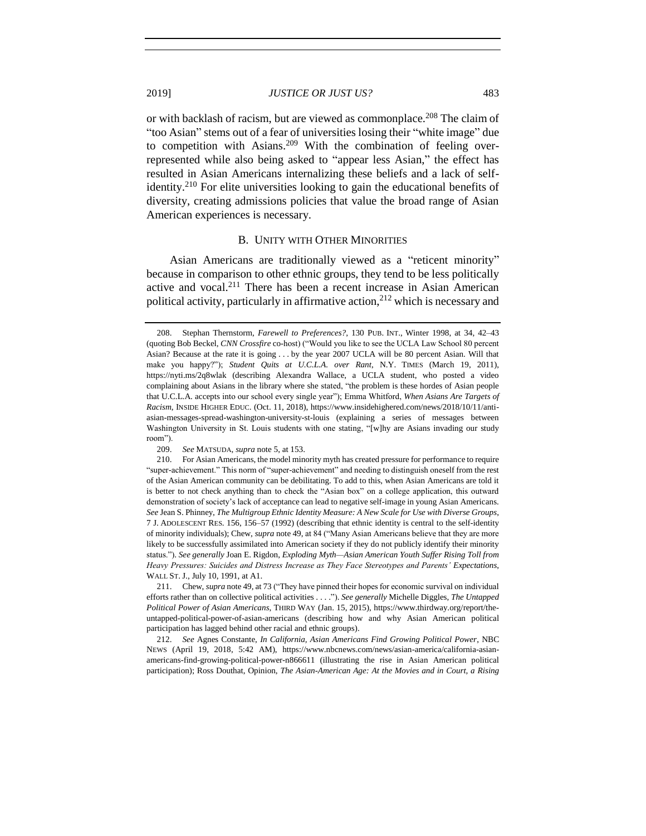or with backlash of racism, but are viewed as commonplace.<sup>208</sup> The claim of "too Asian" stems out of a fear of universities losing their "white image" due to competition with Asians.<sup>209</sup> With the combination of feeling overrepresented while also being asked to "appear less Asian," the effect has resulted in Asian Americans internalizing these beliefs and a lack of selfidentity.<sup>210</sup> For elite universities looking to gain the educational benefits of diversity, creating admissions policies that value the broad range of Asian American experiences is necessary.

#### B. UNITY WITH OTHER MINORITIES

<span id="page-42-0"></span>Asian Americans are traditionally viewed as a "reticent minority" because in comparison to other ethnic groups, they tend to be less politically active and vocal.<sup>211</sup> There has been a recent increase in Asian American political activity, particularly in affirmative action,  $2^{12}$  which is necessary and

<sup>208.</sup> Stephan Thernstorm, *Farewell to Preferences?*, 130 PUB. INT., Winter 1998, at 34, 42–43 (quoting Bob Beckel, *CNN Crossfire* co-host) ("Would you like to see the UCLA Law School 80 percent Asian? Because at the rate it is going . . . by the year 2007 UCLA will be 80 percent Asian. Will that make you happy?"); *Student Quits at U.C.L.A. over Rant*, N.Y. TIMES (March 19, 2011), https://nyti.ms/2q8wlak (describing Alexandra Wallace, a UCLA student, who posted a video complaining about Asians in the library where she stated, "the problem is these hordes of Asian people that U.C.L.A. accepts into our school every single year"); Emma Whitford, *When Asians Are Targets of Racism*, INSIDE HIGHER EDUC. (Oct. 11, 2018), https://www.insidehighered.com/news/2018/10/11/antiasian-messages-spread-washington-university-st-louis (explaining a series of messages between Washington University in St. Louis students with one stating, "[w]hy are Asians invading our study room").

<sup>209.</sup> *See* MATSUDA, *supra* not[e 5,](#page-2-0) at 153.

<sup>210.</sup> For Asian Americans, the model minority myth has created pressure for performance to require "super-achievement." This norm of "super-achievement" and needing to distinguish oneself from the rest of the Asian American community can be debilitating. To add to this, when Asian Americans are told it is better to not check anything than to check the "Asian box" on a college application, this outward demonstration of society's lack of acceptance can lead to negative self-image in young Asian Americans. *See* Jean S. Phinney, *The Multigroup Ethnic Identity Measure: A New Scale for Use with Diverse Groups*, 7 J. ADOLESCENT RES. 156, 156–57 (1992) (describing that ethnic identity is central to the self-identity of minority individuals); Chew, *supra* not[e 49,](#page-11-1) at 84 ("Many Asian Americans believe that they are more likely to be successfully assimilated into American society if they do not publicly identify their minority status."). *See generally* Joan E. Rigdon, *Exploding Myth—Asian American Youth Suffer Rising Toll from Heavy Pressures: Suicides and Distress Increase as They Face Stereotypes and Parents' Expectations*, WALL ST. J., July 10, 1991, at A1.

<sup>211.</sup> Chew, *supra* not[e 49,](#page-11-1) at 73 ("They have pinned their hopes for economic survival on individual efforts rather than on collective political activities . . . ."). *See generally* Michelle Diggles, *The Untapped Political Power of Asian Americans*, THIRD WAY (Jan. 15, 2015), https://www.thirdway.org/report/theuntapped-political-power-of-asian-americans (describing how and why Asian American political participation has lagged behind other racial and ethnic groups).

<sup>212.</sup> *See* Agnes Constante, *In California, Asian Americans Find Growing Political Power*, NBC NEWS (April 19, 2018, 5:42 AM), https://www.nbcnews.com/news/asian-america/california-asianamericans-find-growing-political-power-n866611 (illustrating the rise in Asian American political participation); Ross Douthat, Opinion, *The Asian-American Age: At the Movies and in Court, a Rising*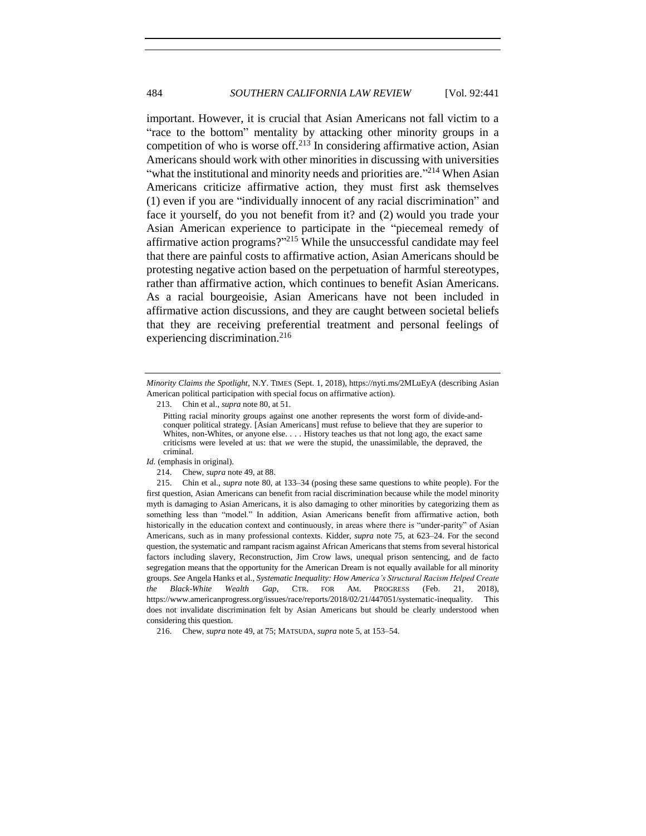important. However, it is crucial that Asian Americans not fall victim to a "race to the bottom" mentality by attacking other minority groups in a competition of who is worse off.<sup>213</sup> In considering affirmative action, Asian Americans should work with other minorities in discussing with universities "what the institutional and minority needs and priorities are."<sup>214</sup> When Asian Americans criticize affirmative action, they must first ask themselves (1) even if you are "individually innocent of any racial discrimination" and face it yourself, do you not benefit from it? and (2) would you trade your Asian American experience to participate in the "piecemeal remedy of affirmative action programs?"<sup>215</sup> While the unsuccessful candidate may feel that there are painful costs to affirmative action, Asian Americans should be protesting negative action based on the perpetuation of harmful stereotypes, rather than affirmative action, which continues to benefit Asian Americans. As a racial bourgeoisie, Asian Americans have not been included in affirmative action discussions, and they are caught between societal beliefs that they are receiving preferential treatment and personal feelings of experiencing discrimination.<sup>216</sup>

*Minority Claims the Spotlight*, N.Y. TIMES (Sept. 1, 2018), https://nyti.ms/2MLuEyA (describing Asian American political participation with special focus on affirmative action).

<sup>213.</sup> Chin et al., *supra* not[e 80,](#page-17-1) at 51.

Pitting racial minority groups against one another represents the worst form of divide-andconquer political strategy. [Asian Americans] must refuse to believe that they are superior to Whites, non-Whites, or anyone else. . . . History teaches us that not long ago, the exact same criticisms were leveled at us: that *we* were the stupid, the unassimilable, the depraved, the criminal.

*Id.* (emphasis in original).

<sup>214.</sup> Chew, *supra* not[e 49,](#page-11-1) at 88.

<sup>215.</sup> Chin et al., *supra* not[e 80,](#page-17-1) at 133–34 (posing these same questions to white people). For the first question, Asian Americans can benefit from racial discrimination because while the model minority myth is damaging to Asian Americans, it is also damaging to other minorities by categorizing them as something less than "model." In addition, Asian Americans benefit from affirmative action, both historically in the education context and continuously, in areas where there is "under-parity" of Asian Americans, such as in many professional contexts. Kidder, *supra* note [75,](#page-16-2) at 623–24. For the second question, the systematic and rampant racism against African Americans that stems from several historical factors including slavery, Reconstruction, Jim Crow laws, unequal prison sentencing, and de facto segregation means that the opportunity for the American Dream is not equally available for all minority groups. *See* Angela Hanks et al., *Systematic Inequality: How America's Structural Racism Helped Create the Black-White Wealth Gap*, CTR. FOR AM. PROGRESS (Feb. 21, 2018), https://www.americanprogress.org/issues/race/reports/2018/02/21/447051/systematic-inequality. This does not invalidate discrimination felt by Asian Americans but should be clearly understood when considering this question.

<sup>216.</sup> Chew, *supra* not[e 49,](#page-11-1) at 75; MATSUDA, *supra* not[e 5,](#page-2-0) at 153–54.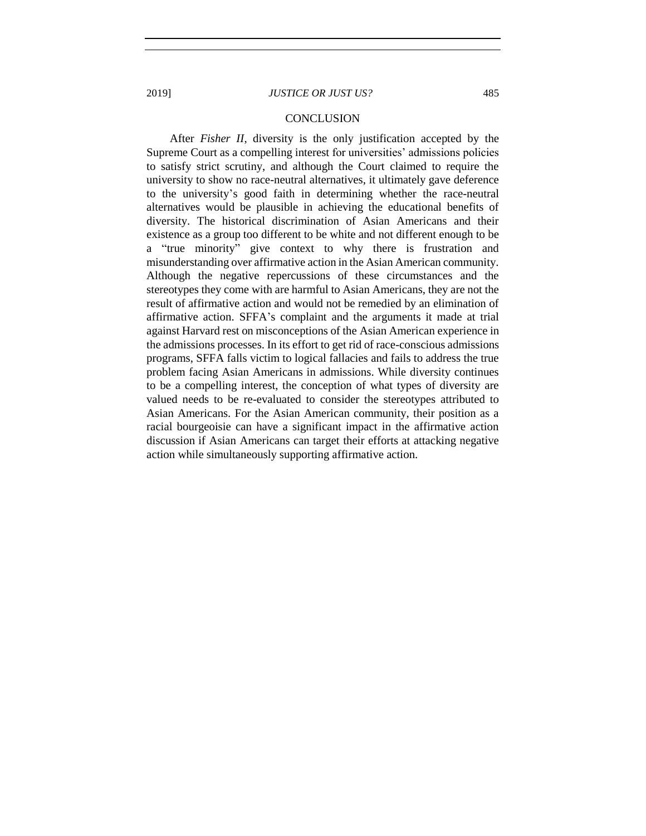<span id="page-44-0"></span>After *Fisher II*, diversity is the only justification accepted by the Supreme Court as a compelling interest for universities' admissions policies to satisfy strict scrutiny, and although the Court claimed to require the university to show no race-neutral alternatives, it ultimately gave deference to the university's good faith in determining whether the race-neutral alternatives would be plausible in achieving the educational benefits of diversity. The historical discrimination of Asian Americans and their existence as a group too different to be white and not different enough to be a "true minority" give context to why there is frustration and misunderstanding over affirmative action in the Asian American community. Although the negative repercussions of these circumstances and the stereotypes they come with are harmful to Asian Americans, they are not the result of affirmative action and would not be remedied by an elimination of affirmative action. SFFA's complaint and the arguments it made at trial against Harvard rest on misconceptions of the Asian American experience in the admissions processes. In its effort to get rid of race-conscious admissions programs, SFFA falls victim to logical fallacies and fails to address the true problem facing Asian Americans in admissions. While diversity continues to be a compelling interest, the conception of what types of diversity are valued needs to be re-evaluated to consider the stereotypes attributed to Asian Americans. For the Asian American community, their position as a racial bourgeoisie can have a significant impact in the affirmative action discussion if Asian Americans can target their efforts at attacking negative action while simultaneously supporting affirmative action.